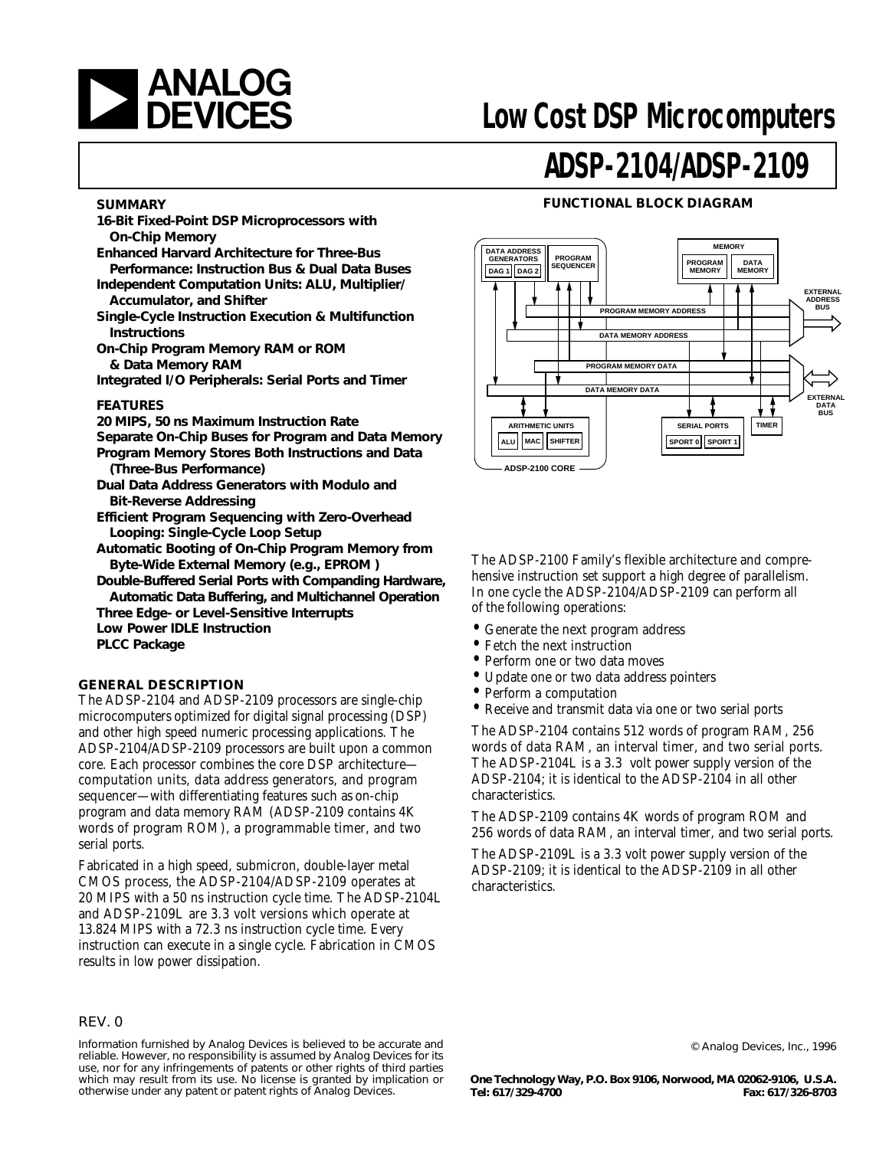

#### **SUMMARY**

- **16-Bit Fixed-Point DSP Microprocessors with On-Chip Memory**
- **Enhanced Harvard Architecture for Three-Bus Performance: Instruction Bus & Dual Data Buses**
- **Independent Computation Units: ALU, Multiplier/ Accumulator, and Shifter**
- **Single-Cycle Instruction Execution & Multifunction Instructions**
- **On-Chip Program Memory RAM or ROM & Data Memory RAM**
- **Integrated I/O Peripherals: Serial Ports and Timer**

#### **FEATURES**

- **20 MIPS, 50 ns Maximum Instruction Rate**
- **Separate On-Chip Buses for Program and Data Memory**
- **Program Memory Stores Both Instructions and Data (Three-Bus Performance)**
- **Dual Data Address Generators with Modulo and Bit-Reverse Addressing**
- **Efficient Program Sequencing with Zero-Overhead Looping: Single-Cycle Loop Setup**
- **Automatic Booting of On-Chip Program Memory from Byte-Wide External Memory (e.g., EPROM )**
- **Double-Buffered Serial Ports with Companding Hardware, Automatic Data Buffering, and Multichannel Operation**
- **Three Edge- or Level-Sensitive Interrupts**
- **Low Power IDLE Instruction**
- **PLCC Package**

#### **GENERAL DESCRIPTION**

The ADSP-2104 and ADSP-2109 processors are single-chip microcomputers optimized for digital signal processing (DSP) and other high speed numeric processing applications. The ADSP-2104/ADSP-2109 processors are built upon a common core. Each processor combines the core DSP architecture computation units, data address generators, and program sequencer—with differentiating features such as on-chip program and data memory RAM (ADSP-2109 contains 4K words of program ROM), a programmable timer, and two serial ports.

Fabricated in a high speed, submicron, double-layer metal CMOS process, the ADSP-2104/ADSP-2109 operates at 20 MIPS with a 50 ns instruction cycle time. The ADSP-2104L and ADSP-2109L are 3.3 volt versions which operate at 13.824 MIPS with a 72.3 ns instruction cycle time. Every instruction can execute in a single cycle. Fabrication in CMOS results in low power dissipation.

# **ADSP-2104/ADSP-2109**

#### **FUNCTIONAL BLOCK DIAGRAM**



The ADSP-2100 Family's flexible architecture and comprehensive instruction set support a high degree of parallelism. In one cycle the ADSP-2104/ADSP-2109 can perform all of the following operations:

- Generate the next program address
- Fetch the next instruction
- Perform one or two data moves
- Update one or two data address pointers<br>• Perform a computation
- Perform a computation
- Receive and transmit data via one or two serial ports

The ADSP-2104 contains 512 words of program RAM, 256 words of data RAM, an interval timer, and two serial ports. The ADSP-2104L is a 3.3 volt power supply version of the ADSP-2104; it is identical to the ADSP-2104 in all other characteristics.

The ADSP-2109 contains 4K words of program ROM and 256 words of data RAM, an interval timer, and two serial ports.

The ADSP-2109L is a 3.3 volt power supply version of the ADSP-2109; it is identical to the ADSP-2109 in all other characteristics.

#### REV. 0

Information furnished by Analog Devices is believed to be accurate and reliable. However, no responsibility is assumed by Analog Devices for its use, nor for any infringements of patents or other rights of third parties which may result from its use. No license is granted by implication or otherwise under any patent or patent rights of Analog Devices.

© Analog Devices, Inc., 1996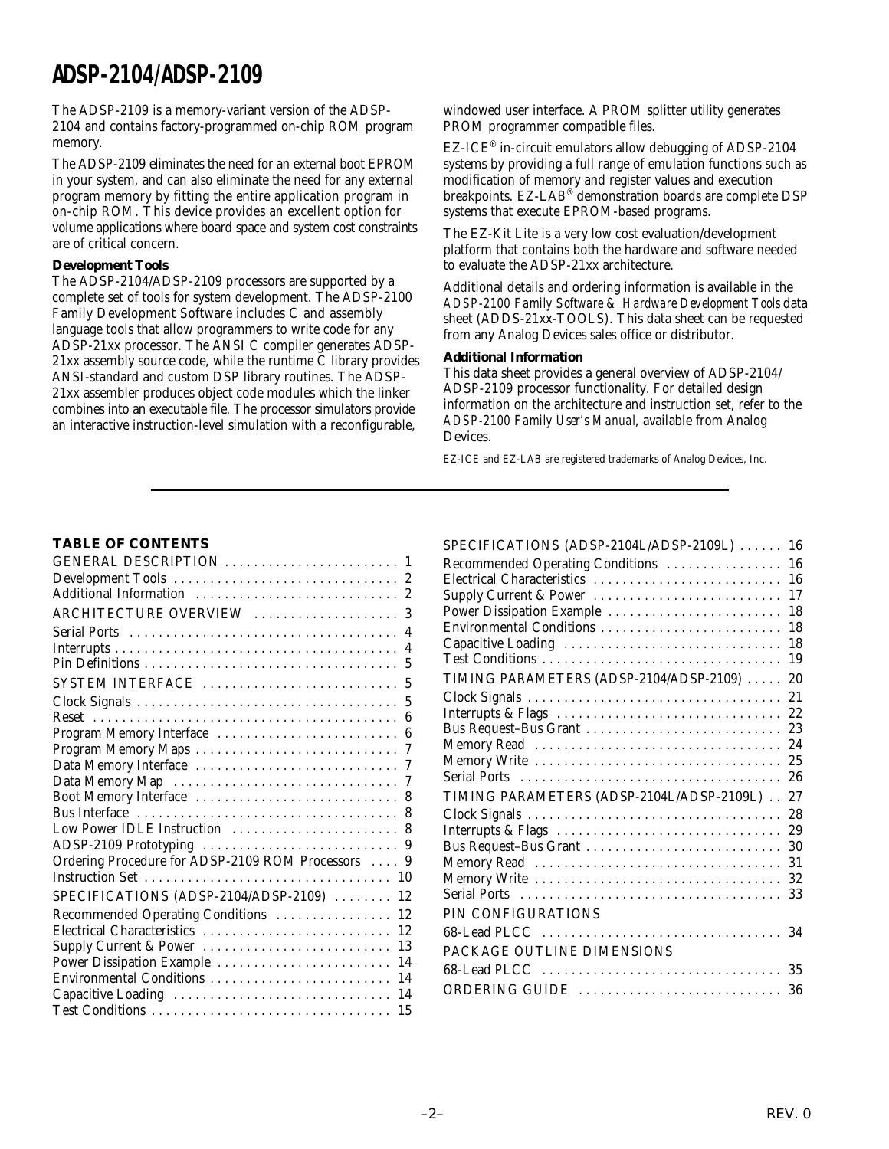The ADSP-2109 is a memory-variant version of the ADSP-2104 and contains factory-programmed on-chip ROM program memory.

The ADSP-2109 eliminates the need for an external boot EPROM in your system, and can also eliminate the need for any external program memory by fitting the entire application program in on-chip ROM. This device provides an excellent option for volume applications where board space and system cost constraints are of critical concern.

#### **Development Tools**

The ADSP-2104/ADSP-2109 processors are supported by a complete set of tools for system development. The ADSP-2100 Family Development Software includes C and assembly language tools that allow programmers to write code for any ADSP-21xx processor. The ANSI C compiler generates ADSP-21xx assembly source code, while the runtime C library provides ANSI-standard and custom DSP library routines. The ADSP-21xx assembler produces object code modules which the linker combines into an executable file. The processor simulators provide an interactive instruction-level simulation with a reconfigurable,

windowed user interface. A PROM splitter utility generates PROM programmer compatible files.

EZ-ICE® in-circuit emulators allow debugging of ADSP-2104 systems by providing a full range of emulation functions such as modification of memory and register values and execution breakpoints. EZ-LAB® demonstration boards are complete DSP systems that execute EPROM-based programs.

The EZ-Kit Lite is a very low cost evaluation/development platform that contains both the hardware and software needed to evaluate the ADSP-21xx architecture.

Additional details and ordering information is available in the *ADSP-2100 Family Software & Hardware Development Tools* data sheet (ADDS-21xx-TOOLS). This data sheet can be requested from any Analog Devices sales office or distributor.

#### **Additional Information**

This data sheet provides a general overview of ADSP-2104/ ADSP-2109 processor functionality. For detailed design information on the architecture and instruction set, refer to the *ADSP-2100 Family User's Manual*, available from Analog Devices.

 $SDECIETCATIONIC$  (ADSP-2104L/ADSP-2100L) . . . . . . 16

EZ-ICE and EZ-LAB are registered trademarks of Analog Devices, Inc.

#### **TABLE OF CONTENTS**

| Additional Information  2                          |                |
|----------------------------------------------------|----------------|
| ARCHITECTURE OVERVIEW  3                           |                |
|                                                    |                |
|                                                    |                |
|                                                    | $\overline{5}$ |
|                                                    |                |
|                                                    |                |
|                                                    |                |
| Program Memory Interface  6                        |                |
|                                                    |                |
|                                                    |                |
|                                                    |                |
|                                                    |                |
|                                                    |                |
| Low Power IDLE Instruction  8                      |                |
|                                                    |                |
| Ordering Procedure for ADSP-2109 ROM Processors  9 |                |
|                                                    | 10             |
| SPECIFICATIONS $(ADSP-2104/ADSP-2109)$             | 12             |
| Recommended Operating Conditions                   | 12             |
| Electrical Characteristics                         | 12             |
| Supply Current & Power                             | 13             |
| Power Dissipation Example                          | 14             |
| Environmental Conditions                           | 14             |
| Capacitive Loading                                 | 14             |
|                                                    | 15             |

| $SPECIFICAIIONS (ADSP-ZI04L/ADSP-ZI09L)$  | 1 O |
|-------------------------------------------|-----|
| Recommended Operating Conditions          | 16  |
| Electrical Characteristics                | 16  |
| Supply Current & Power                    | 17  |
| Power Dissipation Example                 | 18  |
| Environmental Conditions                  | 18  |
| Capacitive Loading                        | 18  |
| Test Conditions                           | 19  |
| TIMING PARAMETERS (ADSP-2104/ADSP-2109)   | 20  |
|                                           | 21  |
| Interrupts & Flags                        | 22  |
| Bus Request-Bus Grant                     | 23  |
| Memory Read                               | 24  |
| Memory Write                              | 25  |
|                                           | 26  |
| TIMING PARAMETERS (ADSP-2104L/ADSP-2109L) | 27  |
|                                           | 28  |
| Interrupts & Flags                        | 29  |
| Bus Request-Bus Grant                     | 30  |
|                                           | 31  |
|                                           | 32  |
|                                           | 33  |
| PIN CONFIGURATIONS                        |     |
| 68-Lead PLCC                              | 34  |
| PACKAGE OUTLINE DIMENSIONS                |     |
|                                           | 35  |
| ORDERING GUIDE                            | 36  |
|                                           |     |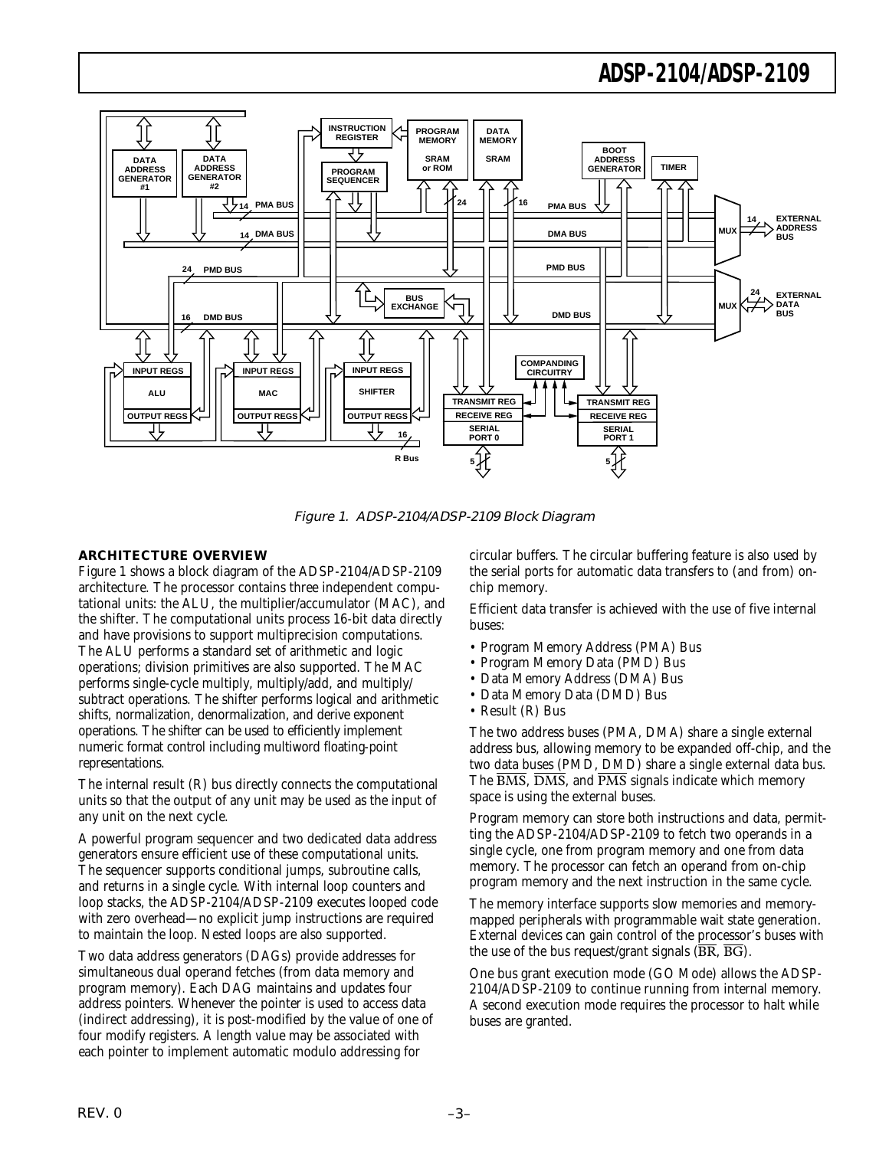

Figure 1. ADSP-2104/ADSP-2109 Block Diagram

#### **ARCHITECTURE OVERVIEW**

Figure 1 shows a block diagram of the ADSP-2104/ADSP-2109 architecture. The processor contains three independent computational units: the ALU, the multiplier/accumulator (MAC), and the shifter. The computational units process 16-bit data directly and have provisions to support multiprecision computations. The ALU performs a standard set of arithmetic and logic operations; division primitives are also supported. The MAC performs single-cycle multiply, multiply/add, and multiply/ subtract operations. The shifter performs logical and arithmetic shifts, normalization, denormalization, and derive exponent operations. The shifter can be used to efficiently implement numeric format control including multiword floating-point representations.

The internal result (R) bus directly connects the computational units so that the output of any unit may be used as the input of any unit on the next cycle.

A powerful program sequencer and two dedicated data address generators ensure efficient use of these computational units. The sequencer supports conditional jumps, subroutine calls, and returns in a single cycle. With internal loop counters and loop stacks, the ADSP-2104/ADSP-2109 executes looped code with zero overhead—no explicit jump instructions are required to maintain the loop. Nested loops are also supported.

Two data address generators (DAGs) provide addresses for simultaneous dual operand fetches (from data memory and program memory). Each DAG maintains and updates four address pointers. Whenever the pointer is used to access data (indirect addressing), it is post-modified by the value of one of four modify registers. A length value may be associated with each pointer to implement automatic modulo addressing for

circular buffers. The circular buffering feature is also used by the serial ports for automatic data transfers to (and from) onchip memory.

Efficient data transfer is achieved with the use of five internal buses:

- Program Memory Address (PMA) Bus
- Program Memory Data (PMD) Bus
- Data Memory Address (DMA) Bus
- Data Memory Data (DMD) Bus
- Result (R) Bus

The two address buses (PMA, DMA) share a single external address bus, allowing memory to be expanded off-chip, and the two data buses (PMD, DMD) share a single external data bus. The  $\overline{BMS}$ ,  $\overline{DMS}$ , and  $\overline{PMS}$  signals indicate which memory space is using the external buses.

Program memory can store both instructions and data, permitting the ADSP-2104/ADSP-2109 to fetch two operands in a single cycle, one from program memory and one from data memory. The processor can fetch an operand from on-chip program memory and the next instruction in the same cycle.

The memory interface supports slow memories and memorymapped peripherals with programmable wait state generation. External devices can gain control of the processor's buses with the use of the bus request/grant signals  $(BR, \overline{BG})$ .

One bus grant execution mode (GO Mode) allows the ADSP-2104/ADSP-2109 to continue running from internal memory. A second execution mode requires the processor to halt while buses are granted.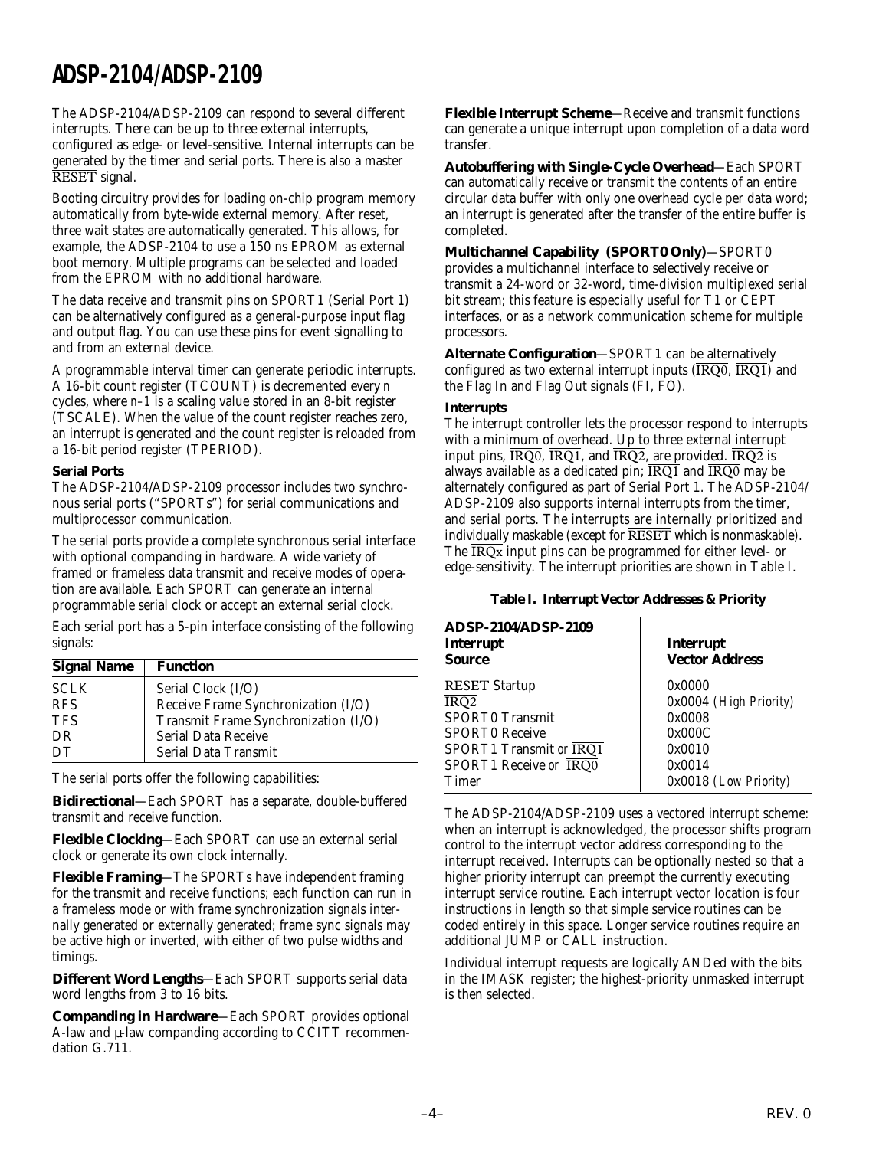The ADSP-2104/ADSP-2109 can respond to several different interrupts. There can be up to three external interrupts, configured as edge- or level-sensitive. Internal interrupts can be generated by the timer and serial ports. There is also a master RESET signal.

Booting circuitry provides for loading on-chip program memory automatically from byte-wide external memory. After reset, three wait states are automatically generated. This allows, for example, the ADSP-2104 to use a 150 ns EPROM as external boot memory. Multiple programs can be selected and loaded from the EPROM with no additional hardware.

The data receive and transmit pins on SPORT1 (Serial Port 1) can be alternatively configured as a general-purpose input flag and output flag. You can use these pins for event signalling to and from an external device.

A programmable interval timer can generate periodic interrupts. A 16-bit count register (TCOUNT) is decremented every *n* cycles, where *n–1* is a scaling value stored in an 8-bit register (TSCALE). When the value of the count register reaches zero, an interrupt is generated and the count register is reloaded from a 16-bit period register (TPERIOD).

#### **Serial Ports**

The ADSP-2104/ADSP-2109 processor includes two synchronous serial ports ("SPORTs") for serial communications and multiprocessor communication.

The serial ports provide a complete synchronous serial interface with optional companding in hardware. A wide variety of framed or frameless data transmit and receive modes of operation are available. Each SPORT can generate an internal programmable serial clock or accept an external serial clock.

Each serial port has a 5-pin interface consisting of the following signals:

| <b>Signal Name</b> | <b>Function</b>                      |
|--------------------|--------------------------------------|
| <b>SCLK</b>        | Serial Clock (I/O)                   |
| <b>RFS</b>         | Receive Frame Synchronization (I/O)  |
| <b>TFS</b>         | Transmit Frame Synchronization (I/O) |
| DR                 | <b>Serial Data Receive</b>           |
| DT                 | Serial Data Transmit                 |

The serial ports offer the following capabilities:

**Bidirectional**—Each SPORT has a separate, double-buffered transmit and receive function.

**Flexible Clocking**—Each SPORT can use an external serial clock or generate its own clock internally.

**Flexible Framing**—The SPORTs have independent framing for the transmit and receive functions; each function can run in a frameless mode or with frame synchronization signals internally generated or externally generated; frame sync signals may be active high or inverted, with either of two pulse widths and timings.

**Different Word Lengths**—Each SPORT supports serial data word lengths from 3 to 16 bits.

**Companding in Hardware**—Each SPORT provides optional A-law and  $\mu$ -law companding according to CCITT recommendation G.711.

**Flexible Interrupt Scheme**—Receive and transmit functions can generate a unique interrupt upon completion of a data word transfer.

**Autobuffering with Single-Cycle Overhead**—Each SPORT can automatically receive or transmit the contents of an entire circular data buffer with only one overhead cycle per data word; an interrupt is generated after the transfer of the entire buffer is completed.

#### **Multichannel Capability (SPORT0 Only)**—SPORT0 provides a multichannel interface to selectively receive or transmit a 24-word or 32-word, time-division multiplexed serial bit stream; this feature is especially useful for T1 or CEPT interfaces, or as a network communication scheme for multiple processors.

**Alternate Configuration**—SPORT1 can be alternatively configured as two external interrupt inputs  $(\overline{\text{IRQ0}}, \overline{\text{IRQ1}})$  and the Flag In and Flag Out signals (FI, FO).

#### **Interrupts**

The interrupt controller lets the processor respond to interrupts with a minimum of overhead. Up to three external interrupt input pins,  $\overline{\text{IRQ0}}$ ,  $\overline{\text{IRQ1}}$ , and  $\overline{\text{IRQ2}}$ , are provided.  $\overline{\text{IRQ2}}$  is always available as a dedicated pin;  $\overline{\text{IRQ1}}$  and  $\overline{\text{IRQ0}}$  may be alternately configured as part of Serial Port 1. The ADSP-2104/ ADSP-2109 also supports internal interrupts from the timer, and serial ports. The interrupts are internally prioritized and individually maskable (except for RESET which is nonmaskable). The  $\overline{\text{IRQx}}$  input pins can be programmed for either level- or edge-sensitivity. The interrupt priorities are shown in Table I.

#### **Table I. Interrupt Vector Addresses & Priority**

| ADSP-2104/ADSP-2109<br>Interrupt<br>Source | Interrupt<br><b>Vector Address</b> |  |  |
|--------------------------------------------|------------------------------------|--|--|
| <b>RESET</b> Startup                       | 0x0000                             |  |  |
| IRQ2                                       | 0x0004 (High Priority)             |  |  |
| SPORT0 Transmit                            | 0x0008                             |  |  |
| SPORT0 Receive                             | 0x000C                             |  |  |
| SPORT1 Transmit or IRO1                    | 0x0010                             |  |  |
| SPORT1 Receive or IRQ0                     | 0x0014                             |  |  |
| Timer                                      | 0x0018 (Low Priority)              |  |  |

The ADSP-2104/ADSP-2109 uses a vectored interrupt scheme: when an interrupt is acknowledged, the processor shifts program control to the interrupt vector address corresponding to the interrupt received. Interrupts can be optionally nested so that a higher priority interrupt can preempt the currently executing interrupt service routine. Each interrupt vector location is four instructions in length so that simple service routines can be coded entirely in this space. Longer service routines require an additional JUMP or CALL instruction.

Individual interrupt requests are logically ANDed with the bits in the IMASK register; the highest-priority unmasked interrupt is then selected.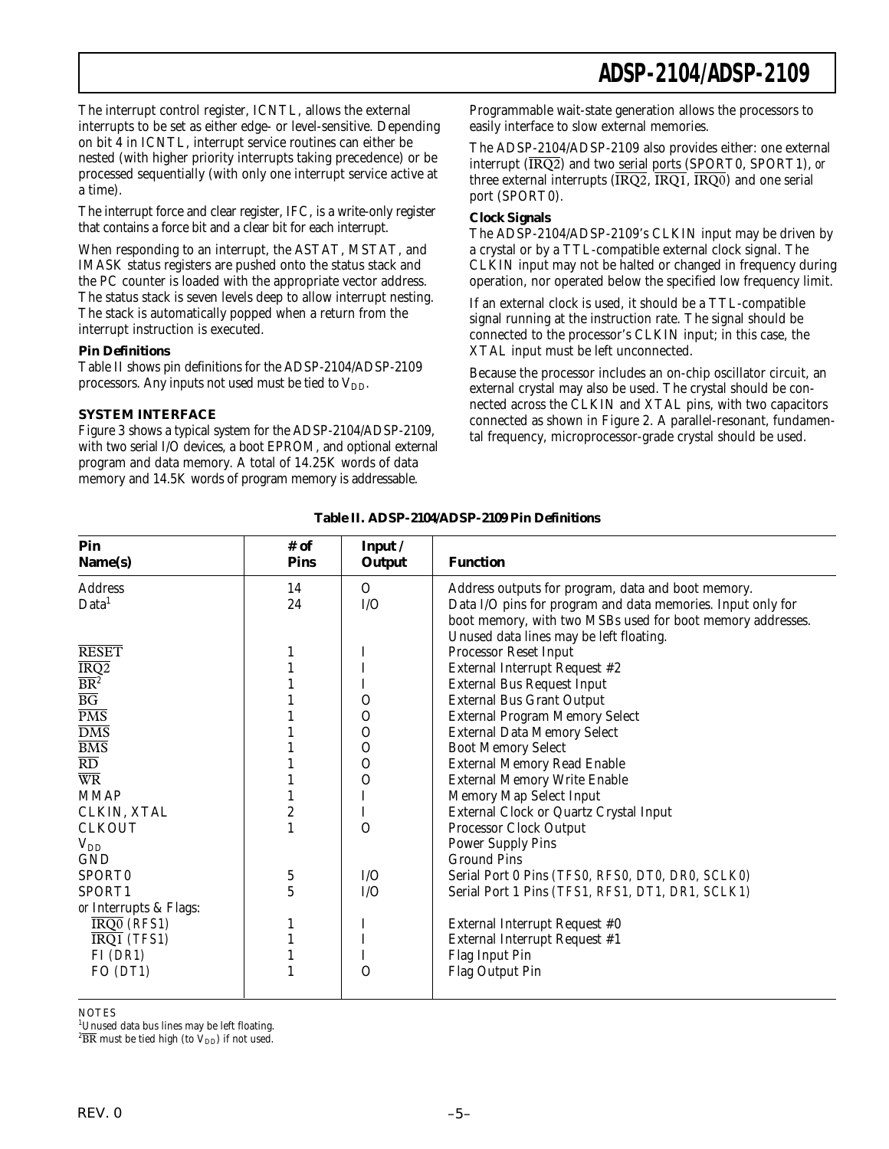The interrupt control register, ICNTL, allows the external interrupts to be set as either edge- or level-sensitive. Depending on bit 4 in ICNTL, interrupt service routines can either be nested (with higher priority interrupts taking precedence) or be processed sequentially (with only one interrupt service active at a time).

The interrupt force and clear register, IFC, is a write-only register that contains a force bit and a clear bit for each interrupt.

When responding to an interrupt, the ASTAT, MSTAT, and IMASK status registers are pushed onto the status stack and the PC counter is loaded with the appropriate vector address. The status stack is seven levels deep to allow interrupt nesting. The stack is automatically popped when a return from the interrupt instruction is executed.

#### **Pin Definitions**

Table II shows pin definitions for the ADSP-2104/ADSP-2109 processors. Any inputs not used must be tied to  $V_{DD}$ .

#### **SYSTEM INTERFACE**

Figure 3 shows a typical system for the ADSP-2104/ADSP-2109, with two serial I/O devices, a boot EPROM, and optional external program and data memory. A total of 14.25K words of data memory and 14.5K words of program memory is addressable.

Programmable wait-state generation allows the processors to easily interface to slow external memories.

The ADSP-2104/ADSP-2109 also provides either: one external interrupt (IRQ2) and two serial ports (SPORT0, SPORT1), *or* three external interrupts  $(\overline{IRQ2}, \overline{IRQ1}, \overline{IRQ0})$  and one serial port (SPORT0).

#### **Clock Signals**

The ADSP-2104/ADSP-2109's CLKIN input may be driven by a crystal or by a TTL-compatible external clock signal. The CLKIN input may not be halted or changed in frequency during operation, nor operated below the specified low frequency limit.

If an external clock is used, it should be a TTL-compatible signal running at the instruction rate. The signal should be connected to the processor's CLKIN input; in this case, the XTAL input must be left unconnected.

Because the processor includes an on-chip oscillator circuit, an external crystal may also be used. The crystal should be connected across the CLKIN and XTAL pins, with two capacitors connected as shown in Figure 2. A parallel-resonant, fundamental frequency, microprocessor-grade crystal should be used.

| Pin<br>Name(s)           | # of<br><b>Pins</b> | Input /<br>Output | <b>Function</b>                                             |
|--------------------------|---------------------|-------------------|-------------------------------------------------------------|
| <b>Address</b>           | 14                  | $\Omega$          | Address outputs for program, data and boot memory.          |
| Data <sup>1</sup>        | 24                  | I/O               | Data I/O pins for program and data memories. Input only for |
|                          |                     |                   | boot memory, with two MSBs used for boot memory addresses.  |
|                          |                     |                   | Unused data lines may be left floating.                     |
| <b>RESET</b>             | 1                   |                   | Processor Reset Input                                       |
| $\overline{\text{IRQ2}}$ |                     |                   | External Interrupt Request #2                               |
| $\overline{\text{BR}^2}$ |                     |                   | <b>External Bus Request Input</b>                           |
| $\overline{\mathrm{BG}}$ |                     | $\mathbf{O}$      | <b>External Bus Grant Output</b>                            |
| $\overline{PMS}$         |                     | $\mathcal{O}$     | <b>External Program Memory Select</b>                       |
| $\overline{\text{DMS}}$  |                     | $\mathbf{O}$      | <b>External Data Memory Select</b>                          |
| $\overline{\text{BMS}}$  |                     | $\mathcal{O}$     | <b>Boot Memory Select</b>                                   |
| $\overline{\mathrm{RD}}$ |                     | $\mathcal{O}$     | <b>External Memory Read Enable</b>                          |
| $\overline{\text{WR}}$   |                     | $\Omega$          | <b>External Memory Write Enable</b>                         |
| <b>MMAP</b>              |                     | I                 | Memory Map Select Input                                     |
| CLKIN, XTAL              | $\overline{c}$      | I                 | External Clock or Quartz Crystal Input                      |
| <b>CLKOUT</b>            |                     | $\Omega$          | Processor Clock Output                                      |
| $\rm V_{DD}$             |                     |                   | <b>Power Supply Pins</b>                                    |
| GND                      |                     |                   | <b>Ground Pins</b>                                          |
| SPORT0                   | 5                   | I/O               | Serial Port 0 Pins (TFS0, RFS0, DT0, DR0, SCLK0)            |
| SPORT1                   | 5                   | I/O               | Serial Port 1 Pins (TFS1, RFS1, DT1, DR1, SCLK1)            |
| or Interrupts & Flags:   |                     |                   |                                                             |
| IRQ0 (RFS1)              | 1                   | I                 | External Interrupt Request #0                               |
| $IRQ1$ (TFS1)            |                     | I                 | External Interrupt Request #1                               |
| $FI$ (DR1)               |                     |                   | Flag Input Pin                                              |
| FO $(DTI)$               |                     | $\Omega$          | Flag Output Pin                                             |
|                          |                     |                   |                                                             |

**Table II. ADSP-2104/ADSP-2109 Pin Definitions**

**NOTES** 

<sup>1</sup>Unused data bus lines may be left floating.

 $^{2}\overline{\rm BR}$  must be tied high (to  $\rm V_{DD})$  if not used.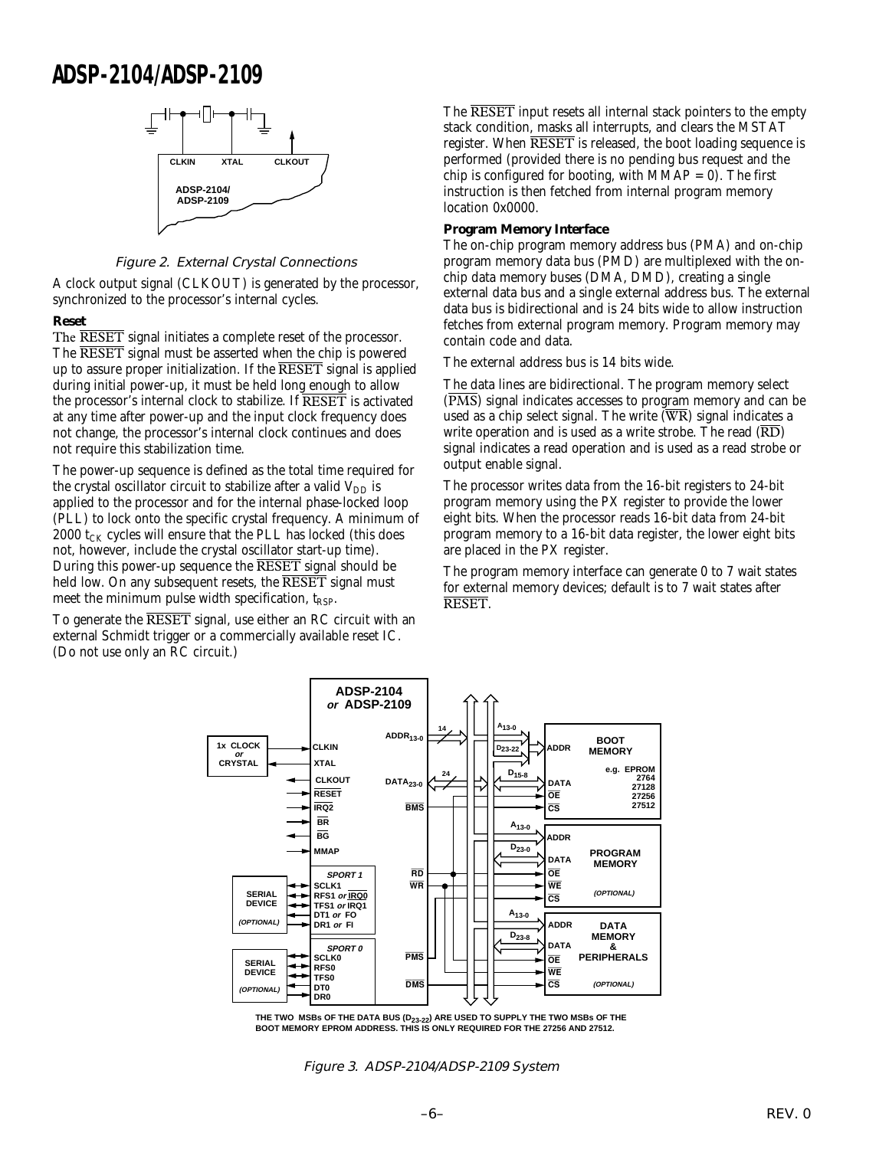

#### Figure 2. External Crystal Connections

A clock output signal (CLKOUT) is generated by the processor, synchronized to the processor's internal cycles.

#### **Reset**

The **RESET** signal initiates a complete reset of the processor. The RESET signal must be asserted when the chip is powered up to assure proper initialization. If the  $\overline{\text{REST}}$  signal is applied during initial power-up, it must be held long enough to allow the processor's internal clock to stabilize. If RESET is activated at any time after power-up and the input clock frequency does not change, the processor's internal clock continues and does not require this stabilization time.

The power-up sequence is defined as the total time required for the crystal oscillator circuit to stabilize after a valid  $V_{DD}$  is applied to the processor and for the internal phase-locked loop (PLL) to lock onto the specific crystal frequency. A minimum of 2000  $t_{CK}$  cycles will ensure that the PLL has locked (this does not, however, include the crystal oscillator start-up time). During this power-up sequence the RESET signal should be held low. On any subsequent resets, the RESET signal must meet the minimum pulse width specification,  $t_{RSP}$ .

To generate the RESET signal, use either an RC circuit with an external Schmidt trigger or a commercially available reset IC. (Do not use only an RC circuit.)

The RESET input resets all internal stack pointers to the empty stack condition, masks all interrupts, and clears the MSTAT register. When RESET is released, the boot loading sequence is performed (provided there is no pending bus request and the chip is configured for booting, with  $MMAP = 0$ . The first instruction is then fetched from internal program memory location 0x0000.

#### **Program Memory Interface**

The on-chip program memory address bus (PMA) and on-chip program memory data bus (PMD) are multiplexed with the onchip data memory buses (DMA, DMD), creating a single external data bus and a single external address bus. The external data bus is bidirectional and is 24 bits wide to allow instruction fetches from external program memory. Program memory may contain code and data.

The external address bus is 14 bits wide.

The data lines are bidirectional. The program memory select  $(\overline{PMS})$  signal indicates accesses to program memory and can be used as a chip select signal. The write  $(\overline{WR})$  signal indicates a write operation and is used as a write strobe. The read  $(\overline{RD})$ signal indicates a read operation and is used as a read strobe or output enable signal.

The processor writes data from the 16-bit registers to 24-bit program memory using the PX register to provide the lower eight bits. When the processor reads 16-bit data from 24-bit program memory to a 16-bit data register, the lower eight bits are placed in the PX register.

The program memory interface can generate 0 to 7 wait states for external memory devices; default is to 7 wait states after RESET.



THE TWO MSBs OF THE DATA BUS (D<sub>23-22</sub>) ARE USED TO SUPPLY THE TWO MSBs OF THE **BOOT MEMORY EPROM ADDRESS. THIS IS ONLY REQUIRED FOR THE 27256 AND 27512.**

Figure 3. ADSP-2104/ADSP-2109 System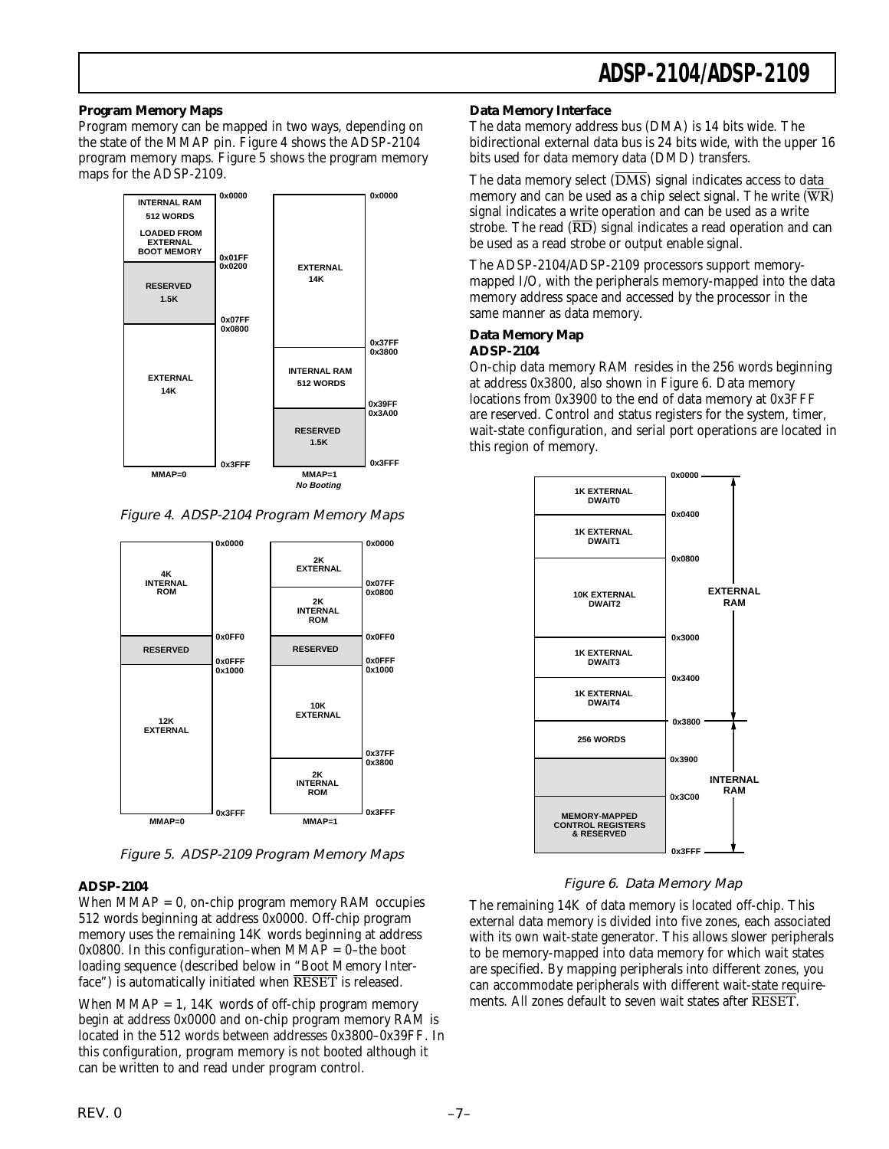#### **Program Memory Maps**

Program memory can be mapped in two ways, depending on the state of the MMAP pin. Figure 4 shows the ADSP-2104 program memory maps. Figure 5 shows the program memory maps for the ADSP-2109.



Figure 4. ADSP-2104 Program Memory Maps



Figure 5. ADSP-2109 Program Memory Maps

#### **ADSP-2104**

When  $MMAP = 0$ , on-chip program memory RAM occupies 512 words beginning at address 0x0000. Off-chip program memory uses the remaining 14K words beginning at address 0x0800. In this configuration–when  $MMAP = 0$ –the boot loading sequence (described below in "Boot Memory Interface") is automatically initiated when RESET is released.

When  $MMAP = 1$ , 14K words of off-chip program memory begin at address 0x0000 and on-chip program memory RAM is located in the 512 words between addresses 0x3800–0x39FF. In this configuration, program memory is not booted although it can be written to and read under program control.

#### **Data Memory Interface**

The data memory address bus (DMA) is 14 bits wide. The bidirectional external data bus is 24 bits wide, with the upper 16 bits used for data memory data (DMD) transfers.

The data memory select  $(\overline{DMS})$  signal indicates access to data memory and can be used as a chip select signal. The write  $(\overline{WR})$ signal indicates a write operation and can be used as a write strobe. The read  $(\overline{RD})$  signal indicates a read operation and can be used as a read strobe or output enable signal.

The ADSP-2104/ADSP-2109 processors support memorymapped I/O, with the peripherals memory-mapped into the data memory address space and accessed by the processor in the same manner as data memory.

#### **Data Memory Map ADSP-2104**

On-chip data memory RAM resides in the 256 words beginning at address 0x3800, also shown in Figure 6. Data memory locations from 0x3900 to the end of data memory at 0x3FFF are reserved. Control and status registers for the system, timer, wait-state configuration, and serial port operations are located in this region of memory.



#### Figure 6. Data Memory Map

The remaining 14K of data memory is located off-chip. This external data memory is divided into five zones, each associated with its own wait-state generator. This allows slower peripherals to be memory-mapped into data memory for which wait states are specified. By mapping peripherals into different zones, you can accommodate peripherals with different wait-state requirements. All zones default to seven wait states after RESET.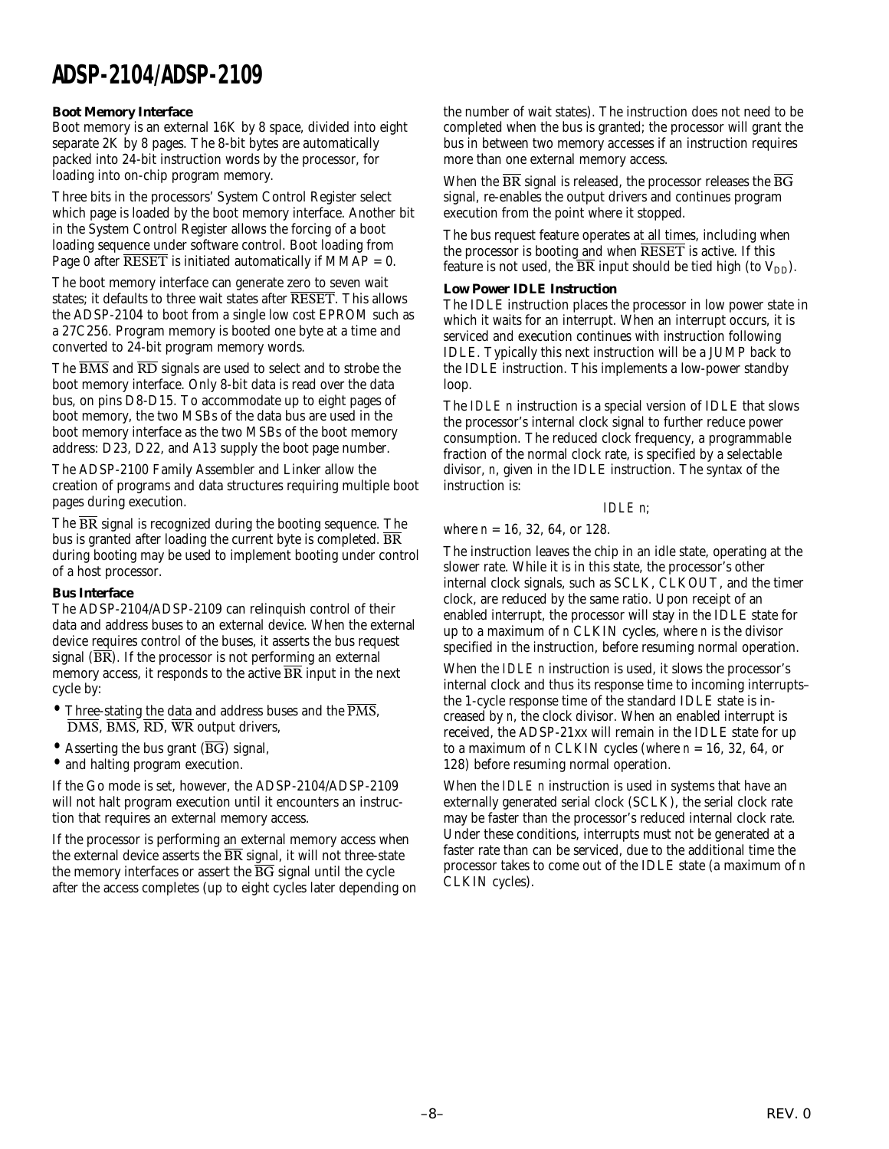#### **Boot Memory Interface**

Boot memory is an external 16K by 8 space, divided into eight separate 2K by 8 pages. The 8-bit bytes are automatically packed into 24-bit instruction words by the processor, for loading into on-chip program memory.

Three bits in the processors' System Control Register select which page is loaded by the boot memory interface. Another bit in the System Control Register allows the forcing of a boot loading sequence under software control. Boot loading from Page 0 after  $\overline{\text{RESET}}$  is initiated automatically if MMAP = 0.

The boot memory interface can generate zero to seven wait states; it defaults to three wait states after RESET. This allows the ADSP-2104 to boot from a single low cost EPROM such as a 27C256. Program memory is booted one byte at a time and converted to 24-bit program memory words.

The  $\overline{BMS}$  and  $\overline{RD}$  signals are used to select and to strobe the boot memory interface. Only 8-bit data is read over the data bus, on pins D8-D15. To accommodate up to eight pages of boot memory, the two MSBs of the data bus are used in the boot memory interface as the two MSBs of the boot memory address: D23, D22, and A13 supply the boot page number.

The ADSP-2100 Family Assembler and Linker allow the creation of programs and data structures requiring multiple boot pages during execution.

The  $\overline{BR}$  signal is recognized during the booting sequence. The bus is granted after loading the current byte is completed. BR during booting may be used to implement booting under control of a host processor.

#### **Bus Interface**

The ADSP-2104/ADSP-2109 can relinquish control of their data and address buses to an external device. When the external device requires control of the buses, it asserts the bus request signal  $(\overline{BR})$ . If the processor is not performing an external memory access, it responds to the active  $\overline{BR}$  input in the next cycle by:

- Three-stating the data and address buses and the  $\overline{\text{PMS}}$ , DMS, BMS, RD, WR output drivers,
- Asserting the bus grant  $(\overline{BG})$  signal,
- and halting program execution.

If the Go mode is set, however, the ADSP-2104/ADSP-2109 will not halt program execution until it encounters an instruction that requires an external memory access.

If the processor is performing an external memory access when the external device asserts the  $\overline{\text{BR}}$  signal, it will not three-state the memory interfaces or assert the  $\overline{BG}$  signal until the cycle after the access completes (up to eight cycles later depending on the number of wait states). The instruction does not need to be completed when the bus is granted; the processor will grant the bus in between two memory accesses if an instruction requires more than one external memory access.

When the  $\overline{\text{BR}}$  signal is released, the processor releases the  $\overline{\text{BG}}$ signal, re-enables the output drivers and continues program execution from the point where it stopped.

The bus request feature operates at all times, including when the processor is booting and when  $\overline{\text{RESET}}$  is active. If this feature is not used, the  $\overline{BR}$  input should be tied high (to  $V_{DD}$ ).

#### **Low Power IDLE Instruction**

The IDLE instruction places the processor in low power state in which it waits for an interrupt. When an interrupt occurs, it is serviced and execution continues with instruction following IDLE. Typically this next instruction will be a JUMP back to the IDLE instruction. This implements a low-power standby loop.

The *IDLE n* instruction is a special version of IDLE that slows the processor's internal clock signal to further reduce power consumption. The reduced clock frequency, a programmable fraction of the normal clock rate, is specified by a selectable divisor, *n*, given in the IDLE instruction. The syntax of the instruction is:

#### *IDLE n*;

where *n* = 16, 32, 64, or 128.

The instruction leaves the chip in an idle state, operating at the slower rate. While it is in this state, the processor's other internal clock signals, such as SCLK, CLKOUT, and the timer clock, are reduced by the same ratio. Upon receipt of an enabled interrupt, the processor will stay in the IDLE state for up to a maximum of *n* CLKIN cycles, where *n* is the divisor specified in the instruction, before resuming normal operation.

When the *IDLE n* instruction is used, it slows the processor's internal clock and thus its response time to incoming interrupts– the 1-cycle response time of the standard IDLE state is increased by *n*, the clock divisor. When an enabled interrupt is received, the ADSP-21xx will remain in the IDLE state for up to a maximum of *n* CLKIN cycles (where  $n = 16, 32, 64$ , or 128) before resuming normal operation.

When the *IDLE n* instruction is used in systems that have an externally generated serial clock (SCLK), the serial clock rate may be faster than the processor's reduced internal clock rate. Under these conditions, interrupts must not be generated at a faster rate than can be serviced, due to the additional time the processor takes to come out of the IDLE state (a maximum of *n* CLKIN cycles).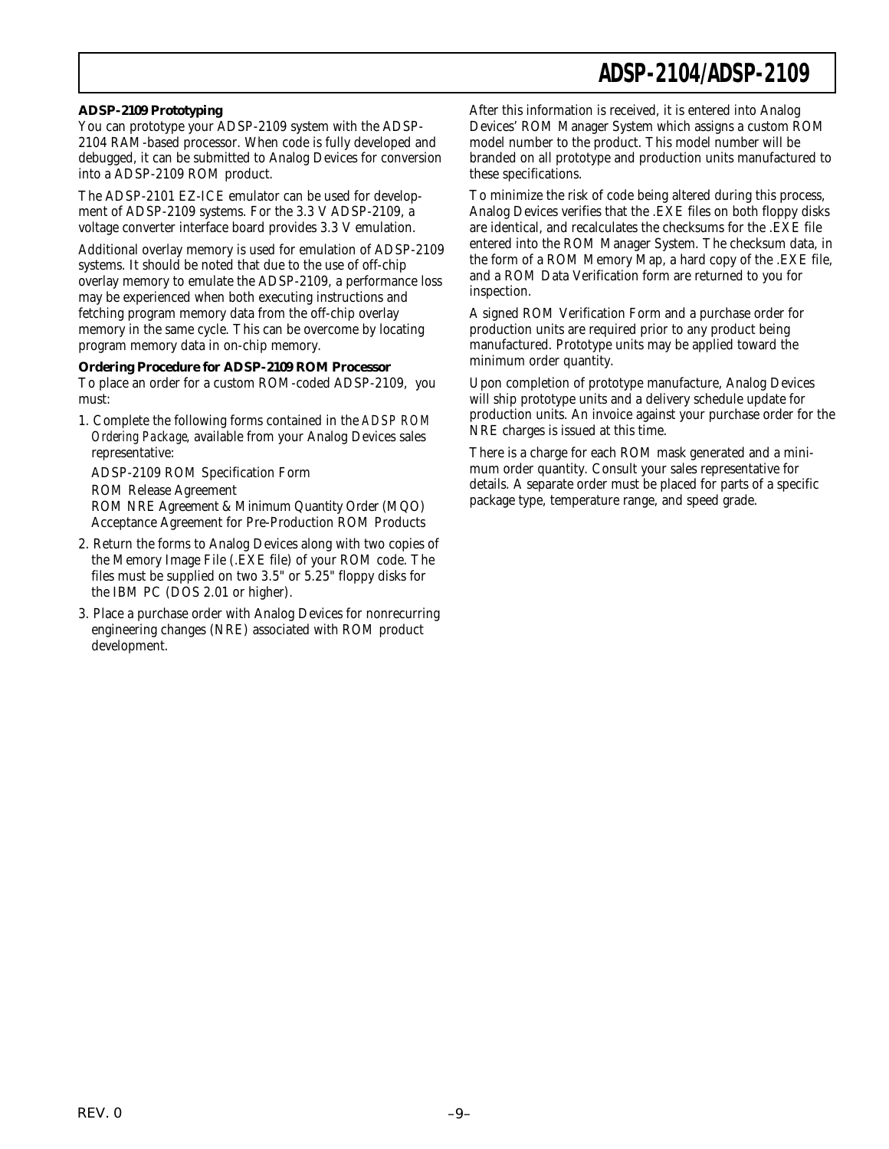#### **ADSP-2109 Prototyping**

You can prototype your ADSP-2109 system with the ADSP-2104 RAM-based processor. When code is fully developed and debugged, it can be submitted to Analog Devices for conversion into a ADSP-2109 ROM product.

The ADSP-2101 EZ-ICE emulator can be used for development of ADSP-2109 systems. For the 3.3 V ADSP-2109, a voltage converter interface board provides 3.3 V emulation.

Additional overlay memory is used for emulation of ADSP-2109 systems. It should be noted that due to the use of off-chip overlay memory to emulate the ADSP-2109, a performance loss may be experienced when both executing instructions and fetching program memory data from the off-chip overlay memory in the same cycle. This can be overcome by locating program memory data in on-chip memory.

#### **Ordering Procedure for ADSP-2109 ROM Processor**

To place an order for a custom ROM-coded ADSP-2109, you must:

1. Complete the following forms contained in the *ADSP ROM Ordering Package*, available from your Analog Devices sales representative:

ADSP-2109 ROM Specification Form ROM Release Agreement ROM NRE Agreement & Minimum Quantity Order (MQO) Acceptance Agreement for Pre-Production ROM Products

- 2. Return the forms to Analog Devices along with two copies of the Memory Image File (.EXE file) of your ROM code. The files must be supplied on two 3.5" or 5.25" floppy disks for the IBM PC (DOS 2.01 or higher).
- 3. Place a purchase order with Analog Devices for nonrecurring engineering changes (NRE) associated with ROM product development.

After this information is received, it is entered into Analog Devices' ROM Manager System which assigns a custom ROM model number to the product. This model number will be branded on all prototype and production units manufactured to these specifications.

To minimize the risk of code being altered during this process, Analog Devices verifies that the .EXE files on both floppy disks are identical, and recalculates the checksums for the .EXE file entered into the ROM Manager System. The checksum data, in the form of a ROM Memory Map, a hard copy of the .EXE file, and a ROM Data Verification form are returned to you for inspection.

A signed ROM Verification Form and a purchase order for production units are required prior to any product being manufactured. Prototype units may be applied toward the minimum order quantity.

Upon completion of prototype manufacture, Analog Devices will ship prototype units and a delivery schedule update for production units. An invoice against your purchase order for the NRE charges is issued at this time.

There is a charge for each ROM mask generated and a minimum order quantity. Consult your sales representative for details. A separate order must be placed for parts of a specific package type, temperature range, and speed grade.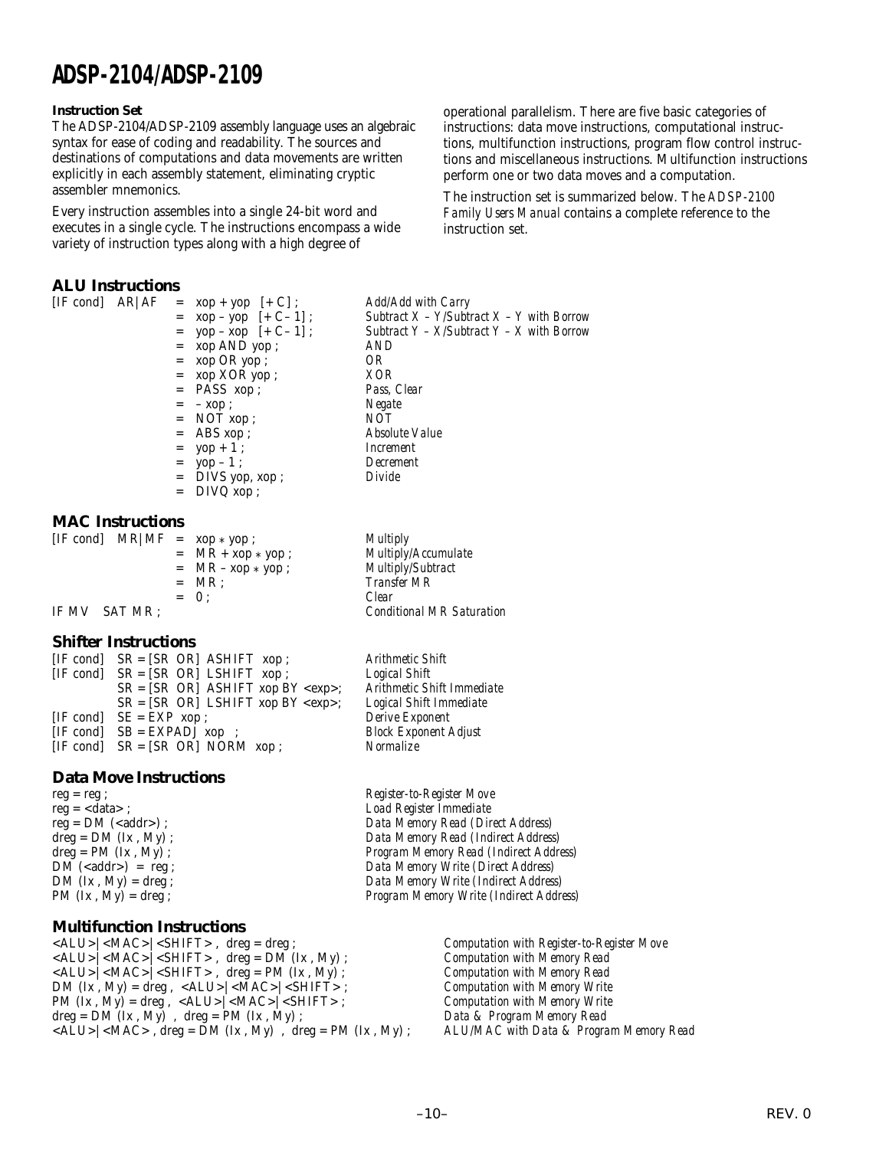#### **Instruction Set**

The ADSP-2104/ADSP-2109 assembly language uses an algebraic syntax for ease of coding and readability. The sources and destinations of computations and data movements are written explicitly in each assembly statement, eliminating cryptic assembler mnemonics.

Every instruction assembles into a single 24-bit word and executes in a single cycle. The instructions encompass a wide variety of instruction types along with a high degree of

#### **ALU Instructions**

[IF cond] AR|AF = xop + yop [+ C] ; *Add/Add with Carry*  $=$  **xop AND** yop ;  $=$  xop OR yop ;  $OR$ <br> $=$  xop XOR yop :  $XOR$ = xop XOR yop ; *XOR*  $=$  PASS xop; = – xop ; *Negate*  $=$  NOT xop ;  $N\overline{O}T$ <br> $=$  ABS xop ; *Absolt* = yop + 1 ; *Increment* = yop – 1 ; *Decrement*  $=$  DIVS yop, xop;  $=$  DIVQ  $xop$ ;

= xop – yop [+ C– 1] ; *Subtract X – Y/Subtract X – Y with Borrow*  $=$  yop – xop  $[+ C - 1]$ ; *Subtract Y – X/Subtract Y – X with Borrow*<br> $=$  xop AND yop : *AND* = ABS xop ; *Absolute Value*

#### **MAC Instructions**

| $[IF cond] MR MF = xop * yop;$ |                      | <b>Multiply</b>                  |
|--------------------------------|----------------------|----------------------------------|
|                                | $= MR + xop * yop ;$ | Multiply/Accumulate              |
|                                | $= MR - xop * yop ;$ | <i>Multiply/Subtract</i>         |
|                                | $= MR$ :             | <i>Transfer MR</i>               |
|                                | $= 0$ :              | Clear                            |
| IF MV SAT MR :                 |                      | <b>Conditional MR Saturation</b> |
|                                |                      |                                  |

#### **Shifter Instructions**

| $[IF cond]$ $SR = [SR OR]$ ASHIFT xop;       | <b>Arithmetic Shift</b> |
|----------------------------------------------|-------------------------|
| $[IF cond]$ $SR = [SR OR]$ LSHIFT xop;       | <b>Logical Shift</b>    |
| $SR = [SR \t OR]$ ASHIFT xop BY <exp>;</exp> | <b>Arithmetic Shift</b> |
| $SR = [SR \t OR]$ LSHIFT xop BY <exp>;</exp> | Logical Shift Im        |
| $[IF cond]$ $SE = EXP xop;$                  | <b>Derive Exponent</b>  |
| $[IF cond]$ $SB = EXPADJ$ xop :              | <b>Block Exponent</b>   |
| $[IF cond]$ $SR = [SR OR]$ NORM $xop$ ;      | Normalize               |

#### **Data Move Instructions**

reg = <data> ; *Load Register Immediate*

#### **Multifunction Instructions**

<ALU>|<MAC>|<SHIFT> , dreg = dreg ; *Computation with Register-to-Register Move* <ALU>|<MAC>|<SHIFT> , dreg = DM (Ix , My) ; *Computation with Memory Read* <ALU>|<MAC>|<SHIFT> , dreg = PM (Ix , My) ; *Computation with Memory Read* DM (Ix , My) = dreg , <ALU>|<MAC>|<SHIFT> ; *Computation with Memory Write* PM (Ix , My) = dreg , <ALU>|<MAC>|<SHIFT> ; *Computation with Memory Write* dreg = DM (Ix , My) , dreg = PM (Ix , My) ; *Data & Program Memory Read* <ALU>|<MAC> , dreg = DM (Ix , My) , dreg = PM (Ix , My) ; *ALU/MAC with Data & Program Memory Read*

SR = [SR OR] ASHIFT xop BY <exp>; *Arithmetic Shift Immediate* SR = [SR OR] LSHIFT xop BY <exp>; *Logical Shift Immediate* [IF cond] SB = EXPADJ xop ; *Block Exponent Adjust*

reg = reg ; *Register-to-Register Move* reg = DM (<addr>) ; *Data Memory Read (Direct Address)* dreg = DM (Ix , My) ; *Data Memory Read (Indirect Address)* dreg = PM (Ix , My) ;<br>DM (<addr>) = reg ;<br>*Program Memory Read (Indirect Address)*<br>*Pata Memory Write (Direct Address)* DM (<addr>) = reg ;<br>
DM (Ix, My) = dreg ;<br>
DM (Ix, My) = dreg ;<br> *Data Memory Write (Indirect Address*) Data Memory Write (Indirect Address) PM (Ix , My) = dreg ; *Program Memory Write (Indirect Address)*

operational parallelism. There are five basic categories of instructions: data move instructions, computational instructions, multifunction instructions, program flow control instructions and miscellaneous instructions. Multifunction instructions perform one or two data moves and a computation.

The instruction set is summarized below. The *ADSP-2100 Family Users Manual* contains a complete reference to the instruction set.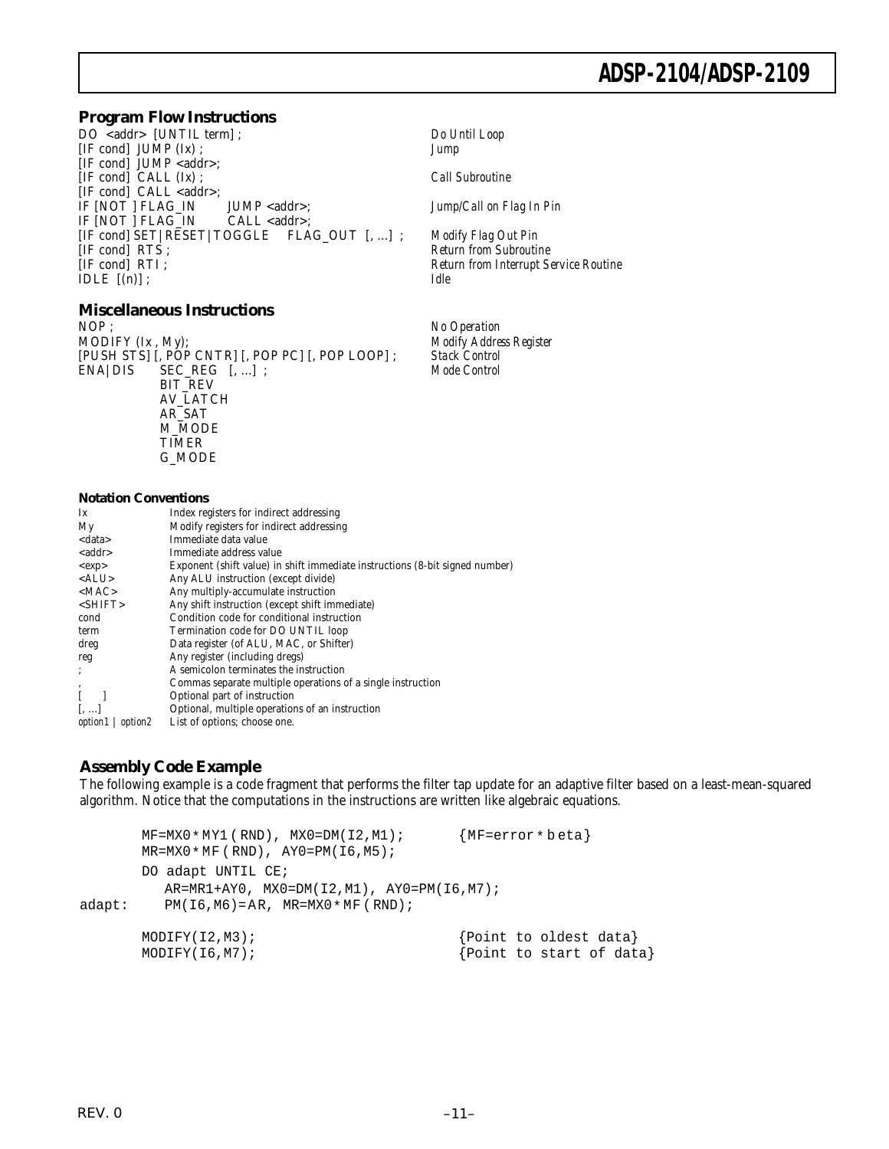#### **Program Flow Instructions**

DO <addr> [UNTIL term] ; *Do Until Loop* [IF cond] JUMP (Ix) ; *Jump* [IF cond] JUMP <addr>; [IF cond] CALL (Ix) ; *Call Subroutine* [IF cond] CALL <addr>; IF [NOT ] FLAG\_IN JUMP <addr>; *Jump/Call on Flag In Pin* IF [NOT ] FLAG\_IN CALL <addr>; [IF cond] SET|RESET|TOGGLE FLAG\_OUT [, ...] ; *Modify Flag Out Pin* [IF cond] RTI ; *Return from Interrupt Service Routine* IDLE [(n)] ; *Idle*

# **Miscellaneous Instructions**<br>NOP:

NOP ; *No Operation*<br>MODIFY (Ix , My); *No Operation* [PUSH STS] [, POP CNTR] [, POP PC] [, POP LOOP] ; *Stack Control* ENA|DIS SEC\_REG [, ...] ; *Mode Control* BIT\_REV AV\_LATCH AR\_SAT M\_MODE TIMER G\_MODE

#### **Notation Conventions**

| Ix                        | Index registers for indirect addressing                                      |
|---------------------------|------------------------------------------------------------------------------|
| My                        | Modify registers for indirect addressing                                     |
| <data></data>             | Immediate data value                                                         |
| < addr>                   | Immediate address value                                                      |
| <exp></exp>               | Exponent (shift value) in shift immediate instructions (8-bit signed number) |
| $<$ ALU $>$               | Any ALU instruction (except divide)                                          |
| MAC                       | Any multiply-accumulate instruction                                          |
| $<$ SHIFT>                | Any shift instruction (except shift immediate)                               |
| cond                      | Condition code for conditional instruction                                   |
| term                      | Termination code for DO UNTIL loop                                           |
| dreg                      | Data register (of ALU, MAC, or Shifter)                                      |
| reg                       | Any register (including dregs)                                               |
| :                         | A semicolon terminates the instruction                                       |
| ,                         | Commas separate multiple operations of a single instruction                  |
|                           | Optional part of instruction                                                 |
| ا…ا                       | Optional, multiple operations of an instruction                              |
| <i>option1</i><br>option2 | List of options; choose one.                                                 |

### **Assembly Code Example**

The following example is a code fragment that performs the filter tap update for an adaptive filter based on a least-mean-squared algorithm. Notice that the computations in the instructions are written like algebraic equations.

 $Return from Subroutine$ 

Modify Address Register

```
MF=MX0*MY1 (RND), MX0=DM(12, M1); {MF=error * beta}\texttt{MR=MX0*MF} ( \texttt{RND} ) , \texttt{AY0=PM(16,MS)} ;
       DO adapt UNTIL CE;
         AR=MR1+AY0, MX0=DM(I2,M1), AY0=PM(I6,M7);
adapt: PM(I6,M6)=AR, MR=MX0* MF ( RND);
       MODIFY(I2, M3); \{Point to oldest data\}MODIFY(I6, M7); \{Point\ to\ start\ of\ data\}
```
REV. 0 –11–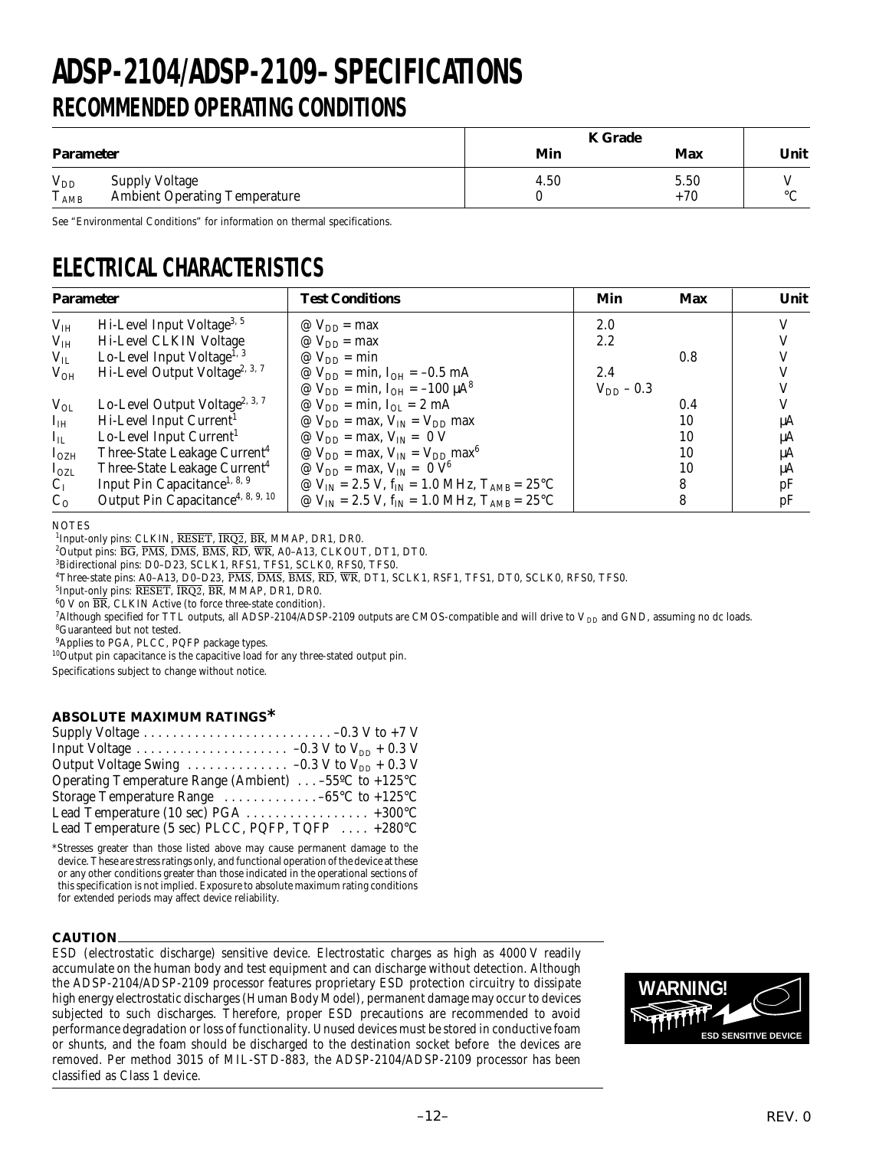# **RECOMMENDED OPERATING CONDITIONS ADSP-2104/ADSP-2109–SPECIFICATIONS**

|                           |                                                               |      | <b>K</b> Grade |         |  |
|---------------------------|---------------------------------------------------------------|------|----------------|---------|--|
| <b>Parameter</b>          |                                                               | Min  | Max            | Unit    |  |
| $V_{DD}$<br>$T_{\rm AMB}$ | <b>Supply Voltage</b><br><b>Ambient Operating Temperature</b> | 4.50 | 5.50<br>$+70$  | $\circ$ |  |

See "Environmental Conditions" for information on thermal specifications.

# **ELECTRICAL CHARACTERISTICS**

| <b>Parameter</b> |                                               | <b>Test Conditions</b>                                                     | Min            | <b>Max</b> | Unit |
|------------------|-----------------------------------------------|----------------------------------------------------------------------------|----------------|------------|------|
| V <sub>IH</sub>  | Hi-Level Input Voltage <sup>3, 5</sup>        | @ $V_{DD}$ = max                                                           | 2.0            |            |      |
| V <sub>IH</sub>  | Hi-Level CLKIN Voltage                        | @ $V_{DD}$ = max                                                           | 2.2            |            |      |
| $V_{IL}$         | Lo-Level Input Voltage <sup>1, 3</sup>        | $\mathcal{Q}$ V <sub>DD</sub> = min                                        |                | 0.8        |      |
| $V_{OH}$         | Hi-Level Output Voltage <sup>2, 3, 7</sup>    | @ $V_{DD}$ = min, $I_{OH}$ = -0.5 mA                                       | 2.4            |            |      |
|                  |                                               | <i>©</i> V <sub>DD</sub> = min, I <sub>OH</sub> = −100 $μA8$               | $V_{DD}$ – 0.3 |            |      |
| $V_{OL}$         | Lo-Level Output Voltage <sup>2, 3, 7</sup>    | $\mathcal{Q}$ V <sub>DD</sub> = min, I <sub>OL</sub> = 2 mA                |                | 0.4        |      |
| $I_{IH}$         | Hi-Level Input Current <sup>1</sup>           | $\mathcal{Q}$ V <sub>DD</sub> = max, V <sub>IN</sub> = V <sub>DD</sub> max |                | 10         | μA   |
| $I_{IL}$         | Lo-Level Input Current <sup>1</sup>           | $\mathcal{Q}$ V <sub>DD</sub> = max, V <sub>IN</sub> = 0 V                 |                | 10         | μA   |
| I <sub>OZH</sub> | Three-State Leakage Current <sup>4</sup>      | @ $V_{DD}$ = max, $V_{IN}$ = $V_{DD}$ max <sup>6</sup>                     |                | 10         | μA   |
| $I_{OZL}$        | Three-State Leakage Current <sup>4</sup>      | @ $V_{DD}$ = max, $V_{IN}$ = 0 $V^6$                                       |                | 10         | μA   |
| $C_I$            | Input Pin Capacitance <sup>1, 8, 9</sup>      | @ $V_{IN} = 2.5 V$ , $f_{IN} = 1.0 MHz$ , $T_{AMB} = 25$ °C                |                | 8          | pF   |
| $C_0$            | Output Pin Capacitance <sup>4, 8, 9, 10</sup> | @ $V_{IN} = 2.5 V$ , $f_{IN} = 1.0 MHz$ , $T_{AMB} = 25°C$                 |                | 8          | pF   |

**NOTES** 

<sup>1</sup>Input-only pins: CLKIN,  $\overline{RESET}$ ,  $\overline{IRQ2}$ ,  $\overline{BR}$ , MMAP, DR1, DR0.

<sup>2</sup>Output pins:  $\overline{BG}$ ,  $\overline{PMS}$ ,  $\overline{DMS}$ ,  $\overline{BMS}$ ,  $\overline{RD}$ ,  $\overline{WR}$ , A0-A13, CLKOUT, DT1, DT0.

3 Bidirectional pins: D0–D23, SCLK1, RFS1, TFS1, SCLK0, RFS0, TFS0.

4 Three-state pins: A0–A13, D0–D23, PMS, DMS, BMS, RD, WR, DT1, SCLK1, RSF1, TFS1, DT0, SCLK0, RFS0, TFS0.

 ${}^{5}$ Input-only pins:  $\overline{\text{RESET}}$ ,  $\overline{\text{IRQ2}}$ ,  $\overline{\text{BR}}$ , MMAP, DR1, DR0.

6 0 V on BR, CLKIN Active (to force three-state condition).

 $^7$ Although specified for TTL outputs, all ADSP-2104/ADSP-2109 outputs are CMOS-compatible and will drive to V  $_{\rm DD}$  and GND, assuming no dc loads.

8 Guaranteed but not tested.

9 Applies to PGA, PLCC, PQFP package types.

<sup>10</sup>Output pin capacitance is the capacitive load for any three-stated output pin.

Specifications subject to change without notice.

#### **ABSOLUTE MAXIMUM RATINGS\***

| Output Voltage Swing $\ldots \ldots \ldots \ldots -0.3$ V to $V_{DD}$ + 0.3 V |  |
|-------------------------------------------------------------------------------|--|
| Operating Temperature Range (Ambient) $-55^{\circ}$ C to $+125^{\circ}$ C     |  |
| Storage Temperature Range $\dots \dots \dots \dots -65$ °C to +125°C          |  |
|                                                                               |  |
| Lead Temperature (5 sec) PLCC, PQFP, TQFP  +280°C                             |  |

\*Stresses greater than those listed above may cause permanent damage to the device. These are stress ratings only, and functional operation of the device at these or any other conditions greater than those indicated in the operational sections of this specification is not implied. Exposure to absolute maximum rating conditions for extended periods may affect device reliability.

#### **CAUTION**

ESD (electrostatic discharge) sensitive device. Electrostatic charges as high as 4000 V readily accumulate on the human body and test equipment and can discharge without detection. Although the ADSP-2104/ADSP-2109 processor features proprietary ESD protection circuitry to dissipate high energy electrostatic discharges (Human Body Model), permanent damage may occur to devices subjected to such discharges. Therefore, proper ESD precautions are recommended to avoid performance degradation or loss of functionality. Unused devices must be stored in conductive foam or shunts, and the foam should be discharged to the destination socket before the devices are removed. Per method 3015 of MIL-STD-883, the ADSP-2104/ADSP-2109 processor has been classified as Class 1 device.

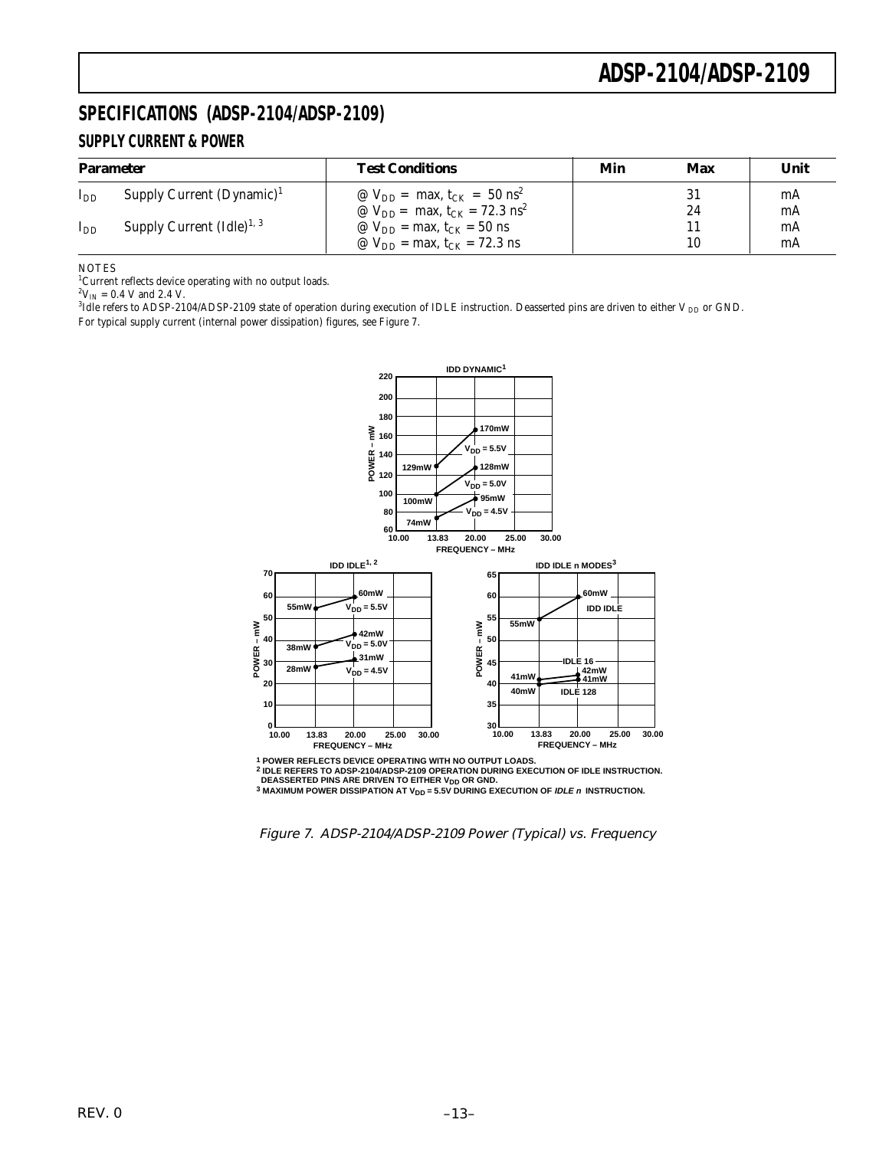### **SPECIFICATIONS (ADSP-2104/ADSP-2109) SUPPLY CURRENT & POWER**

| <b>Parameter</b> |                                      | <b>Test Conditions</b>                                   | Min | Max | Unit |  |
|------------------|--------------------------------------|----------------------------------------------------------|-----|-----|------|--|
| $I_{DD}$         | Supply Current $(Dynamic)^1$         | @ $V_{DD}$ = max, t <sub>CK</sub> = 50 ns <sup>2</sup>   |     | 31  | mA   |  |
|                  |                                      | @ $V_{DD}$ = max, t <sub>CK</sub> = 72.3 ns <sup>2</sup> |     | 24  | mA   |  |
| $I_{DD}$         | Supply Current $(\text{Idle})^{1,3}$ | $\omega$ V <sub>DD</sub> = max, t <sub>CK</sub> = 50 ns  |     |     | mA   |  |
|                  |                                      | @ $V_{DD}$ = max, $t_{CK}$ = 72.3 ns                     |     | 10  | mA   |  |

NOTES

<sup>1</sup>Current reflects device operating with no output loads.

 $^{2}V_{IN}$  = 0.4 V and 2.4 V.

 $^3$ Idle refers to ADSP-2104/ADSP-2109 state of operation during execution of IDLE instruction. Deasserted pins are driven to either V  $_{\rm DD}$  or GND. For typical supply current (internal power dissipation) figures, see Figure 7.



**1 POWER REFLECTS DEVICE OPERATING WITH NO OUTPUT LOADS. 2 IDLE REFERS TO ADSP-2104/ADSP-2109 OPERATION DURING EXECUTION OF IDLE INSTRUCTION.**

**DEASSERTED PINS ARE DRIVEN TO EITHER V<sub>DD</sub> OR GND.<br>3 MAXIMUM POWER DISSIPATION AT V<sub>DD</sub> = 5.5V DURING EXECUTION OF** *IDLE n* **INSTRUCTION.** 

Figure 7. ADSP-2104/ADSP-2109 Power (Typical) vs. Frequency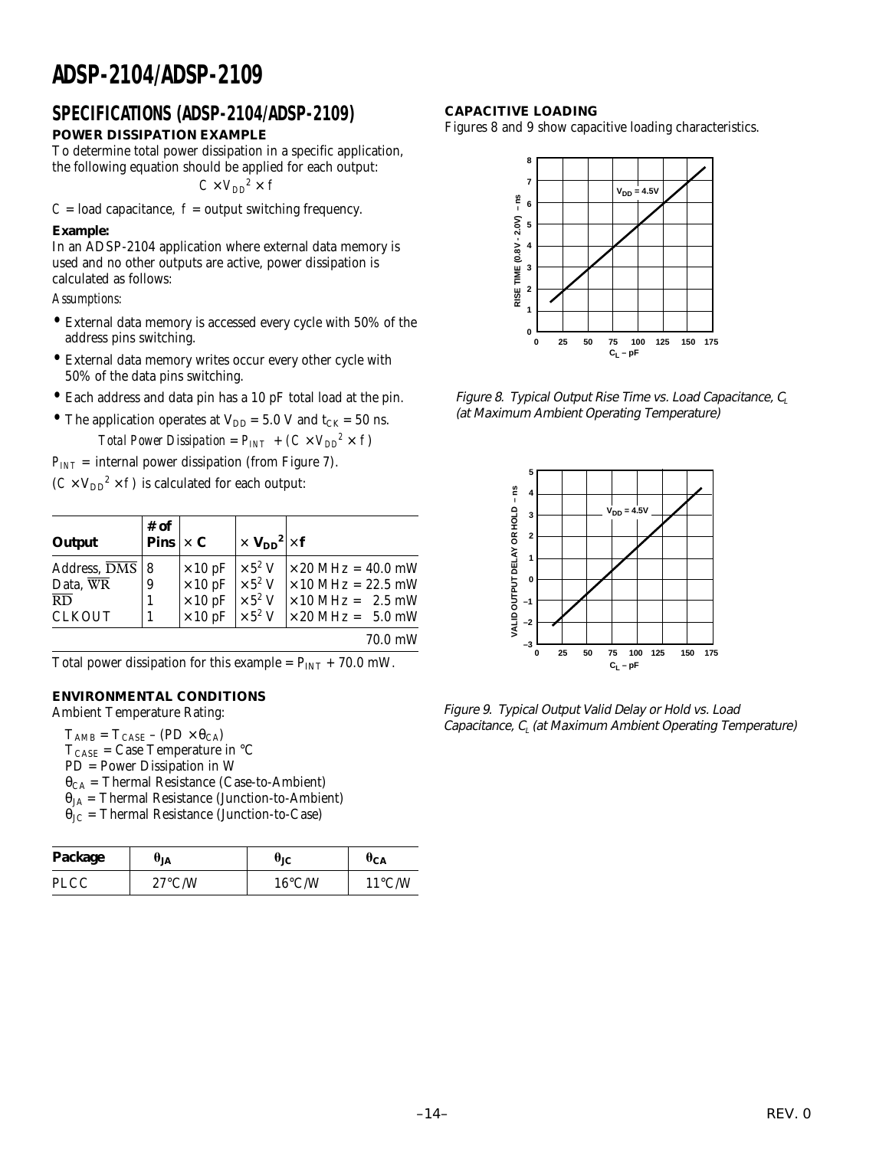### **POWER DISSIPATION EXAMPLE** SPECIFICATIONS (ADSP-2104/ADSP-2109) CAPACITIVE LOADING

To determine total power dissipation in a specific application, the following equation should be applied for each output:

 $C \times V_{DD}^2 \times I$ 

 $C =$  load capacitance,  $f =$  output switching frequency.

#### **Example:**

In an ADSP-2104 application where external data memory is used and no other outputs are active, power dissipation is calculated as follows:

*Assumptions:*

- External data memory is accessed every cycle with 50% of the address pins switching.
- External data memory writes occur every other cycle with 50% of the data pins switching.
- Each address and data pin has a 10 pF total load at the pin.
- The application operates at  $V_{DD} = 5.0$  V and  $t_{CK} = 50$  ns. *Total Power Dissipation* =  $P_{INT}$  +  $(C \times V_{DD}^2 \times f)$

 $P_{INT}$  = internal power dissipation (from Figure 7).

 $(C \times V_{DD}^2 \times f)$  is calculated for each output:

| Output                                                                                 | # of<br>Pins $\vert \times C \vert$ |                                                                                                                                                                                                                               | $\times$ V <sub>DD</sub> <sup>2</sup> $\times$ f |                                                                                                                                                                            |
|----------------------------------------------------------------------------------------|-------------------------------------|-------------------------------------------------------------------------------------------------------------------------------------------------------------------------------------------------------------------------------|--------------------------------------------------|----------------------------------------------------------------------------------------------------------------------------------------------------------------------------|
| Address, $\overline{\mathrm{DMS}}$   8<br>Data, WR<br>$\overline{RD}$<br><b>CLKOUT</b> | 9                                   | $\times$ 10 pF $\times$ 5 <sup>2</sup> V<br>$\begin{array}{c c c}\n\times 10 & \text{pF} & \times 5^2 \text{ V} \\ \times 10 & \text{pF} & \times 5^2 \text{ V} \\ \times 10 & \text{pF} & \times 5^2 \text{ V}\n\end{array}$ |                                                  | $\vert \times 20 \text{ MHz} = 40.0 \text{ mW}$<br>$\times$ 10 MHz = 22.5 mW<br>$\vert \times 10 \text{ MHz} = 2.5 \text{ mW}$<br>$\times 20 \text{ MHz} = 5.0 \text{ mW}$ |
|                                                                                        |                                     |                                                                                                                                                                                                                               |                                                  | 70.0 mW                                                                                                                                                                    |

Total power dissipation for this example =  $P_{INT}$  + 70.0 mW.

### **ENVIRONMENTAL CONDITIONS**

Ambient Temperature Rating:

 $T_{\text{AMB}} = T_{\text{CASE}} - (\text{PD} \times \theta_{\text{CA}})$ 

 $T_{\text{CASE}}$  = Case Temperature in °C PD = Power Dissipation in W

 $\theta_{CA}$  = Thermal Resistance (Case-to-Ambient)

- $\theta_{JA}$  = Thermal Resistance (Junction-to-Ambient)
- $\theta_{\text{JC}}$  = Thermal Resistance (Junction-to-Case)

| Package | UјĄ              | υіс              | $\sigma_{\text{CA}}$ |
|---------|------------------|------------------|----------------------|
| PLCC    | $27^{\circ}$ C/W | $16^{\circ}$ C/W | $11^{\circ}$ C/W     |

Figures 8 and 9 show capacitive loading characteristics.



Figure 8. Typical Output Rise Time vs. Load Capacitance,  $C_1$ (at Maximum Ambient Operating Temperature)



Figure 9. Typical Output Valid Delay or Hold vs. Load Capacitance,  $C_{\text{l}}$  (at Maximum Ambient Operating Temperature)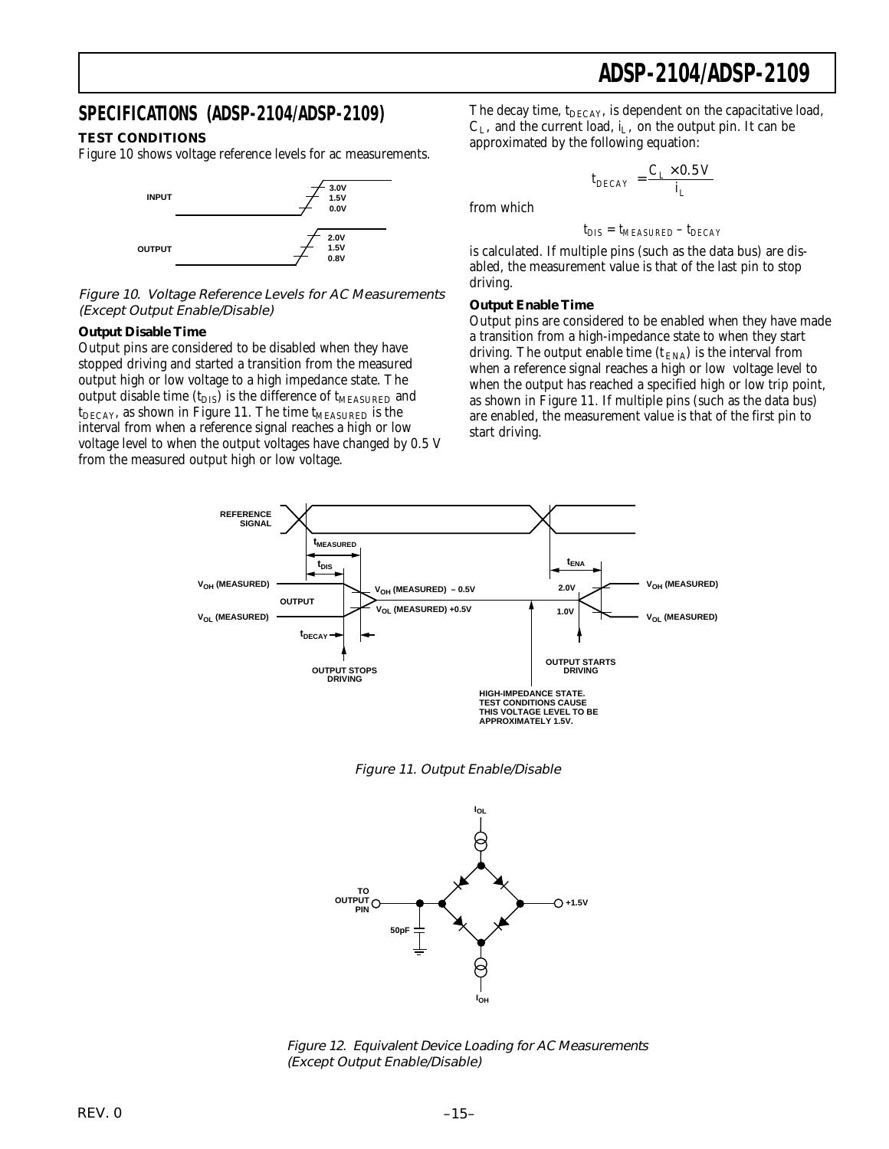### **SPECIFICATIONS (ADSP-2104/ADSP-2109)**

#### **TEST CONDITIONS**

Figure 10 shows voltage reference levels for ac measurements.



Figure 10. Voltage Reference Levels for AC Measurements (Except Output Enable/Disable)

#### **Output Disable Time**

Output pins are considered to be disabled when they have stopped driving and started a transition from the measured output high or low voltage to a high impedance state. The output disable time  $(t_{DIS})$  is the difference of  $t_{MEASURED}$  and  $t_{\text{DECAY}}$ , as shown in Figure 11. The time  $t_{\text{MEASURED}}$  is the interval from when a reference signal reaches a high or low voltage level to when the output voltages have changed by 0.5 V from the measured output high or low voltage.

The decay time,  $t_{\text{DECAY}}$ , is dependent on the capacitative load,  $C_L$ , and the current load,  $i_L$ , on the output pin. It can be approximated by the following equation:

 $t_{DECAY} = \frac{C_L \times 0.5 \text{ V}}{i_L}$ 

from which

$$
t_{DIS} = t_{MEASURED} - t_{DECAY}
$$

is calculated. If multiple pins (such as the data bus) are disabled, the measurement value is that of the last pin to stop driving.

#### **Output Enable Time**

Output pins are considered to be enabled when they have made a transition from a high-impedance state to when they start driving. The output enable time  $(t_{\text{ENA}})$  is the interval from when a reference signal reaches a high or low voltage level to when the output has reached a specified high or low trip point, as shown in Figure 11. If multiple pins (such as the data bus) are enabled, the measurement value is that of the first pin to start driving.







Figure 12. Equivalent Device Loading for AC Measurements (Except Output Enable/Disable)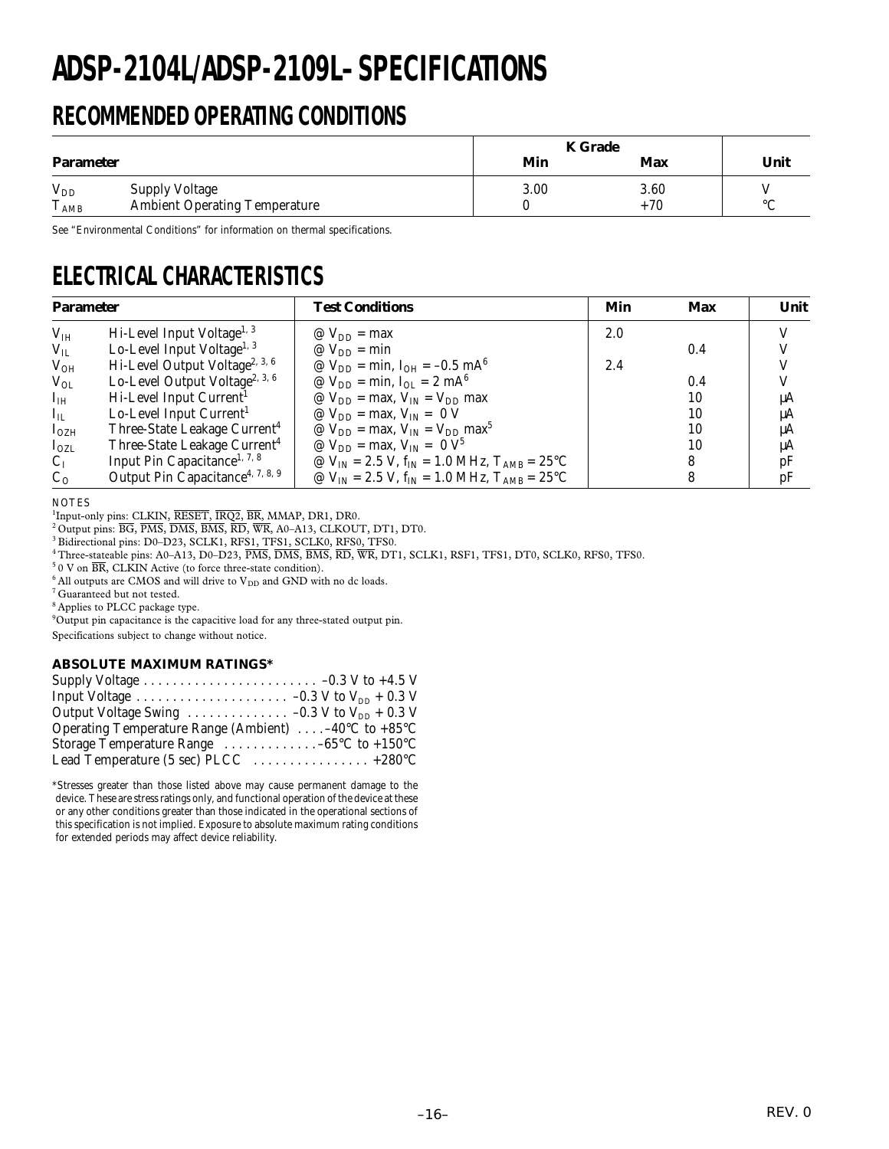# **ADSP-2104L/ADSP-2109L–SPECIFICATIONS**

# **RECOMMENDED OPERATING CONDITIONS**

|                                 |                                                               | <b>K</b> Grade |               |         |
|---------------------------------|---------------------------------------------------------------|----------------|---------------|---------|
| <b>Parameter</b>                |                                                               | Min            | <b>Max</b>    | Unit    |
| $V_{DD}$<br>T.<br>$T_{\rm AMB}$ | <b>Supply Voltage</b><br><b>Ambient Operating Temperature</b> | 3.00           | 3.60<br>$+70$ | $\circ$ |

See "Environmental Conditions" for information on thermal specifications.

# **ELECTRICAL CHARACTERISTICS**

| <b>Parameter</b> |                                              | <b>Test Conditions</b>                                                | Min | Max | Unit |
|------------------|----------------------------------------------|-----------------------------------------------------------------------|-----|-----|------|
| $V_{IH}$         | Hi-Level Input Voltage <sup>1, 3</sup>       | $\mathcal{Q}$ V <sub>DD</sub> = max                                   | 2.0 |     |      |
| $V_{IL}$         | Lo-Level Input Voltage <sup>1, 3</sup>       | $\mathcal{Q}$ V <sub>DD</sub> = min                                   |     | 0.4 |      |
| $V_{OH}$         | Hi-Level Output Voltage <sup>2, 3, 6</sup>   | @ $V_{DD} = min$ , $I_{OH} = -0.5$ mA <sup>6</sup>                    | 2.4 |     |      |
| $V_{OL}$         | Lo-Level Output Voltage <sup>2, 3, 6</sup>   | @ $V_{DD}$ = min, $I_{OL}$ = 2 mA <sup>6</sup>                        |     | 0.4 |      |
| $I_{IH}$         | Hi-Level Input Current <sup>1</sup>          | $\omega$ V <sub>DD</sub> = max, V <sub>IN</sub> = V <sub>DD</sub> max |     | 10  | uA   |
| $I_{IL}$         | Lo-Level Input Current <sup>1</sup>          | $\mathcal{Q}$ V <sub>DD</sub> = max, V <sub>IN</sub> = 0 V            |     | 10  | μA   |
| $I_{OZH}$        | Three-State Leakage Current <sup>4</sup>     | @ $V_{DD}$ = max, $V_{IN}$ = $V_{DD}$ max <sup>5</sup>                |     | 10  | μA   |
| $I_{OZL}$        | Three-State Leakage Current <sup>4</sup>     | @ $V_{DD}$ = max, $V_{IN}$ = 0 $V^5$                                  |     | 10  | μA   |
| $C_I$            | Input Pin Capacitance <sup>1, 7, 8</sup>     | @ $V_{IN} = 2.5 V$ , $f_{IN} = 1.0 MHz$ , $T_{AMB} = 25$ °C           |     |     | pF   |
| $C_0$            | Output Pin Capacitance <sup>4, 7, 8, 9</sup> | @ $V_{IN}$ = 2.5 V, $f_{IN}$ = 1.0 MHz, $T_{AMB}$ = 25°C              |     |     | pF   |

**NOTES** 

<sup>1</sup>Input-only pins: CLKIN, RESET, IRQ2, BR, MMAP, DR1, DR0.<br><sup>2</sup> Output pins: BG, PMS, DMS, BMS, RD, WR, A0–A13, CLKOUT, DT1, DT0.

<sup>3</sup> Bidirectional pins: D0-D23, SCLK1, RFS1, TFS1, SCLK0, RFS0, TFS0.

<sup>4</sup> Three-stateable pins: A0-A13, D0-D23, PMS, DMS, BMS, RD, WR, DT1, SCLK1, RSF1, TFS1, DT0, SCLK0, RFS0, TFS0.

 $50$  V on  $\overline{\text{BR}}$ , CLKIN Active (to force three-state condition).

 $^6$  All outputs are CMOS and will drive to  $\mathrm{V_{DD}}$  and GND with no dc loads.

7 Guaranteed but not tested.

8 Applies to PLCC package type.

<sup>9</sup>Output pin capacitance is the capacitive load for any three-stated output pin.

Specifications subject to change without notice.

#### **ABSOLUTE MAXIMUM RATINGS\***

| Output Voltage Swing $\ldots \ldots \ldots \ldots -0.3$ V to V <sub>DD</sub> + 0.3 V |  |
|--------------------------------------------------------------------------------------|--|
| Operating Temperature Range (Ambient)  -40 $^{\circ}$ C to +85 $^{\circ}$ C          |  |
| Storage Temperature Range $\dots \dots \dots \dots -65^{\circ}C$ to +150°C           |  |
| Lead Temperature (5 sec) PLCC  +280°C                                                |  |

\*Stresses greater than those listed above may cause permanent damage to the device. These are stress ratings only, and functional operation of the device at these or any other conditions greater than those indicated in the operational sections of this specification is not implied. Exposure to absolute maximum rating conditions for extended periods may affect device reliability.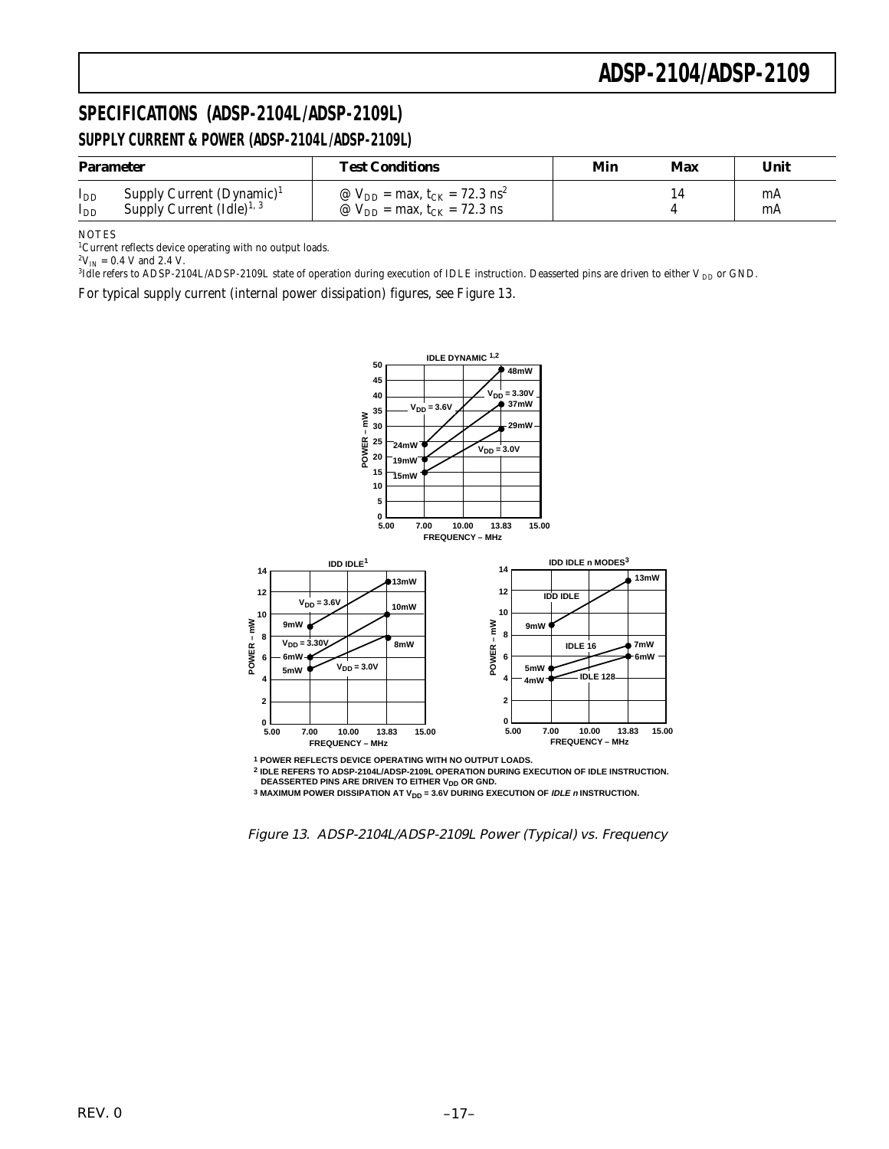### **SPECIFICATIONS (ADSP-2104L/ADSP-2109L) SUPPLY CURRENT & POWER (ADSP-2104L /ADSP-2109L)**

| <b>Parameter</b>     |                                                                      | <b>Test Conditions</b>                                                                                  | Min | Max | Unit     |
|----------------------|----------------------------------------------------------------------|---------------------------------------------------------------------------------------------------------|-----|-----|----------|
| $I_{DD}$<br>$I_{DD}$ | Supply Current $(Dynamic)^1$<br>Supply Current $(\text{Idle})^{1,3}$ | @ $V_{DD}$ = max, t <sub>CK</sub> = 72.3 ns <sup>2</sup><br>@ $V_{DD}$ = max, t <sub>CK</sub> = 72.3 ns |     |     | mA<br>mA |

**NOTES** 

<sup>1</sup>Current reflects device operating with no output loads.

 $^{2}V_{IN}$  = 0.4 V and 2.4 V.

 $^3$ Idle refers to ADSP-2104L/ADSP-2109L state of operation during execution of IDLE instruction. Deasserted pins are driven to either V  $_{\rm DD}$  or GND.

For typical supply current (internal power dissipation) figures, see Figure 13.



**1 POWER REFLECTS DEVICE OPERATING WITH NO OUTPUT LOADS. FREQUENCY** 

**2 IDLE REFERS TO ADSP-2104L/ADSP-2109L OPERATION DURING EXECUTION OF IDLE INSTRUCTION. DEASSERTED PINS ARE DRIVEN TO EITHER V<sub>DD</sub> OR GND.** 

**3 MAXIMUM POWER DISSIPATION AT V<sub>DD</sub> = 3.6V DURING EXECUTION OF** *IDLE n* **INSTRUCTION.** 

Figure 13. ADSP-2104L/ADSP-2109L Power (Typical) vs. Frequency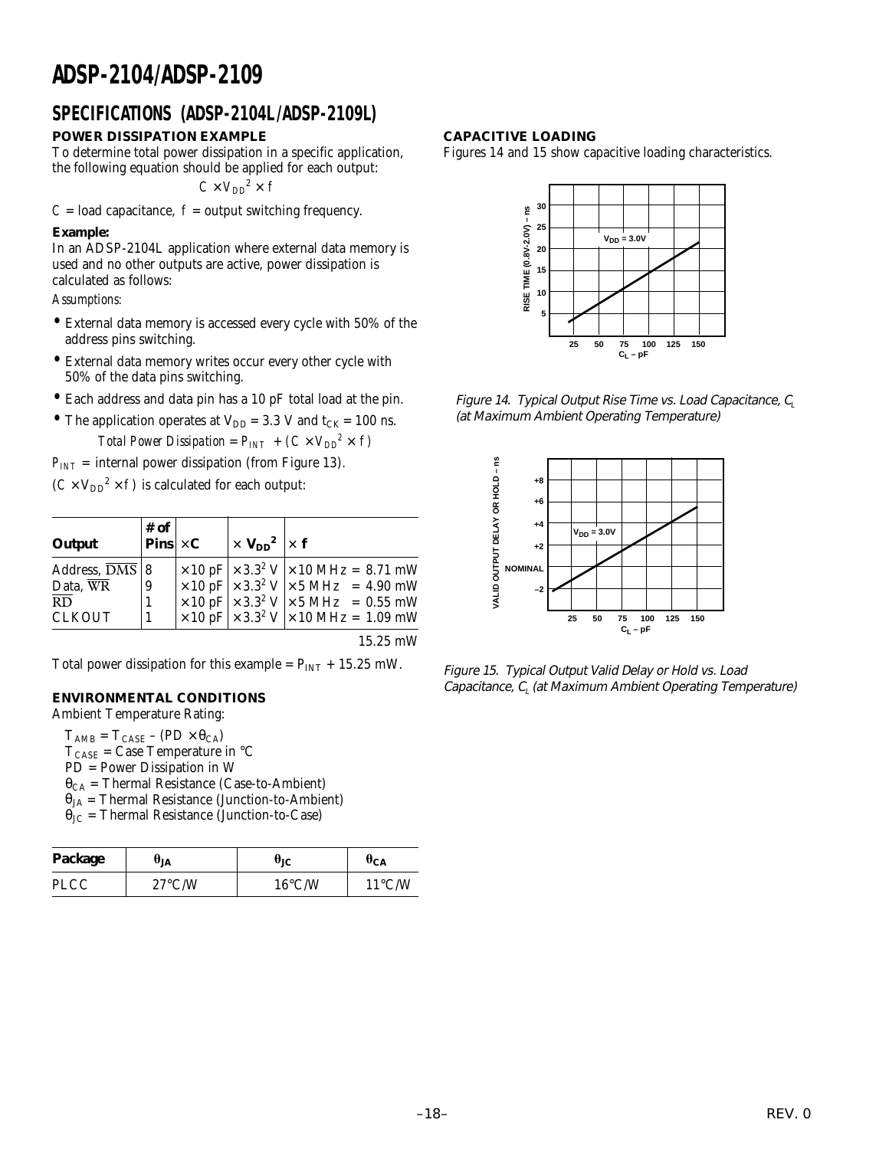### **SPECIFICATIONS (ADSP-2104L /ADSP-2109L)**

### **POWER DISSIPATION EXAMPLE**

To determine total power dissipation in a specific application, the following equation should be applied for each output:

 $C \times V_{DD}^2 \times I$ 

 $C =$  load capacitance,  $f =$  output switching frequency.

#### **Example:**

In an ADSP-2104L application where external data memory is used and no other outputs are active, power dissipation is calculated as follows:

*Assumptions:*

- External data memory is accessed every cycle with 50% of the address pins switching.
- External data memory writes occur every other cycle with 50% of the data pins switching.
- Each address and data pin has a 10 pF total load at the pin.
- The application operates at  $V_{DD} = 3.3$  V and  $t_{CK} = 100$  ns. *Total Power Dissipation =*  $P_{INT} + (C \times V_{DD}^2 \times f)$

 $P_{INT}$  = internal power dissipation (from Figure 13).

 $(C \times V_{DD}^2 \times f)$  is calculated for each output:

| Output                             | $\begin{array}{c} \text{\# of} \ \text{\textbf{Pins}} \times \textbf{C} \end{array}$ | $\vert \times V_{DD}^2 \vert \times f$ |                                                                                                                                                                                                                                                                                                                                                                                                                 |
|------------------------------------|--------------------------------------------------------------------------------------|----------------------------------------|-----------------------------------------------------------------------------------------------------------------------------------------------------------------------------------------------------------------------------------------------------------------------------------------------------------------------------------------------------------------------------------------------------------------|
| Address, $\overline{\text{DMS}}$ 8 |                                                                                      |                                        |                                                                                                                                                                                                                                                                                                                                                                                                                 |
| Data, WR                           | 9                                                                                    |                                        |                                                                                                                                                                                                                                                                                                                                                                                                                 |
| $\overline{RD}$                    |                                                                                      |                                        |                                                                                                                                                                                                                                                                                                                                                                                                                 |
| <b>CLKOUT</b>                      |                                                                                      |                                        | $\begin{array}{c c c c} \times 10 \text{ pF} & \times 3.3^2 \text{ V} & \times 10 \text{ MHz} = 8.71 \text{ mW} \\ \times 10 \text{ pF} & \times 3.3^2 \text{ V} & \times 5 \text{ MHz} & = 4.90 \text{ mW} \\ \times 10 \text{ pF} & \times 3.3^2 \text{ V} & \times 5 \text{ MHz} & = 0.55 \text{ mW} \\ \times 10 \text{ pF} & \times 3.3^2 \text{ V} & \times 10 \text{ MHz} = 1.09 \text{ mW} \end{array}$ |

15.25 mW

Total power dissipation for this example =  $P_{INT}$  + 15.25 mW.

### **ENVIRONMENTAL CONDITIONS**

Ambient Temperature Rating:

 $T_{\text{AMB}} = T_{\text{CASE}} - (\text{PD} \times \theta_{\text{CA}})$  $T_{\text{CASE}}$  = Case Temperature in °C PD = Power Dissipation in W  $\theta_{CA}$  = Thermal Resistance (Case-to-Ambient)  $\theta_{JA}$  = Thermal Resistance (Junction-to-Ambient)  $\theta_{\text{IC}}$  = Thermal Resistance (Junction-to-Case)

| Package     | UJA              | UіC              | $\theta_{CA}$    |
|-------------|------------------|------------------|------------------|
| <b>PLCC</b> | $27^{\circ}$ C/W | $16^{\circ}$ C/W | $11^{\circ}$ C/W |

#### **CAPACITIVE LOADING**

Figures 14 and 15 show capacitive loading characteristics.



Figure 14. Typical Output Rise Time vs. Load Capacitance,  $C_l$ (at Maximum Ambient Operating Temperature)



Figure 15. Typical Output Valid Delay or Hold vs. Load Capacitance,  $C_{L}$  (at Maximum Ambient Operating Temperature)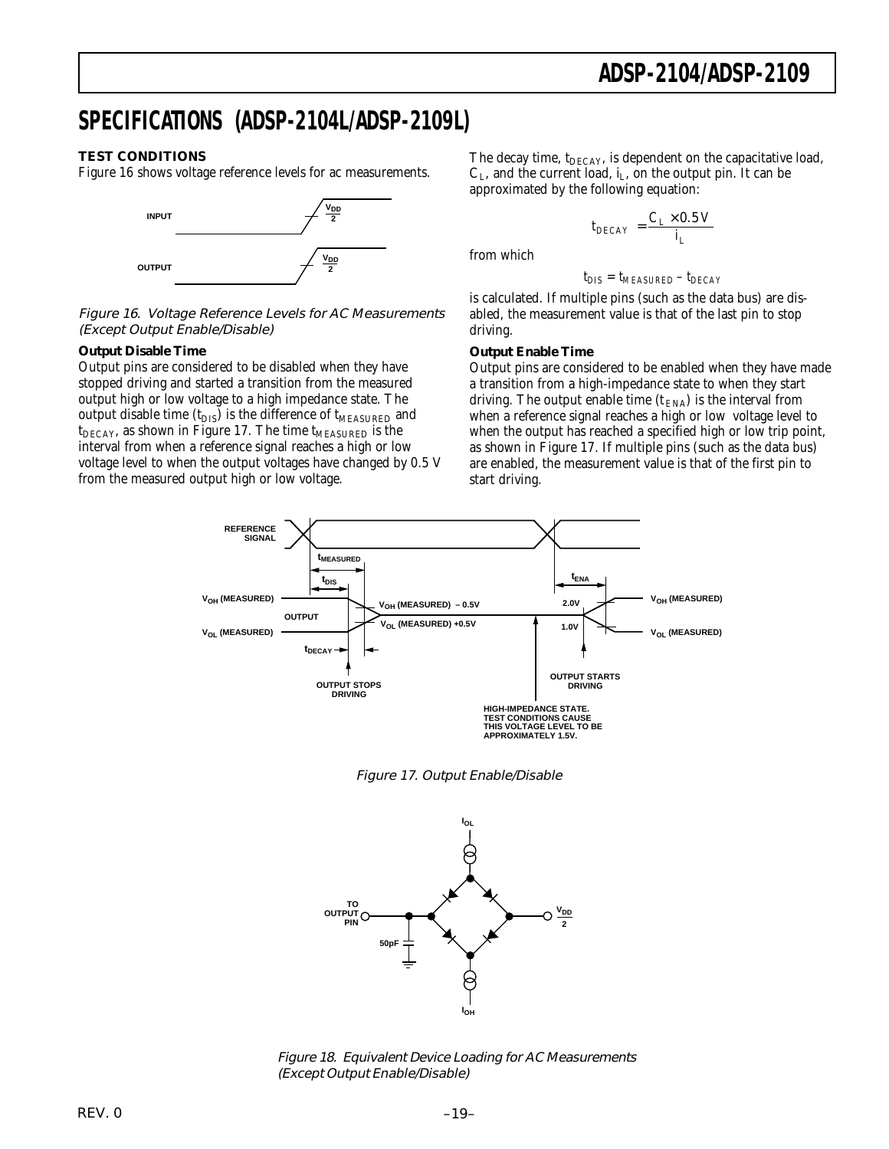### **SPECIFICATIONS (ADSP-2104L/ADSP-2109L)**

#### **TEST CONDITIONS**

Figure 16 shows voltage reference levels for ac measurements.



Figure 16. Voltage Reference Levels for AC Measurements (Except Output Enable/Disable)

#### **Output Disable Time**

Output pins are considered to be disabled when they have stopped driving and started a transition from the measured output high or low voltage to a high impedance state. The output disable time  $(t_{DIS})$  is the difference of  $t_{MEASURED}$  and  $t_{DECAY}$ , as shown in Figure 17. The time  $t_{MEASURED}$  is the interval from when a reference signal reaches a high or low voltage level to when the output voltages have changed by 0.5 V from the measured output high or low voltage.

The decay time, t<sub>DECAY</sub>, is dependent on the capacitative load,  $C_L$ , and the current load,  $i_L$ , on the output pin. It can be approximated by the following equation:

$$
t_{DECAY} = \frac{C_L \times 0.5 \ V}{i_L}
$$

from which

$$
t_{DIS} = t_{MEASURED} - t_{DECAY}
$$

is calculated. If multiple pins (such as the data bus) are disabled, the measurement value is that of the last pin to stop driving.

#### **Output Enable Time**

Output pins are considered to be enabled when they have made a transition from a high-impedance state to when they start driving. The output enable time  $(t_{\text{ENA}})$  is the interval from when a reference signal reaches a high or low voltage level to when the output has reached a specified high or low trip point, as shown in Figure 17. If multiple pins (such as the data bus) are enabled, the measurement value is that of the first pin to start driving.







Figure 18. Equivalent Device Loading for AC Measurements (Except Output Enable/Disable)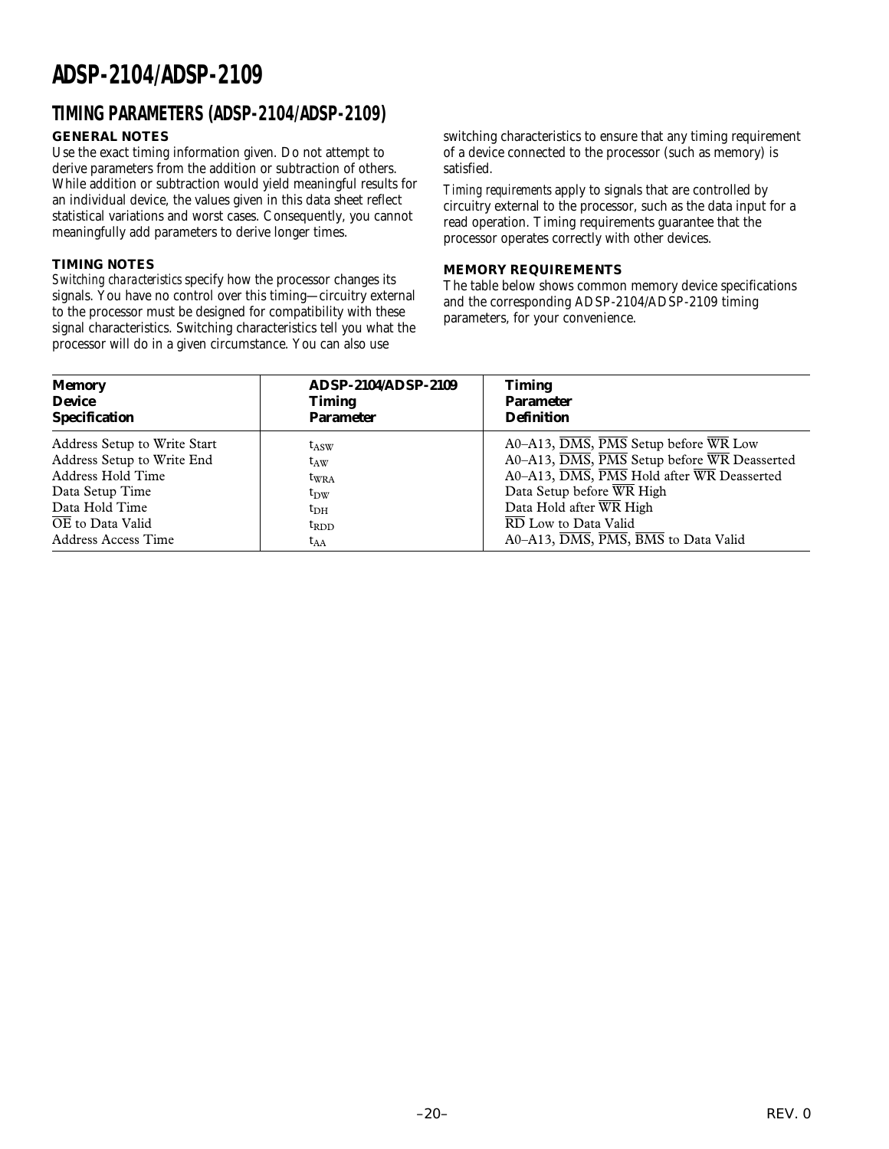### **TIMING PARAMETERS (ADSP-2104/ADSP-2109)**

### **GENERAL NOTES**

Use the exact timing information given. Do not attempt to derive parameters from the addition or subtraction of others. While addition or subtraction would yield meaningful results for an individual device, the values given in this data sheet reflect statistical variations and worst cases. Consequently, you cannot meaningfully add parameters to derive longer times.

#### **TIMING NOTES**

*Switching characteristics* specify how the processor changes its signals. You have no control over this timing—circuitry external to the processor must be designed for compatibility with these signal characteristics. Switching characteristics tell you what the processor will do in a given circumstance. You can also use

switching characteristics to ensure that any timing requirement of a device connected to the processor (such as memory) is satisfied.

*Timing requirements* apply to signals that are controlled by circuitry external to the processor, such as the data input for a read operation. Timing requirements guarantee that the processor operates correctly with other devices.

#### **MEMORY REQUIREMENTS**

The table below shows common memory device specifications and the corresponding ADSP-2104/ADSP-2109 timing parameters, for your convenience.

| <b>Memory</b>                | <b>ADSP-2104/ADSP-2109</b> | <b>Timing</b>                                                                     |
|------------------------------|----------------------------|-----------------------------------------------------------------------------------|
| <b>Device</b>                | <b>Timing</b>              | <b>Parameter</b>                                                                  |
| <b>Specification</b>         | <b>Parameter</b>           | <b>Definition</b>                                                                 |
| Address Setup to Write Start | $t_{ASW}$                  | $A0 - A13$ , $\overline{DMS}$ , $\overline{PMS}$ Setup before $\overline{WR}$ Low |
| Address Setup to Write End   | $t_{AW}$                   | A0–A13, DMS, PMS Setup before WR Deasserted                                       |
| Address Hold Time            | $t_{\rm WRA}$              | A0-A13, DMS, PMS Hold after WR Deasserted                                         |
| Data Setup Time              | $t_{\rm DW}$               | Data Setup before WR High                                                         |
| Data Hold Time               | $t_{\rm DH}$               | Data Hold after WR High                                                           |
| OE to Data Valid             | $t_{RDD}$                  | RD Low to Data Valid                                                              |
| Address Access Time          | $t_{AA}$                   | A0-A13, DMS, PMS, BMS to Data Valid                                               |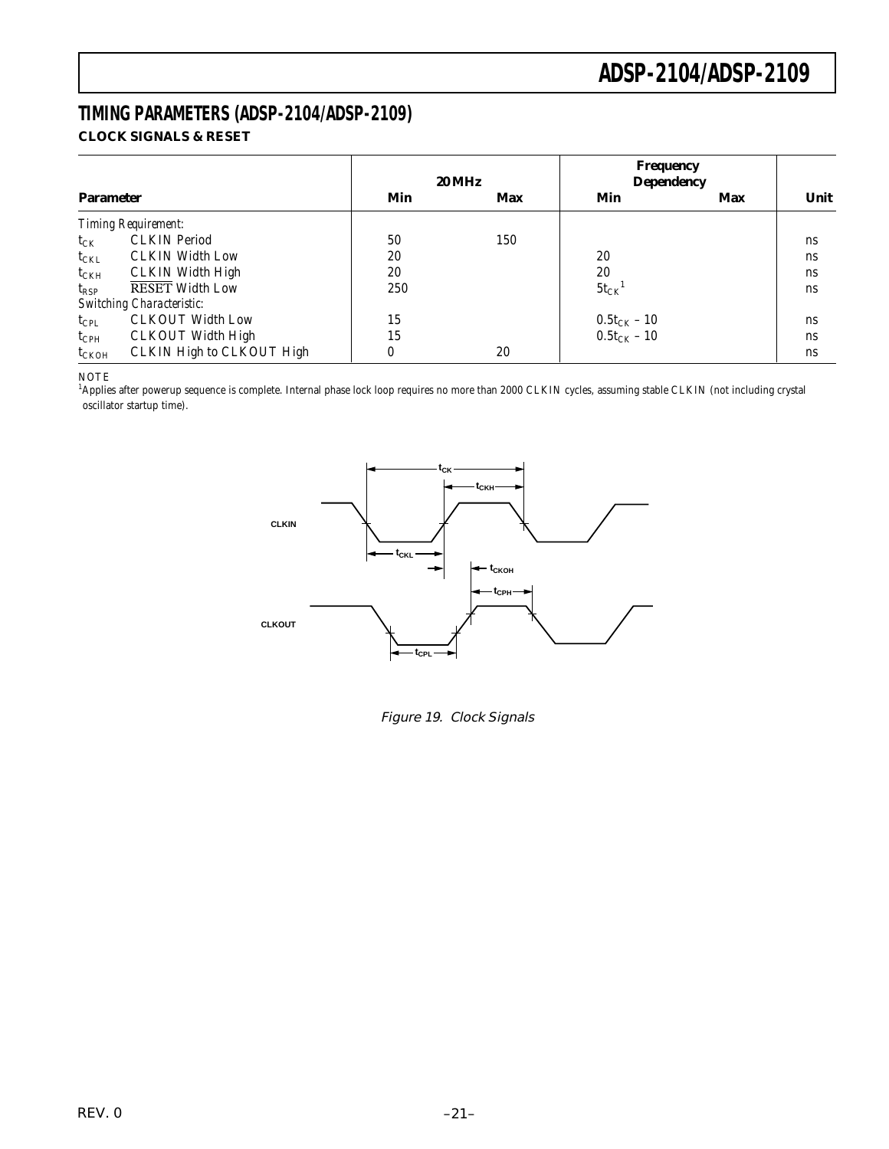### **TIMING PARAMETERS (ADSP-2104/ADSP-2109) CLOCK SIGNALS & RESET**

|                  |                                  |     | <b>20 MHz</b> | <b>Frequency</b><br><b>Dependency</b> |     |      |
|------------------|----------------------------------|-----|---------------|---------------------------------------|-----|------|
| <b>Parameter</b> |                                  | Min | Max           | Min                                   | Max | Unit |
|                  | <b>Timing Requirement:</b>       |     |               |                                       |     |      |
| $t_{CK}$         | <b>CLKIN</b> Period              | 50  | 150           |                                       |     | ns   |
| $t_{\rm CKL}$    | <b>CLKIN Width Low</b>           | 20  |               | 20                                    |     | ns   |
| $t_{\rm CKH}$    | <b>CLKIN Width High</b>          | 20  |               | 20                                    |     | ns   |
| $t_{RSP}$        | <b>RESET Width Low</b>           | 250 |               | $5t_{CK}$ <sup>1</sup>                |     | ns   |
|                  | <b>Switching Characteristic:</b> |     |               |                                       |     |      |
| $t_{\rm CPL}$    | <b>CLKOUT Width Low</b>          | 15  |               | $0.5t_{CK} - 10$                      |     | ns   |
| $t_{\rm CPH}$    | <b>CLKOUT Width High</b>         | 15  |               | $0.5t_{CK} - 10$                      |     | ns   |
| $t_{CKOH}$       | CLKIN High to CLKOUT High        | 0   | 20            |                                       |     | ns   |

NOTE

<sup>1</sup>Applies after powerup sequence is complete. Internal phase lock loop requires no more than 2000 CLKIN cycles, assuming stable CLKIN (not including crystal oscillator startup time).



Figure 19. Clock Signals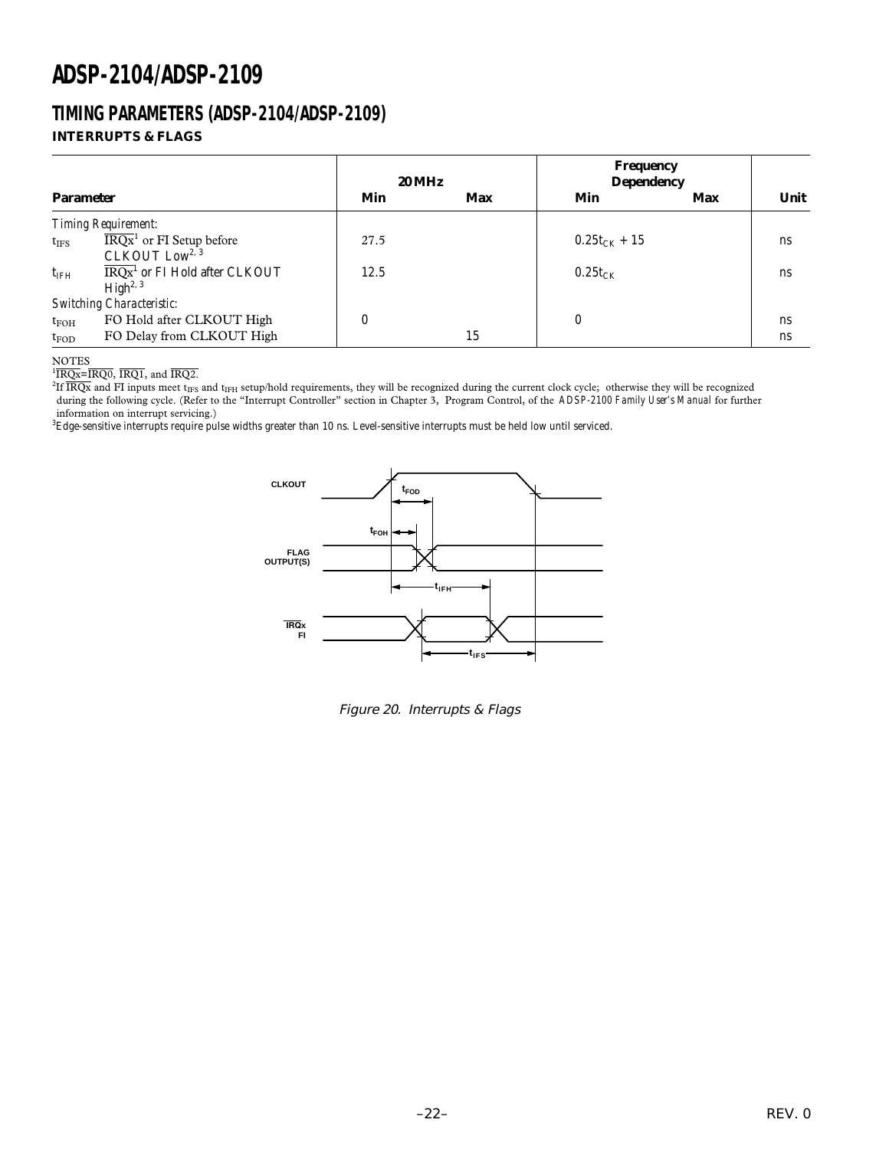### **TIMING PARAMETERS (ADSP-2104/ADSP-2109) INTERRUPTS & FLAGS**

|                  |                                                                             | <b>20 MHz</b> |     | <b>Frequency</b><br><b>Dependency</b> |     |      |  |
|------------------|-----------------------------------------------------------------------------|---------------|-----|---------------------------------------|-----|------|--|
| <b>Parameter</b> |                                                                             | Min           | Max | Min                                   | Max | Unit |  |
|                  | <b>Timing Requirement:</b>                                                  |               |     |                                       |     |      |  |
| $t_{\text{IFS}}$ | $\overline{\text{IRQx}}^1$ or FI Setup before<br>CLKOUT Low <sup>2, 3</sup> | 27.5          |     | $0.25t_{CK} + 15$                     |     | ns   |  |
| $t_{\rm IFH}$    | $\overline{\text{IRQx}}^1$ or FI Hold after CLKOUT<br>High <sup>2, 3</sup>  | 12.5          |     | $0.25t_{CK}$                          |     | ns   |  |
|                  | Switching Characteristic:                                                   |               |     |                                       |     |      |  |
| $t_{FOH}$        | FO Hold after CLKOUT High                                                   | $\bf{0}$      |     | $\bf{0}$                              |     | ns   |  |
| $t_{FOD}$        | FO Delay from CLKOUT High                                                   |               | 15  |                                       |     | ns   |  |

NOTES

 ${}^{1}\overline{\text{IRQx}} = \overline{\text{IRQ0}}$ ,  $\overline{\text{IRQ1}}$ , and  $\overline{\text{IRQ2}}$ .

 $^{2}$ If  $\overline{\text{IRQx}}$  and FI inputs meet t<sub>IFS</sub> and t<sub>IFH</sub> setup/hold requirements, they will be recognized during the current clock cycle; otherwise they will be recognized during the following cycle. (Refer to the "Interrupt Controller" section in Chapter 3, Program Control, of the *ADSP-2100 Family User's Manual* for further information on interrupt servicing.)

 ${}^{3}\rm{Edge}$ -sensitive interrupts require pulse widths greater than 10 ns. Level-sensitive interrupts must be held low until serviced.



Figure 20. Interrupts & Flags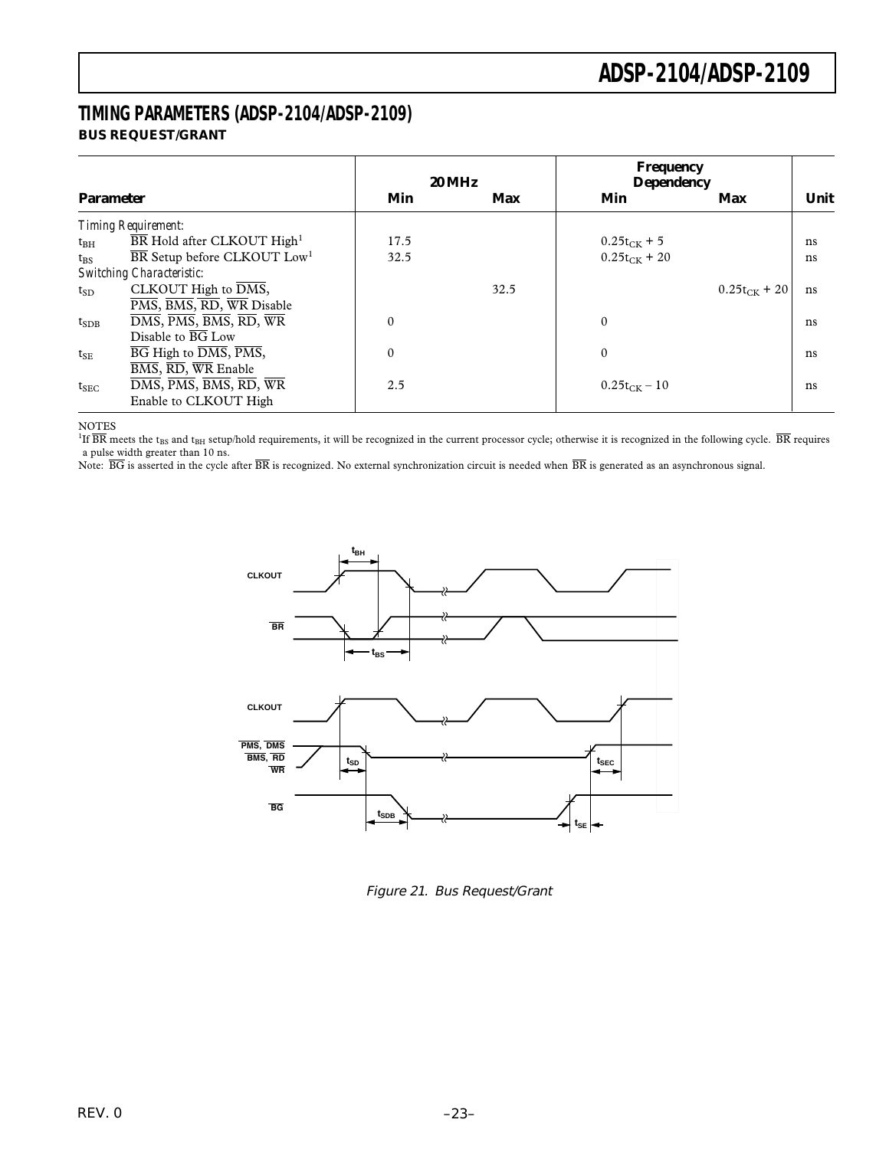### **TIMING PARAMETERS (ADSP-2104/ADSP-2109) BUS REQUEST/GRANT**

|                  |                                                                                                                   |          | <b>20 MHz</b> | Frequency<br><b>Dependency</b> |                   |      |
|------------------|-------------------------------------------------------------------------------------------------------------------|----------|---------------|--------------------------------|-------------------|------|
| <b>Parameter</b> |                                                                                                                   | Min      | Max           | Min                            | Max               | Unit |
|                  | <b>Timing Requirement:</b>                                                                                        |          |               |                                |                   |      |
| $t_{\rm BH}$     | BR Hold after CLKOUT High <sup>1</sup>                                                                            | 17.5     |               | $0.25t_{CK} + 5$               |                   | ns   |
| $t_{\rm BS}$     | $\overline{\text{BR}}$ Setup before CLKOUT Low <sup>1</sup>                                                       | 32.5     |               | $0.25t_{CK}$ + 20              |                   | ns   |
|                  | <b>Switching Characteristic:</b>                                                                                  |          |               |                                |                   |      |
| $t_{SD}$         | CLKOUT High to DMS,                                                                                               |          | 32.5          |                                | $0.25t_{CK}$ + 20 | ns   |
|                  | PMS, BMS, RD, WR Disable                                                                                          |          |               |                                |                   |      |
| $t_{SDB}$        | $\overline{\text{DMS}}, \overline{\text{PMS}}, \overline{\text{BMS}}, \overline{\text{RD}}, \overline{\text{WR}}$ | $\theta$ |               | $\mathbf{0}$                   |                   | ns   |
|                  | Disable to BG Low                                                                                                 |          |               |                                |                   |      |
| $t_{\rm SE}$     | $\overline{BG}$ High to $\overline{DMS}$ , $\overline{PMS}$ ,                                                     | $\theta$ |               | $\mathbf{0}$                   |                   | ns   |
|                  | $\overline{BMS}, \overline{RD}, \overline{WR}$ Enable                                                             |          |               |                                |                   |      |
| $t_{SEC}$        | DMS, PMS, BMS, RD, WR                                                                                             | 2.5      |               | $0.25t_{CK} - 10$              |                   | ns   |
|                  | Enable to CLKOUT High                                                                                             |          |               |                                |                   |      |

#### NOTES

 $^{1}$ If  $\overline{\text{BR}}$  meets the t<sub>BS</sub> and t<sub>BH</sub> setup/hold requirements, it will be recognized in the current processor cycle; otherwise it is recognized in the following cycle.  $\overline{\text{BR}}$  requires a pulse width greater than 10 ns.

Note:  $\overline{BG}$  is asserted in the cycle after  $\overline{BR}$  is recognized. No external synchronization circuit is needed when  $\overline{BR}$  is generated as an asynchronous signal.



Figure 21. Bus Request/Grant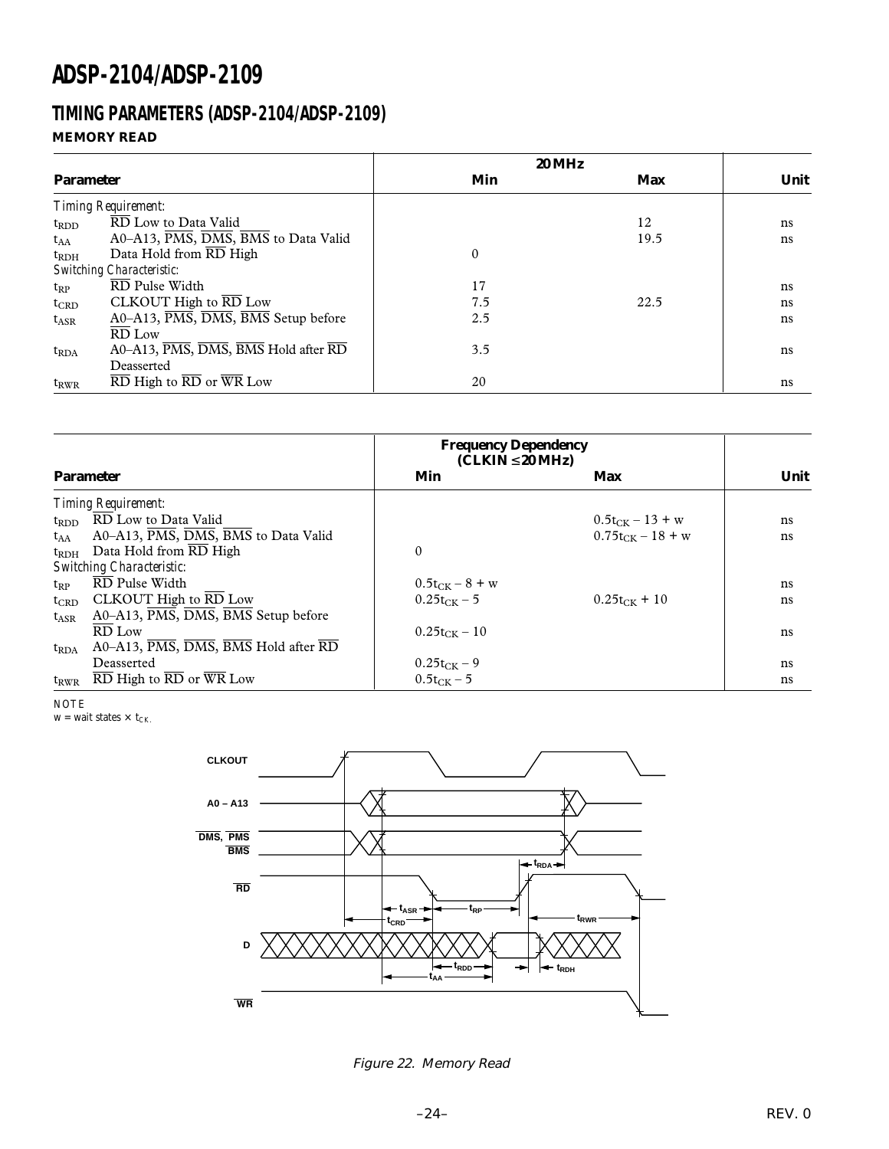### **TIMING PARAMETERS (ADSP-2104/ADSP-2109) MEMORY READ**

|                  |                                                                                     | <b>20 MHz</b> |      |      |
|------------------|-------------------------------------------------------------------------------------|---------------|------|------|
| <b>Parameter</b> |                                                                                     | Min           | Max  | Unit |
|                  | <b>Timing Requirement:</b>                                                          |               |      |      |
| $t_{RDD}$        | RD Low to Data Valid                                                                |               | 12   | ns   |
| $t_{AA}$         | A0-A13, PMS, DMS, BMS to Data Valid                                                 |               | 19.5 | ns   |
| $t_{\rm RDH}$    | Data Hold from RD High                                                              | $\Omega$      |      |      |
|                  | <b>Switching Characteristic:</b>                                                    |               |      |      |
| $t_{RP}$         | $\overline{\text{RD}}$ Pulse Width                                                  | 17            |      | ns   |
| $t_{CRD}$        | CLKOUT High to $\overline{\text{RD}}$ Low                                           | 7.5           | 22.5 | ns   |
| $t_{ASR}$        | A0–A13, PMS, DMS, BMS Setup before                                                  | 2.5           |      | ns   |
|                  | $\overline{RD}$ Low                                                                 |               |      |      |
| $t_{RDA}$        | A0-A13, PMS, DMS, BMS Hold after RD                                                 | 3.5           |      | ns   |
|                  | Deasserted                                                                          |               |      |      |
| $t_{RWR}$        | $\overline{\text{RD}}$ High to $\overline{\text{RD}}$ or $\overline{\text{WR}}$ Low | 20            |      | ns   |

|               |                                                                                              | <b>Frequency Dependency</b><br>$(CLKIN \leq 20 MHz)$ |                       |      |
|---------------|----------------------------------------------------------------------------------------------|------------------------------------------------------|-----------------------|------|
|               | <b>Parameter</b>                                                                             | Min                                                  | Max                   | Unit |
|               | Timing Requirement:                                                                          |                                                      |                       |      |
| $t_{RDD}$     | RD Low to Data Valid                                                                         |                                                      | $0.5t_{CK} - 13 + w$  | ns   |
| $t_{AA}$      | A0-A13, PMS, DMS, BMS to Data Valid                                                          |                                                      | $0.75t_{CK} - 18 + w$ | ns   |
| $t_{\rm RDH}$ | Data Hold from RD High                                                                       | $\theta$                                             |                       |      |
|               | <b>Switching Characteristic:</b>                                                             |                                                      |                       |      |
| $t_{RP}$      | RD Pulse Width                                                                               | $0.5t_{CK} - 8 + w$                                  |                       | ns   |
| $t_{CRD}$     | CLKOUT High to $\overline{\text{RD}}$ Low                                                    | $0.25t_{CK} - 5$                                     | $0.25t_{CK}$ + 10     | ns   |
| $t_{ASR}$     | A0–A13, PMS, DMS, BMS Setup before                                                           |                                                      |                       |      |
|               | RD Low                                                                                       | $0.25t_{CK} - 10$                                    |                       | ns   |
| $t_{RDA}$     | $A0-A13$ , $\overline{PMS}$ , $\overline{DMS}$ , $\overline{BMS}$ Hold after $\overline{RD}$ |                                                      |                       |      |
|               | Deasserted                                                                                   | $0.25t_{CK} - 9$                                     |                       | ns   |
| $t_{RWR}$     | $\overline{\text{RD}}$ High to $\overline{\text{RD}}$ or $\overline{\text{WR}}$ Low          | $0.5t_{CK} - 5$                                      |                       | ns   |

NOTE

 $w = wait states \times t_{CK.}$ 



Figure 22. Memory Read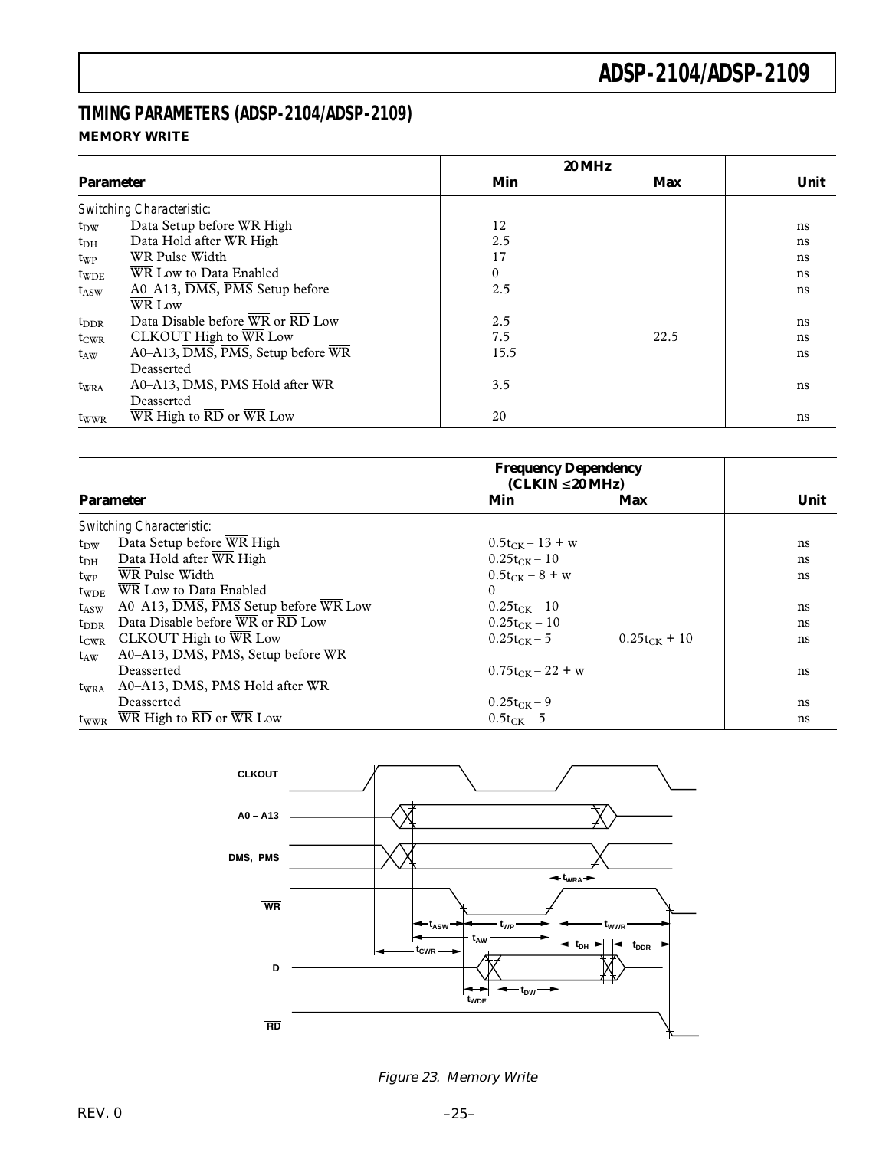### **TIMING PARAMETERS (ADSP-2104/ADSP-2109) MEMORY WRITE**

|                  |                                                                                     |              | <b>20 MHz</b> |      |
|------------------|-------------------------------------------------------------------------------------|--------------|---------------|------|
| <b>Parameter</b> |                                                                                     | Min          | <b>Max</b>    | Unit |
|                  | Switching Characteristic:                                                           |              |               |      |
| $t_{\rm DW}$     | Data Setup before WR High                                                           | 12           |               | ns   |
| $t_{\rm DH}$     | Data Hold after WR High                                                             | 2.5          |               | ns   |
| $t_{WP}$         | WR Pulse Width                                                                      | 17           |               | ns   |
| $t_{WDE}$        | WR Low to Data Enabled                                                              | $\mathbf{0}$ |               | ns   |
| $t_{\rm ASW}$    | $A0-A13$ , $\overline{DMS}$ , $\overline{PMS}$ Setup before                         | 2.5          |               | ns   |
|                  | WR Low                                                                              |              |               |      |
| $t_{\rm DDR}$    | Data Disable before WR or RD Low                                                    | 2.5          |               | ns   |
| $t_{CWR}$        | CLKOUT High to WR Low                                                               | 7.5          | 22.5          | ns   |
| $t_{AW}$         | $A0-A13$ , $\overline{DMS}$ , $\overline{PMS}$ , Setup before WR                    | 15.5         |               | ns   |
|                  | Deasserted                                                                          |              |               |      |
| twra             | A0-A13, $\overline{DMS}$ , $\overline{PMS}$ Hold after $\overline{WR}$              | 3.5          |               | ns   |
|                  | Deasserted                                                                          |              |               |      |
| $t_{WWR}$        | $\overline{\text{WR}}$ High to $\overline{\text{RD}}$ or $\overline{\text{WR}}$ Low | 20           |               | ns   |

|                  |                                                                |                       | <b>Frequency Dependency</b><br>$(CLKIN \leq 20 MHz)$ |      |  |  |
|------------------|----------------------------------------------------------------|-----------------------|------------------------------------------------------|------|--|--|
|                  | <b>Parameter</b>                                               | Min                   | Max                                                  | Unit |  |  |
|                  | <b>Switching Characteristic:</b>                               |                       |                                                      |      |  |  |
| $t_{\rm DW}$     | Data Setup before WR High                                      | $0.5t_{CK} - 13 + w$  |                                                      | ns   |  |  |
| $t_{\rm DH}$     | Data Hold after WR High                                        | $0.25t_{CK} - 10$     |                                                      | ns   |  |  |
| twp              | WR Pulse Width                                                 | $0.5t_{CK} - 8 + w$   |                                                      | ns   |  |  |
| $t_{WDE}$        | WR Low to Data Enabled                                         | $\Omega$              |                                                      |      |  |  |
| $t_{ASW}$        | A0-A13, DMS, PMS Setup before WR Low                           | $0.25t_{CK} - 10$     |                                                      | ns   |  |  |
| $t_{\rm DDR}$    | Data Disable before WR or RD Low                               | $0.25t_{CK} - 10$     |                                                      | ns   |  |  |
| $t_{CWR}$        | CLKOUT High to WR Low                                          | $0.25t_{CK} - 5$      | $0.25t_{CK}$ + 10                                    | ns   |  |  |
| $t_{AW}$         | A0–A13, DMS, PMS, Setup before WR                              |                       |                                                      |      |  |  |
|                  | Deasserted                                                     | $0.75t_{CK} - 22 + w$ |                                                      | ns   |  |  |
| $t_{\text{WRA}}$ | $A0 - A13$ , $\overline{DMS}$ , $\overline{PMS}$ Hold after WR |                       |                                                      |      |  |  |
|                  | Deasserted                                                     | $0.25t_{CK} - 9$      |                                                      | ns   |  |  |
| twwr             | WR High to RD or WR Low                                        | $0.5t_{CK} - 5$       |                                                      | ns   |  |  |



Figure 23. Memory Write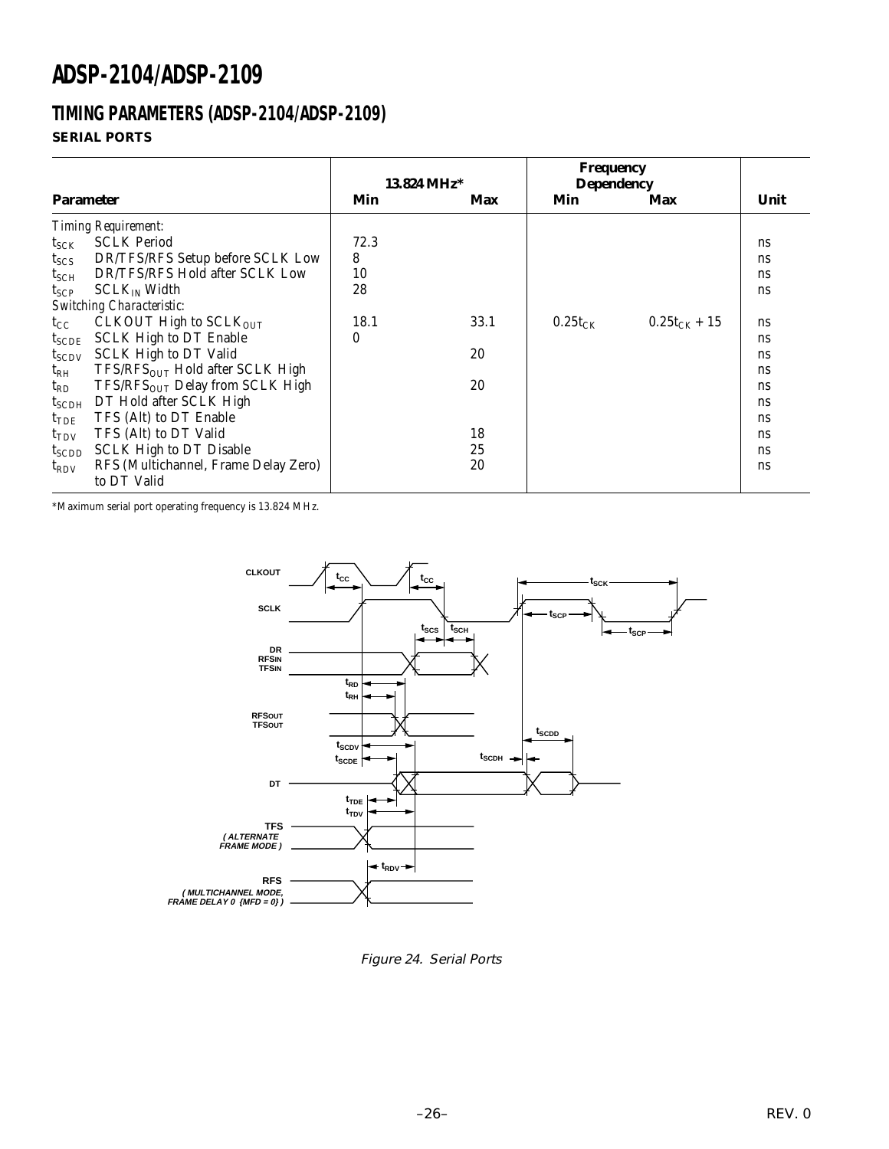# **TIMING PARAMETERS (ADSP-2104/ADSP-2109)**

### **SERIAL PORTS**

|                  |                                             |      | $13.824 \text{ MHz}^*$ | Frequency<br><b>Dependency</b> |                   |               |
|------------------|---------------------------------------------|------|------------------------|--------------------------------|-------------------|---------------|
| <b>Parameter</b> |                                             | Min  | Max                    | Min                            | Max               | Unit          |
|                  | Timing Requirement:                         |      |                        |                                |                   |               |
| $t_{SCK}$        | <b>SCLK Period</b>                          | 72.3 |                        |                                |                   | ns            |
| $t_{SCS}$        | DR/TFS/RFS Setup before SCLK Low            | 8    |                        |                                |                   | ns            |
| $t_{\rm SCH}$    | DR/TFS/RFS Hold after SCLK Low              | 10   |                        |                                |                   | ns            |
| $t_{\text{SCP}}$ | $SCLK_{IN}$ Width                           | 28   |                        |                                |                   | <sub>ns</sub> |
|                  | <b>Switching Characteristic:</b>            |      |                        |                                |                   |               |
| $t_{\rm CC}$     | CLKOUT High to SCLKOUT                      | 18.1 | 33.1                   | $0.25t_{CK}$                   | $0.25t_{CK} + 15$ | <sub>ns</sub> |
| $t_{SCDE}$       | <b>SCLK High to DT Enable</b>               | 0    |                        |                                |                   | <sub>ns</sub> |
| $t_{SCDV}$       | <b>SCLK High to DT Valid</b>                |      | 20                     |                                |                   | <sub>ns</sub> |
| $\rm t_{RH}$     | $TFS/RESOUT$ Hold after SCLK High           |      |                        |                                |                   | <sub>ns</sub> |
| $t_{RD}$         | TFS/RFS <sub>OUT</sub> Delay from SCLK High |      | 20                     |                                |                   | ns            |
| $t_{\rm SCDH}$   | DT Hold after SCLK High                     |      |                        |                                |                   | ns            |
| $t_{\rm TDE}$    | TFS (Alt) to DT Enable                      |      |                        |                                |                   | <sub>ns</sub> |
| $t_{\text{TDV}}$ | TFS (Alt) to DT Valid                       |      | 18                     |                                |                   | <sub>ns</sub> |
| $t_{SCDD}$       | <b>SCLK High to DT Disable</b>              |      | 25                     |                                |                   | ns            |
| $t_{\rm RDV}$    | RFS (Multichannel, Frame Delay Zero)        |      | 20                     |                                |                   | <sub>ns</sub> |
|                  | to DT Valid                                 |      |                        |                                |                   |               |

\*Maximum serial port operating frequency is 13.824 MHz.



Figure 24. Serial Ports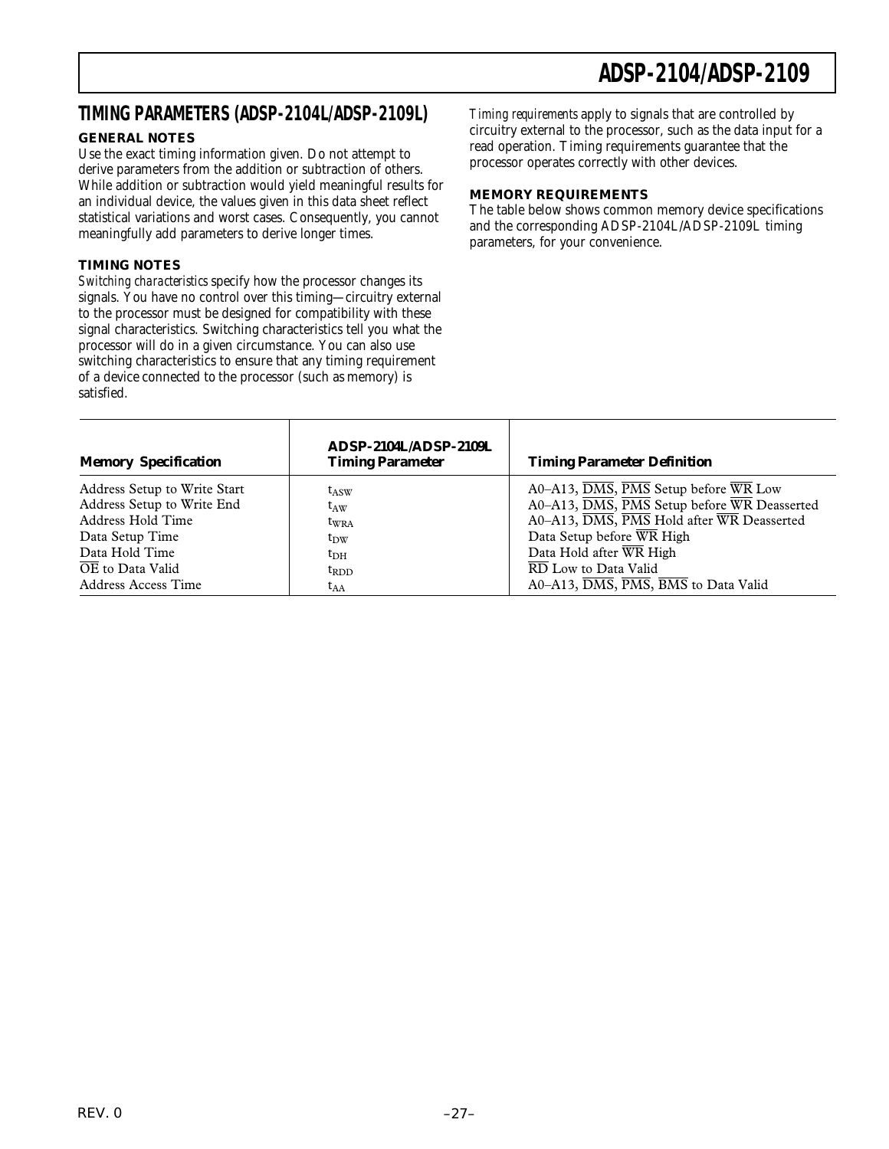### **TIMING PARAMETERS (ADSP-2104L/ADSP-2109L)** *Timing requirements* apply to signals that are controlled by

### **GENERAL NOTES**

Use the exact timing information given. Do not attempt to derive parameters from the addition or subtraction of others. While addition or subtraction would yield meaningful results for an individual device, the values given in this data sheet reflect statistical variations and worst cases. Consequently, you cannot meaningfully add parameters to derive longer times.

#### **TIMING NOTES**

*Switching characteristics* specify how the processor changes its signals. You have no control over this timing—circuitry external to the processor must be designed for compatibility with these signal characteristics. Switching characteristics tell you what the processor will do in a given circumstance. You can also use switching characteristics to ensure that any timing requirement of a device connected to the processor (such as memory) is satisfied.

т

circuitry external to the processor, such as the data input for a read operation. Timing requirements guarantee that the processor operates correctly with other devices.

#### **MEMORY REQUIREMENTS**

The table below shows common memory device specifications and the corresponding ADSP-2104L/ADSP-2109L timing parameters, for your convenience.

| <b>Memory Specification</b>                     | ADSP-2104L/ADSP-2109L<br><b>Timing Parameter</b> | <b>Timing Parameter Definition</b>                                                       |
|-------------------------------------------------|--------------------------------------------------|------------------------------------------------------------------------------------------|
| Address Setup to Write Start                    | $t_{\rm ASW}$                                    | $A0 - A13$ , $\overline{DMS}$ , $\overline{PMS}$ Setup before WR Low                     |
| Address Setup to Write End<br>Address Hold Time | $\mathsf{t}_{\text{AW}}$                         | A0-A13, DMS, PMS Setup before WR Deasserted<br>A0-A13, DMS, PMS Hold after WR Deasserted |
| Data Setup Time                                 | tw <sub>RA</sub><br>$t_{\rm DW}$                 | Data Setup before WR High                                                                |
| Data Hold Time                                  | $t_{\rm DH}$                                     | Data Hold after WR High                                                                  |
| OE to Data Valid                                | $t_{RDD}$                                        | RD Low to Data Valid                                                                     |
| Address Access Time                             | $t_{AA}$                                         | A0-A13, DMS, PMS, BMS to Data Valid                                                      |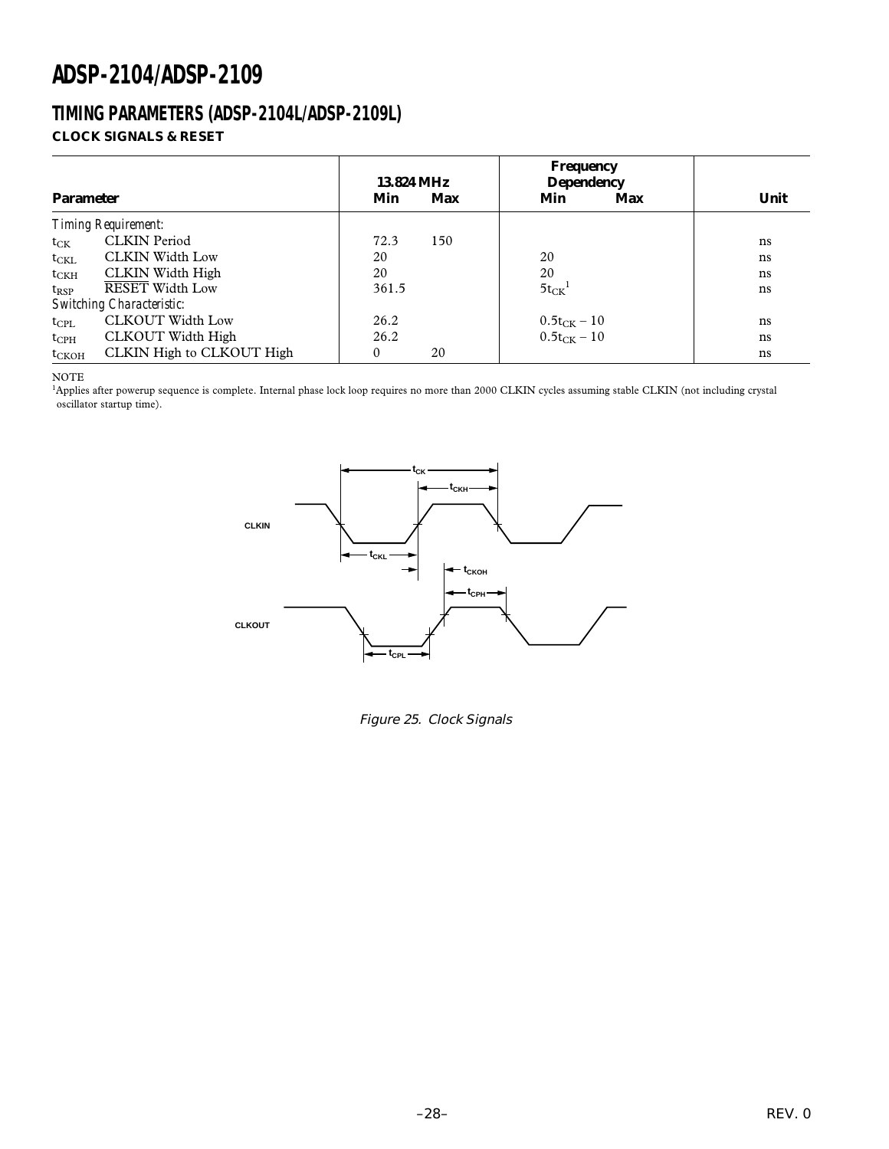### **TIMING PARAMETERS (ADSP-2104L/ADSP-2109L) CLOCK SIGNALS & RESET**

| <b>Parameter</b> |                                  | 13.824 MHz<br>Min | Max | <b>Frequency</b><br><b>Dependency</b><br>Min | Max | Unit |
|------------------|----------------------------------|-------------------|-----|----------------------------------------------|-----|------|
|                  | <b>Timing Requirement:</b>       |                   |     |                                              |     |      |
| $t_{CK}$         | <b>CLKIN</b> Period              | 72.3              | 150 |                                              |     | ns   |
| $t_{CKL}$        | <b>CLKIN Width Low</b>           | 20                |     | 20                                           |     | ns   |
| $t_{\rm CKH}$    | <b>CLKIN</b> Width High          | 20                |     | 20                                           |     | ns   |
| $t_{RSP}$        | <b>RESET Width Low</b>           | 361.5             |     | $5t_{CK}$ <sup>1</sup>                       |     | ns   |
|                  | <b>Switching Characteristic:</b> |                   |     |                                              |     |      |
| $t_{\rm CPL}$    | <b>CLKOUT Width Low</b>          | 26.2              |     |                                              |     | ns   |
| $t_{\rm{CPH}}$   | CLKOUT Width High                | 26.2              |     | $0.5t_{CK} - 10$<br>$0.5t_{CK} - 10$         |     | ns   |
| $t_{CKOH}$       | CLKIN High to CLKOUT High        | $\mathbf{0}$      | 20  |                                              |     | ns   |

NOTE

<sup>1</sup>Applies after powerup sequence is complete. Internal phase lock loop requires no more than 2000 CLKIN cycles assuming stable CLKIN (not including crystal oscillator startup time).



Figure 25. Clock Signals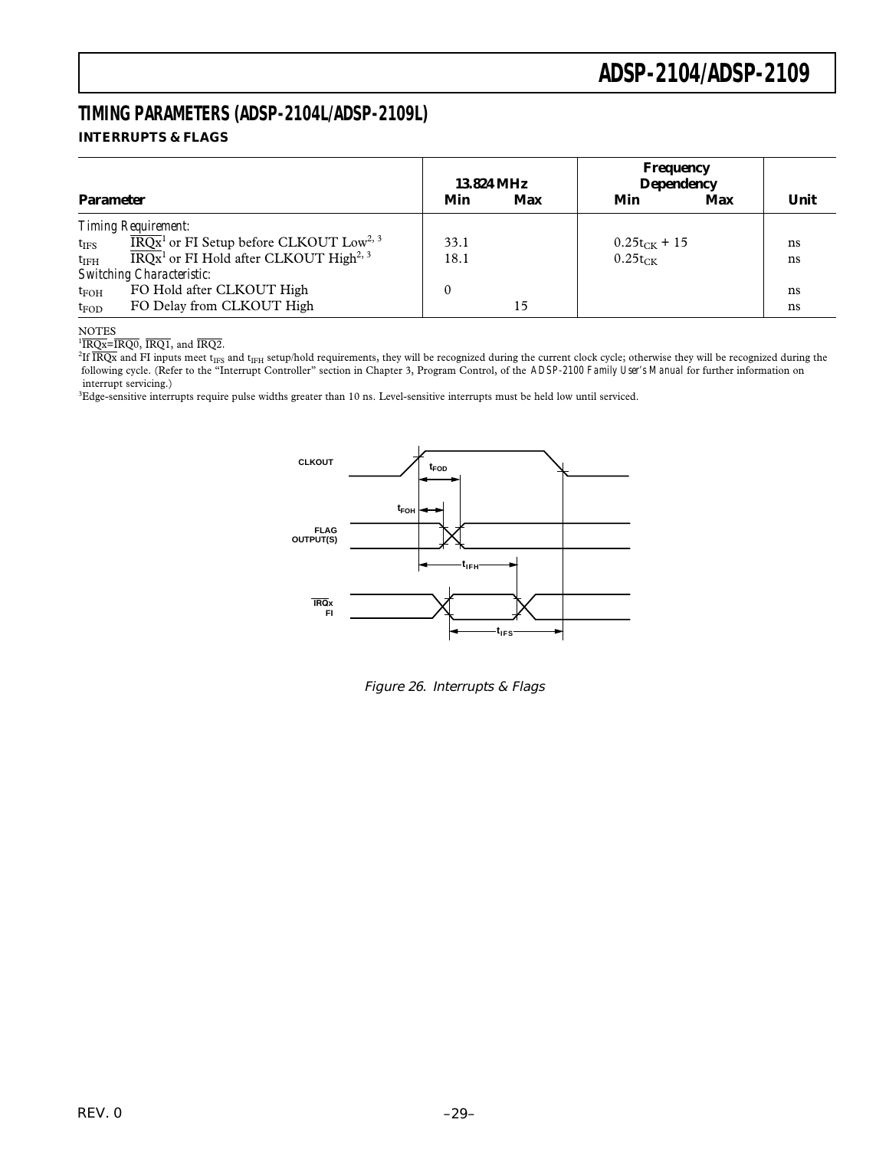### **TIMING PARAMETERS (ADSP-2104L/ADSP-2109L) INTERRUPTS & FLAGS**

|                  |                                                                          |      | 13.824 MHz | Frequency<br><b>Dependency</b> |     |      |  |
|------------------|--------------------------------------------------------------------------|------|------------|--------------------------------|-----|------|--|
| <b>Parameter</b> |                                                                          | Min  | Max        | Min                            | Max | Unit |  |
|                  | <b>Timing Requirement:</b>                                               |      |            |                                |     |      |  |
| $t_{\rm{IFS}}$   | $\overline{\text{IRQx}}^1$ or FI Setup before CLKOUT Low <sup>2, 3</sup> | 33.1 |            | $0.25t_{CK}$ + 15              |     | ns   |  |
| $t_{\rm IFH}$    | $\overline{\text{IRQx}}^1$ or FI Hold after CLKOUT High <sup>2, 3</sup>  | 18.1 |            | $0.25t_{CK}$                   |     | ns   |  |
|                  | <b>Switching Characteristic:</b>                                         |      |            |                                |     |      |  |
| $t_{\rm FOH}$    | FO Hold after CLKOUT High                                                |      |            |                                |     | ns   |  |
| $t_{FOD}$        | FO Delay from CLKOUT High                                                |      | 15         |                                |     | ns   |  |

#### NOTES

 $\overline{1RQx}$ = $\overline{IRQ0}$ ,  $\overline{IRQ1}$ , and  $\overline{IRQ2}$ .

 $^{2}$ If  $\overline{\text{IRQx}}$  and FI inputs meet t<sub>IFS</sub> and t<sub>IFH</sub> setup/hold requirements, they will be recognized during the current clock cycle; otherwise they will be recognized during the following cycle. (Refer to the "Interrupt Controller" section in Chapter 3, Program Control, of the *ADSP-2100 Family User's Manual* for further information on interrupt servicing.)

3 Edge-sensitive interrupts require pulse widths greater than 10 ns. Level-sensitive interrupts must be held low until serviced.



Figure 26. Interrupts & Flags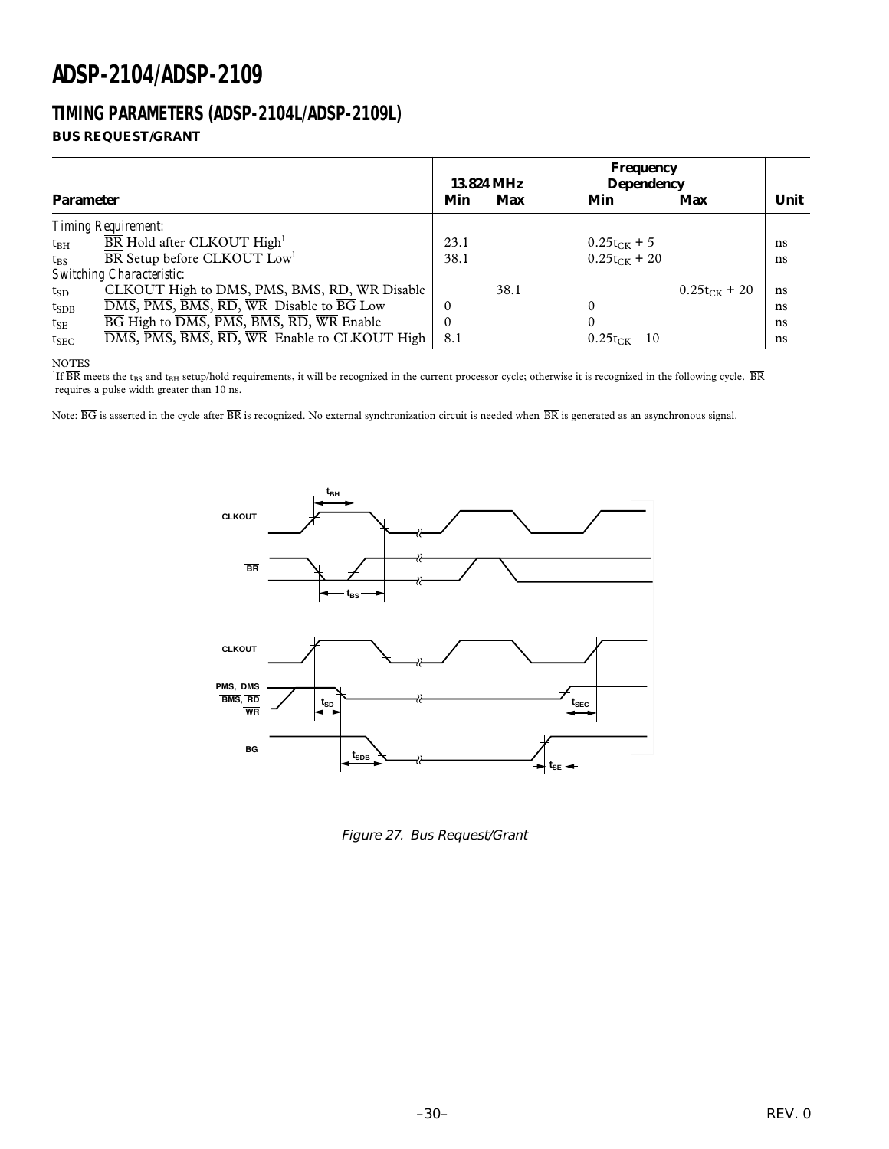### **TIMING PARAMETERS (ADSP-2104L/ADSP-2109L) BUS REQUEST/GRANT**

|                  |                                                                                                                           | 13.824 MHz |      | Frequency<br><b>Dependency</b> |                   |      |  |
|------------------|---------------------------------------------------------------------------------------------------------------------------|------------|------|--------------------------------|-------------------|------|--|
| <b>Parameter</b> |                                                                                                                           | Min        | Max  | Min                            | Max               | Unit |  |
|                  | <b>Timing Requirement:</b>                                                                                                |            |      |                                |                   |      |  |
| $t_{\rm BH}$     | $\overline{\text{BR}}$ Hold after CLKOUT High <sup>1</sup>                                                                | 23.1       |      | $0.25t_{CK} + 5$               |                   | ns   |  |
| $t_{\rm RS}$     | BR Setup before CLKOUT Low <sup>1</sup>                                                                                   | 38.1       |      | $0.25t_{CK}$ + 20              |                   | ns   |  |
|                  | <b>Switching Characteristic:</b>                                                                                          |            |      |                                |                   |      |  |
| $t_{SD}$         | CLKOUT High to $\overline{DMS}$ , $\overline{PMS}$ , $\overline{BMS}$ , $\overline{RD}$ , $\overline{WR}$ Disable         |            | 38.1 |                                | $0.25t_{CK}$ + 20 | ns   |  |
| $t_{SDB}$        | DMS, PMS, BMS, RD, WR Disable to BG Low                                                                                   | $\Omega$   |      |                                |                   | ns   |  |
| $t_{\rm SE}$     | $\overline{BG}$ High to $\overline{DMS}$ , $\overline{PMS}$ , $\overline{BMS}$ , $\overline{RD}$ , $\overline{WR}$ Enable | 0          |      |                                |                   | ns   |  |
| $t_{SEC}$        | DMS, PMS, BMS, RD, WR Enable to CLKOUT High                                                                               | 8.1        |      | $0.25t_{CK} - 10$              |                   | ns   |  |

NOTES

<sup>1</sup>If  $\overline{BR}$  meets the t<sub>BS</sub> and t<sub>BH</sub> setup/hold requirements, it will be recognized in the current processor cycle; otherwise it is recognized in the following cycle.  $\overline{BR}$ requires a pulse width greater than 10 ns.

Note:  $\overline{BG}$  is asserted in the cycle after  $\overline{BR}$  is recognized. No external synchronization circuit is needed when  $\overline{BR}$  is generated as an asynchronous signal.



Figure 27. Bus Request/Grant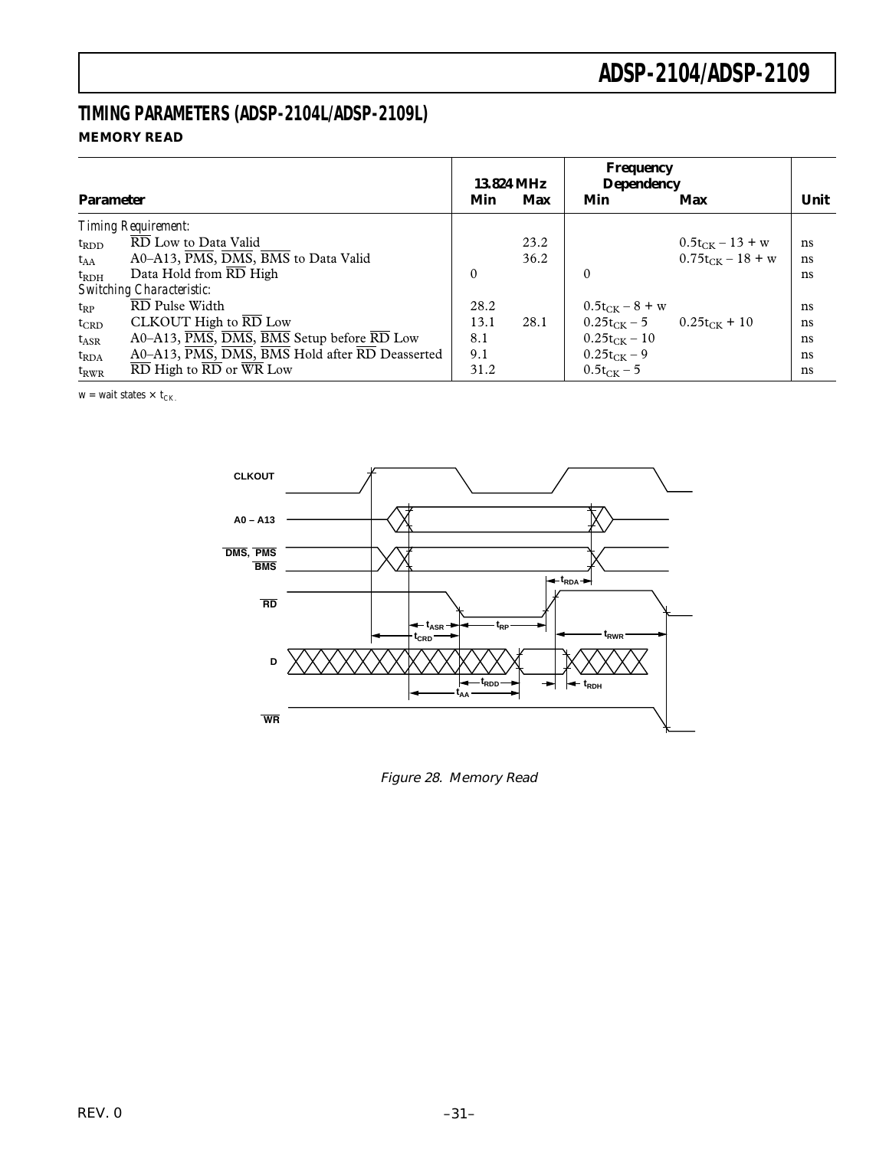### **TIMING PARAMETERS (ADSP-2104L/ADSP-2109L) MEMORY READ**

| <b>Parameter</b> |                                                | Min      | 13.824 MHz<br>Max | Frequency<br><b>Dependency</b><br>Min | Max                   | Unit |
|------------------|------------------------------------------------|----------|-------------------|---------------------------------------|-----------------------|------|
|                  | <b>Timing Requirement:</b>                     |          |                   |                                       |                       |      |
| $t_{RDD}$        | RD Low to Data Valid                           |          | 23.2              |                                       | $0.5t_{CK} - 13 + w$  | ns   |
| $t_{AA}$         | A0-A13, PMS, DMS, BMS to Data Valid            |          | 36.2              |                                       | $0.75t_{CK} - 18 + w$ | ns   |
| $t_{RDH}$        | Data Hold from RD High                         | $\theta$ |                   | $\Omega$                              |                       | ns   |
|                  | <b>Switching Characteristic:</b>               |          |                   |                                       |                       |      |
| $t_{RP}$         | RD Pulse Width                                 | 28.2     |                   | $0.5t_{CK} - 8 + w$                   |                       | ns   |
| $t_{CRD}$        | CLKOUT High to $\overline{\text{RD}}$ Low      | 13.1     | 28.1              | $0.25t_{CK} - 5$ $0.25t_{CK} + 10$    |                       | ns   |
| $t_{ASR}$        | A0–A13, PMS, DMS, BMS Setup before RD Low      | 8.1      |                   | $0.25t_{CK} - 10$                     |                       | ns   |
| $t_{RDA}$        | A0-A13, PMS, DMS, BMS Hold after RD Deasserted | 9.1      |                   | $0.25t_{CK} - 9$                      |                       | ns   |
| $t_{RWR}$        | RD High to RD or WR Low                        | 31.2     |                   | $0.5t_{CK} - 5$                       |                       | ns   |

 $w = wait states \times t_{CK.}$ 



Figure 28. Memory Read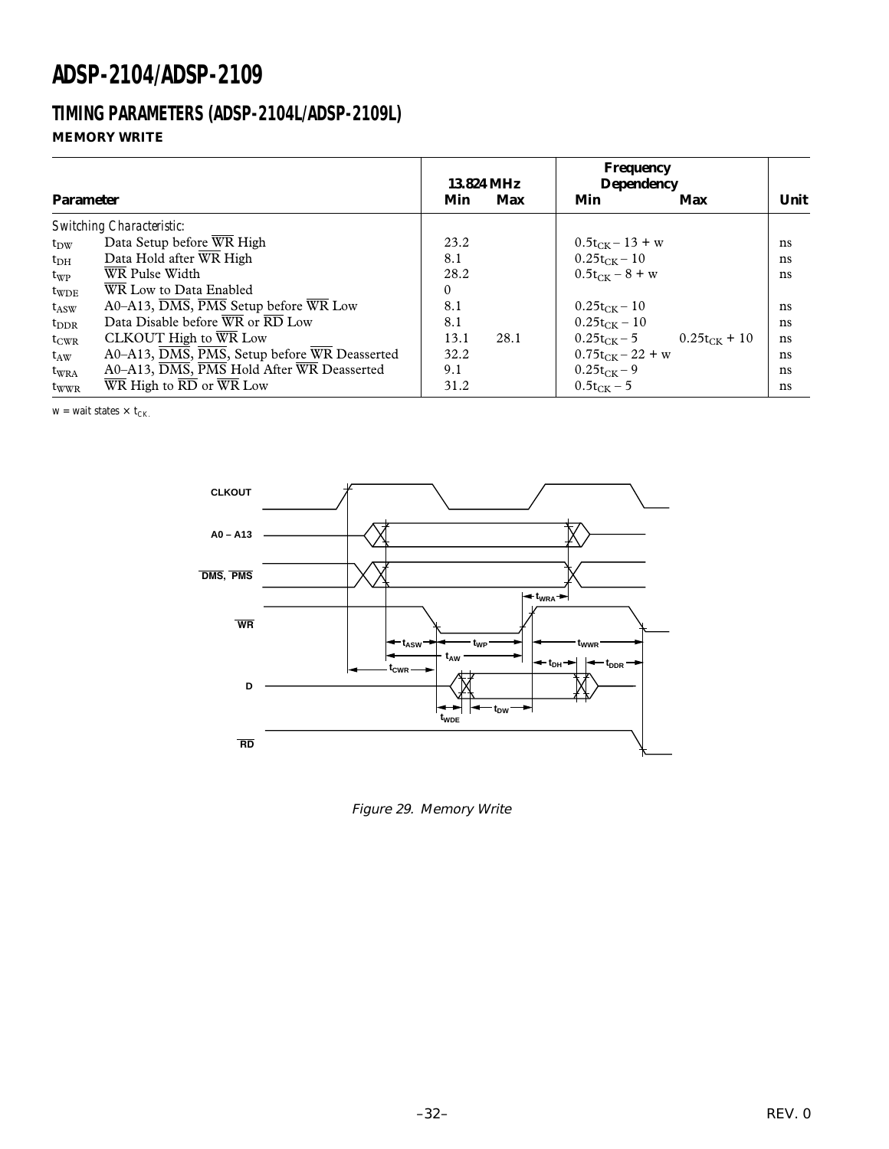### **TIMING PARAMETERS (ADSP-2104L/ADSP-2109L) MEMORY WRITE**

| <b>Parameter</b> |                                              | 13.824 MHz<br>Max<br>Min |      | <b>Frequency</b><br><b>Dependency</b><br>Min<br>Max |                   | Unit |  |
|------------------|----------------------------------------------|--------------------------|------|-----------------------------------------------------|-------------------|------|--|
|                  | <b>Switching Characteristic:</b>             |                          |      |                                                     |                   |      |  |
| $t_{\rm DW}$     | Data Setup before WR High                    | 23.2                     |      | $0.5t_{CK} - 13 + w$                                |                   | ns   |  |
| $t_{\rm DH}$     | Data Hold after WR High                      | 8.1                      |      | $0.25t_{CK} - 10$                                   |                   | ns   |  |
| $t_{WP}$         | WR Pulse Width                               | 28.2                     |      | $0.5t_{CK} - 8 + w$                                 |                   | ns   |  |
| $t_{WDE}$        | WR Low to Data Enabled                       | $\Omega$                 |      |                                                     |                   |      |  |
| $t_{\rm ASW}$    | A0–A13, DMS, PMS Setup before WR Low         | 8.1                      |      | $0.25t_{CK} - 10$                                   |                   | ns   |  |
| $t_{\rm DDR}$    | Data Disable before WR or RD Low             | 8.1                      |      | $0.25t_{CK} - 10$                                   |                   | ns   |  |
| $t_{CWR}$        | CLKOUT High to WR Low                        | 13.1                     | 28.1 | $0.25t_{CK} - 5$                                    | $0.25t_{CK}$ + 10 | ns   |  |
| $t_{AW}$         | A0-A13, DMS, PMS, Setup before WR Deasserted | 32.2                     |      | $0.75t_{CK}$ – 22 + w                               |                   | ns   |  |
| $t_{\text{WRA}}$ | A0-A13, DMS, PMS Hold After WR Deasserted    | 9.1                      |      | $0.25t_{CK} - 9$                                    |                   | ns   |  |
| tww <sub>R</sub> | WR High to RD or WR Low                      | 31.2                     |      | $0.5t_{CK} - 5$                                     |                   | ns   |  |

 $w = wait states \times t_{CK.}$ 



Figure 29. Memory Write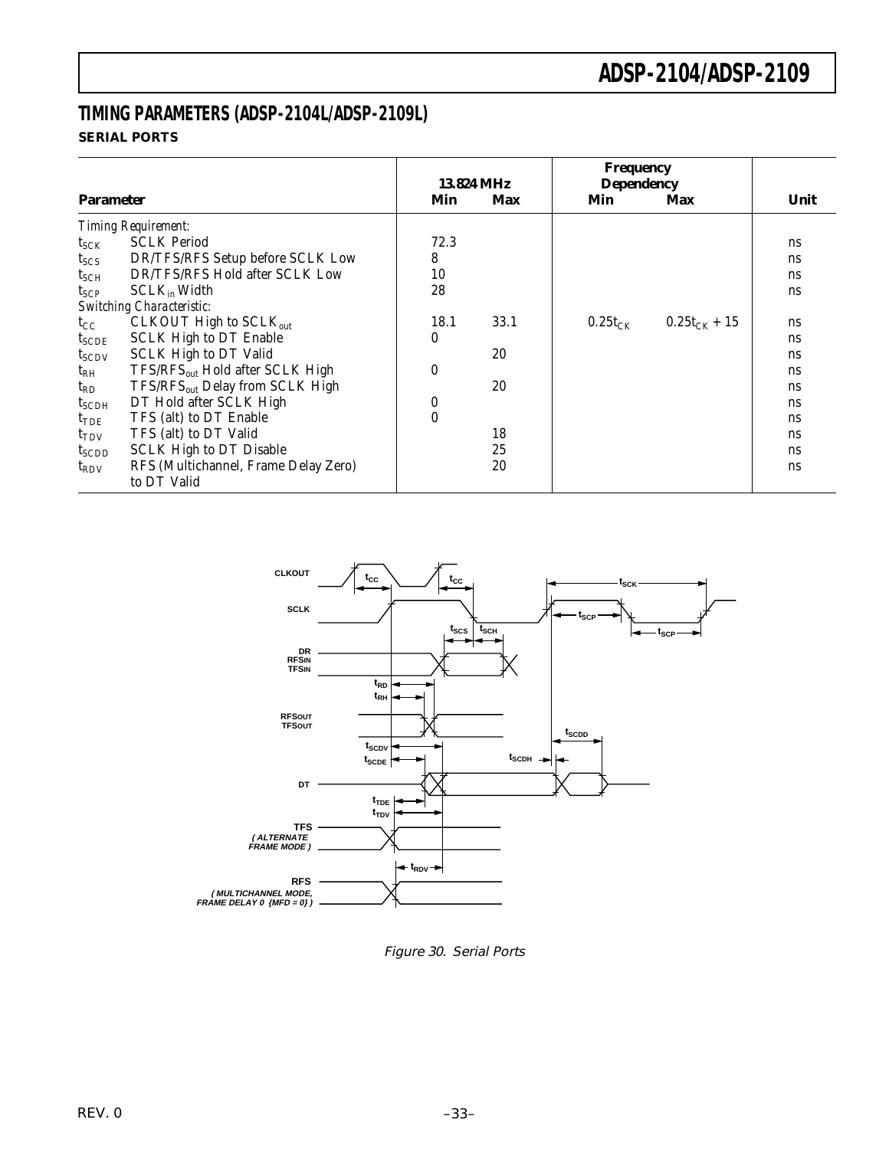### **TIMING PARAMETERS (ADSP-2104L/ADSP-2109L) SERIAL PORTS**

|                   |                                             |          | 13.824 MHz | Frequency<br><b>Dependency</b> |                   |           |
|-------------------|---------------------------------------------|----------|------------|--------------------------------|-------------------|-----------|
| <b>Parameter</b>  |                                             | Min      | <b>Max</b> | Min                            | Max               | Unit      |
|                   | <b>Timing Requirement:</b>                  |          |            |                                |                   |           |
| $t_{SCK}$         | <b>SCLK Period</b>                          | 72.3     |            |                                |                   | ns        |
| $t_{SCS}$         | DR/TFS/RFS Setup before SCLK Low            | 8        |            |                                |                   | ns        |
| $t_{\rm SCH}$     | DR/TFS/RFS Hold after SCLK Low              | 10       |            |                                |                   | ns        |
| $t_{\text{SCP}}$  | $SCLK_{in}$ Width                           | 28       |            |                                |                   | ns        |
|                   | <b>Switching Characteristic:</b>            |          |            |                                |                   |           |
| $t_{\rm CC}$      | CLKOUT High to SCLK <sub>out</sub>          | 18.1     | 33.1       | $0.25t_{CK}$                   | $0.25t_{CK} + 15$ | ns        |
| $t_{SCDE}$        | <b>SCLK High to DT Enable</b>               | 0        |            |                                |                   | ns        |
| $t_{SCDV}$        | <b>SCLK High to DT Valid</b>                |          | 20         |                                |                   | ns        |
| $t_{RH}$          | TFS/RFS <sub>out</sub> Hold after SCLK High | $\theta$ |            |                                |                   | ns        |
| $t_{RD}$          | TFS/RFS <sub>out</sub> Delay from SCLK High |          | 20         |                                |                   | <b>ns</b> |
| $t_{\rm SCDH}$    | DT Hold after SCLK High                     | $\bf{0}$ |            |                                |                   | ns        |
| $t_{\rm TDE}$     | TFS (alt) to DT Enable                      | $\theta$ |            |                                |                   | ns        |
| $t_{TDV}$         | TFS (alt) to DT Valid                       |          | 18         |                                |                   | <b>ns</b> |
| t <sub>SCDD</sub> | <b>SCLK High to DT Disable</b>              |          | 25         |                                |                   | <b>ns</b> |
| $t_{\rm RDV}$     | RFS (Multichannel, Frame Delay Zero)        |          | 20         |                                |                   | ns        |
|                   | to DT Valid                                 |          |            |                                |                   |           |



Figure 30. Serial Ports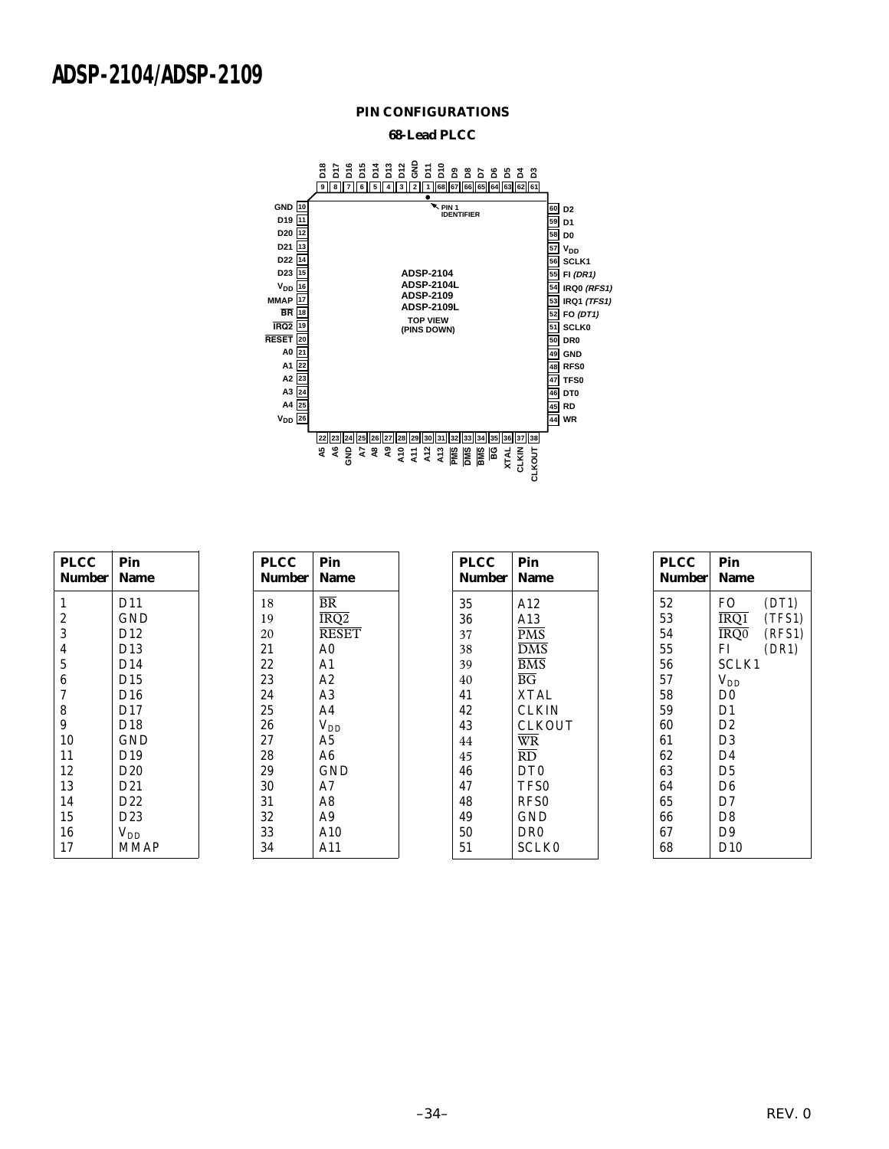#### **PIN CONFIGURATIONS**

#### **68-Lead PLCC**



| <b>PLCC</b><br>Number   | Pin<br><b>Name</b> |  |
|-------------------------|--------------------|--|
| 1                       | D11                |  |
| $\overline{c}$          | GND                |  |
| 3                       | D <sub>12</sub>    |  |
| $\overline{\mathbf{4}}$ | D13                |  |
| $\overline{5}$          | D14                |  |
| 6                       | D15                |  |
| 7                       | D16                |  |
| 8                       | D17                |  |
| 9                       | D18                |  |
| 10                      | GND                |  |
| 11                      | D <sub>19</sub>    |  |
| 12                      | D20                |  |
| 13                      | D <sub>21</sub>    |  |
| 14                      | D <sub>22</sub>    |  |
| 15                      | D23                |  |
| 16                      | $V_{DD}$           |  |
| 17                      | <b>MMAP</b>        |  |

| PLCC   | Pin                                  |
|--------|--------------------------------------|
| Number | Name                                 |
| 18     | <b>BR</b>                            |
| 19     | $\overline{\text{IRQ}}$ <sub>2</sub> |
| 20     | <b>RESET</b>                         |
| 21     | A <sub>0</sub>                       |
| 22     | A <sub>1</sub>                       |
| 23     | A2                                   |
| 24     | A3                                   |
| 25     | A4                                   |
| 26     | $V_{DD}$                             |
| 27     | A <sub>5</sub>                       |
| 28     | A6                                   |
| 29     | GND                                  |
| 30     | A7                                   |
| 31     | A8                                   |
| 32     | A <sub>9</sub>                       |
| 33     | A10                                  |
| 34     | A11                                  |
|        |                                      |

| PLCC          | Pin             |
|---------------|-----------------|
| <b>Number</b> | Name            |
| 35            | A12             |
| 36            | A13             |
| 37            | <b>PMS</b>      |
| 38            | <b>DMS</b>      |
| 39            | <b>BMS</b>      |
| 40            | $B\overline{G}$ |
| 41            | <b>XTAL</b>     |
| 42            | CLKIN           |
| 43            | CLKOUT          |
| 44            | <b>WR</b>       |
| 45            | RD.             |
| 46            | DT <sub>0</sub> |
| 47            | TFS0            |
| 48            | RFS0            |
| 49            | GND             |
| 50            | DR0             |
| 51            | SCLK0           |
|               |                 |

| <b>PLCC</b><br><b>Number</b> | Pin<br>Name    |
|------------------------------|----------------|
| 52                           | FO -<br>(DT1)  |
| 53                           | IRO1<br>(TFS1) |
| 54                           | IRO0<br>(RFS1) |
| 55                           | FI.<br>(DR1)   |
| 56                           | SCLK1          |
| 57                           | $V_{DD}$       |
| 58                           | D <sub>0</sub> |
| 59                           | D1             |
| 60                           | D2             |
| 61                           | D3             |
| 62                           | D4             |
| 63                           | D5             |
| 64                           | D6             |
| 65                           | D7             |
| 66                           | D8             |
| 67                           | D9             |
| 68                           | D10            |
|                              |                |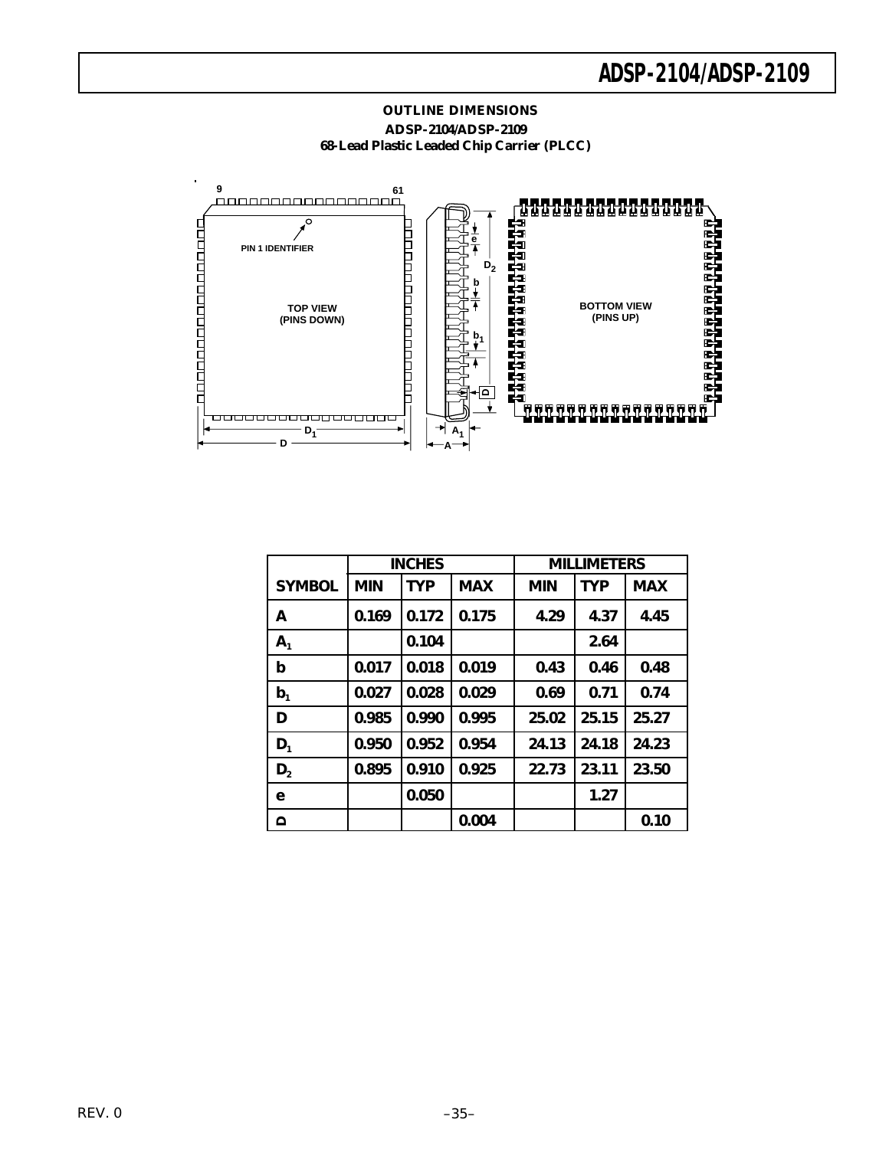

#### **OUTLINE DIMENSIONS ADSP-2104/ADSP-2109 68-Lead Plastic Leaded Chip Carrier (PLCC)**

|                | <b>INCHES</b> |            | <b>MILLIMETERS</b> |            |            |            |
|----------------|---------------|------------|--------------------|------------|------------|------------|
| <b>SYMBOL</b>  | <b>MIN</b>    | <b>TYP</b> | <b>MAX</b>         | <b>MIN</b> | <b>TYP</b> | <b>MAX</b> |
| A              | 0.169         | 0.172      | 0.175              | 4.29       | 4.37       | 4.45       |
| A <sub>1</sub> |               | 0.104      |                    |            | 2.64       |            |
| p              | 0.017         | 0.018      | 0.019              | 0.43       | 0.46       | 0.48       |
| b <sub>1</sub> | 0.027         | 0.028      | 0.029              | 0.69       | 0.71       | 0.74       |
| D              | 0.985         | 0.990      | 0.995              | 25.02      | 25.15      | 25.27      |
| $D_1$          | 0.950         | 0.952      | 0.954              | 24.13      | 24.18      | 24.23      |
| D <sub>2</sub> | 0.895         | 0.910      | 0.925              | 22.73      | 23.11      | 23.50      |
| е              |               | 0.050      |                    |            | 1.27       |            |
| $\Omega$       |               |            | 0.004              |            |            | 0.10       |